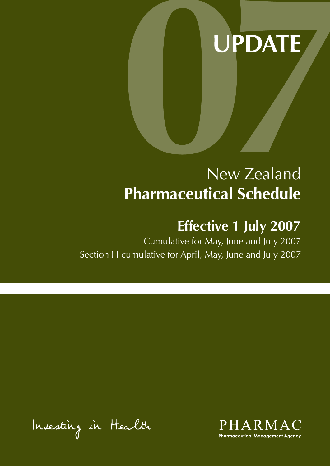# **UPDATE**

## New Zealand **Pharmaceutical Schedule**

## **Effective 1 July 2007**

Cumulative for May, June and July 2007 Section H cumulative for April, May, June and July 2007

Insesting in Health

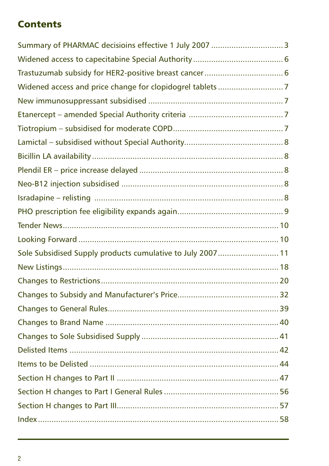## **Contents**

| Sole Subsidised Supply products cumulative to July 2007  11 |  |
|-------------------------------------------------------------|--|
|                                                             |  |
|                                                             |  |
|                                                             |  |
|                                                             |  |
|                                                             |  |
|                                                             |  |
|                                                             |  |
|                                                             |  |
|                                                             |  |
|                                                             |  |
|                                                             |  |
|                                                             |  |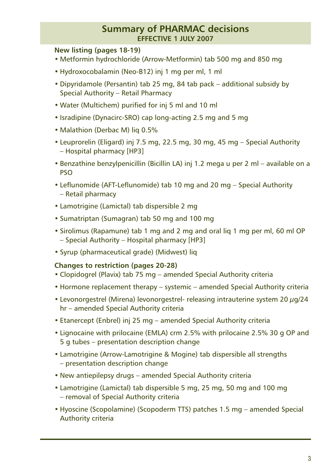#### **Summary of PHARMAC decisions effective 1 JULY 2007**

#### **New listing (pages 18-19)**

- Metformin hydrochloride (Arrow-Metformin) tab 500 mg and 850 mg
- Hydroxocobalamin (Neo-B12) inj 1 mg per ml, 1 ml
- Dipyridamole (Persantin) tab 25 mg, 84 tab pack additional subsidy by Special Authority – Retail Pharmacy
- Water (Multichem) purified for inj 5 ml and 10 ml
- Isradipine (Dynacirc-SRO) cap long-acting 2.5 mg and 5 mg
- Malathion (Derbac M) lig 0.5%
- Leuprorelin (Eligard) inj 7.5 mg, 22.5 mg, 30 mg, 45 mg Special Authority – Hospital pharmacy [HP3]
- Benzathine benzylpenicillin (Bicillin LA) inj 1.2 mega u per 2 ml available on a PSO
- Leflunomide (AFT-Leflunomide) tab 10 mg and 20 mg Special Authority – Retail pharmacy
- Lamotrigine (Lamictal) tab dispersible 2 mg
- Sumatriptan (Sumagran) tab 50 mg and 100 mg
- Sirolimus (Rapamune) tab 1 mg and 2 mg and oral liq 1 mg per ml, 60 ml OP – Special Authority – Hospital pharmacy [HP3]
- Syrup (pharmaceutical grade) (Midwest) liq

#### **Changes to restriction (pages 20-28)**

- Clopidogrel (Plavix) tab 75 mg amended Special Authority criteria
- Hormone replacement therapy systemic amended Special Authority criteria
- Levonorgestrel (Mirena) levonorgestrel- releasing intrauterine system 20  $\mu$ g/24 hr – amended Special Authority criteria
- Etanercept (Enbrel) inj 25 mg amended Special Authority criteria
- Lignocaine with prilocaine (EMLA) crm 2.5% with prilocaine 2.5% 30 g OP and 5 g tubes – presentation description change
- Lamotrigine (Arrow-Lamotrigine & Mogine) tab dispersible all strengths – presentation description change
- New antiepilepsy drugs amended Special Authority criteria
- Lamotrigine (Lamictal) tab dispersible 5 mg, 25 mg, 50 mg and 100 mg – removal of Special Authority criteria
- Hyoscine (Scopolamine) (Scopoderm TTS) patches 1.5 mg amended Special Authority criteria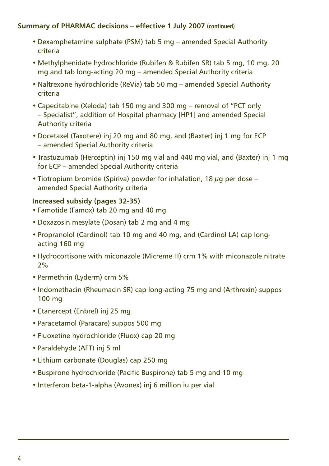#### **Summary of PHARMAC decisions – effective 1 July 2007 (continued)**

- Dexamphetamine sulphate (PSM) tab 5 mg amended Special Authority criteria
- Methylphenidate hydrochloride (Rubifen & Rubifen SR) tab 5 mg, 10 mg, 20 mg and tab long-acting 20 mg – amended Special Authority criteria
- Naltrexone hydrochloride (ReVia) tab 50 mg amended Special Authority criteria
- Capecitabine (Xeloda) tab 150 mg and 300 mg removal of "PCT only – Specialist", addition of Hospital pharmacy [HP1] and amended Special Authority criteria
- Docetaxel (Taxotere) inj 20 mg and 80 mg, and (Baxter) inj 1 mg for ECP – amended Special Authority criteria
- Trastuzumab (Herceptin) inj 150 mg vial and 440 mg vial, and (Baxter) inj 1 mg for ECP – amended Special Authority criteria
- Tiotropium bromide (Spiriva) powder for inhalation, 18  $\mu$ g per dose amended Special Authority criteria

#### **Increased subsidy (pages 32-35)**

- Famotide (Famox) tab 20 mg and 40 mg
- Doxazosin mesylate (Dosan) tab 2 mg and 4 mg
- Propranolol (Cardinol) tab 10 mg and 40 mg, and (Cardinol LA) cap longacting 160 mg
- Hydrocortisone with miconazole (Micreme H) crm 1% with miconazole nitrate 2%
- Permethrin (Lyderm) crm 5%
- Indomethacin (Rheumacin SR) cap long-acting 75 mg and (Arthrexin) suppos 100 mg
- Etanercept (Enbrel) inj 25 mg
- Paracetamol (Paracare) suppos 500 mg
- Fluoxetine hydrochloride (Fluox) cap 20 mg
- Paraldehyde (AFT) inj 5 ml
- Lithium carbonate (Douglas) cap 250 mg
- Buspirone hydrochloride (Pacific Buspirone) tab 5 mg and 10 mg
- Interferon beta-1-alpha (Avonex) inj 6 million iu per vial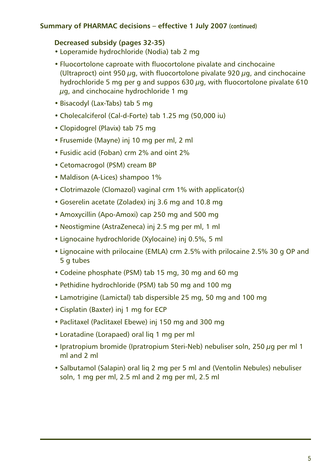#### **Summary of PHARMAC decisions – effective 1 July 2007 (continued)**

#### **Decreased subsidy (pages 32-35)**

- Loperamide hydrochloride (Nodia) tab 2 mg
- Fluocortolone caproate with fluocortolone pivalate and cinchocaine (Ultraproct) oint 950  $\mu$ g, with fluocortolone pivalate 920  $\mu$ g, and cinchocaine hydrochloride 5 mg per g and suppos 630  $\mu$ g, with fluocortolone pivalate 610 ug, and cinchocaine hydrochloride 1 mg
- Bisacodyl (Lax-Tabs) tab 5 mg
- Cholecalciferol (Cal-d-Forte) tab 1.25 mg (50,000 iu)
- Clopidogrel (Plavix) tab 75 mg
- Frusemide (Mayne) inj 10 mg per ml, 2 ml
- Fusidic acid (Foban) crm 2% and oint 2%
- Cetomacrogol (PSM) cream BP
- Maldison (A-Lices) shampoo 1%
- Clotrimazole (Clomazol) vaginal crm 1% with applicator(s)
- Goserelin acetate (Zoladex) inj 3.6 mg and 10.8 mg
- Amoxycillin (Apo-Amoxi) cap 250 mg and 500 mg
- Neostigmine (AstraZeneca) inj 2.5 mg per ml, 1 ml
- Lignocaine hydrochloride (Xylocaine) inj 0.5%, 5 ml
- Lignocaine with prilocaine (EMLA) crm 2.5% with prilocaine 2.5% 30 g OP and 5 g tubes
- Codeine phosphate (PSM) tab 15 mg, 30 mg and 60 mg
- Pethidine hydrochloride (PSM) tab 50 mg and 100 mg
- Lamotrigine (Lamictal) tab dispersible 25 mg, 50 mg and 100 mg
- Cisplatin (Baxter) inj 1 mg for ECP
- Paclitaxel (Paclitaxel Ebewe) inj 150 mg and 300 mg
- Loratadine (Lorapaed) oral liq 1 mg per ml
- Ipratropium bromide (Ipratropium Steri-Neb) nebuliser soln, 250 µg per ml 1 ml and 2 ml
- Salbutamol (Salapin) oral liq 2 mg per 5 ml and (Ventolin Nebules) nebuliser soln, 1 mg per ml, 2.5 ml and 2 mg per ml, 2.5 ml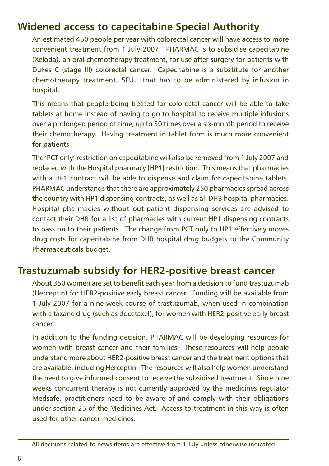## <span id="page-5-0"></span>**Widened access to capecitabine Special Authority**

An estimated 450 people per year with colorectal cancer will have access to more convenient treatment from 1 July 2007. PHARMAC is to subsidise capecitabine (Xeloda), an oral chemotherapy treatment, for use after surgery for patients with Dukes C (stage III) colorectal cancer. Capecitabine is a substitute for another chemotherapy treatment, 5FU, that has to be administered by infusion in hospital.

This means that people being treated for colorectal cancer will be able to take tablets at home instead of having to go to hospital to receive multiple infusions over a prolonged period of time; up to 30 times over a six-month period to receive their chemotherapy. Having treatment in tablet form is much more convenient for patients.

The 'PCT only' restriction on capecitabine will also be removed from 1 July 2007 and replaced with the Hospital pharmacy [HP1] restriction. This means that pharmacies with a HP1 contract will be able to dispense and claim for capecitabine tablets. PHARMAC understands that there are approximately 250 pharmacies spread across the country with HP1 dispensing contracts, as well as all DHB hospital pharmacies. Hospital pharmacies without out-patient dispensing services are advised to contact their DHB for a list of pharmacies with current HP1 dispensing contracts to pass on to their patients. The change from PCT only to HP1 effectively moves drug costs for capecitabine from DHB hospital drug budgets to the Community Pharmaceuticals budget.

### **Trastuzumab subsidy for HER2-positive breast cancer**

About 350 women are set to benefit each year from a decision to fund trastuzumab (Herceptin) for HER2-positive early breast cancer. Funding will be available from 1 July 2007 for a nine-week course of trastuzumab, when used in combination with a taxane drug (such as docetaxel), for women with HER2-positive early breast cancer.

In addition to the funding decision, PHARMAC will be developing resources for women with breast cancer and their families. These resources will help people understand more about HER2-positive breast cancer and the treatment options that are available, including Herceptin. The resources will also help women understand the need to give informed consent to receive the subsidised treatment. Since nine weeks concurrent therapy is not currently approved by the medicines regulator Medsafe, practitioners need to be aware of and comply with their obligations under section 25 of the Medicines Act. Access to treatment in this way is often used for other cancer medicines.

All decisions related to news items are effective from 1 July unless otherwise indicated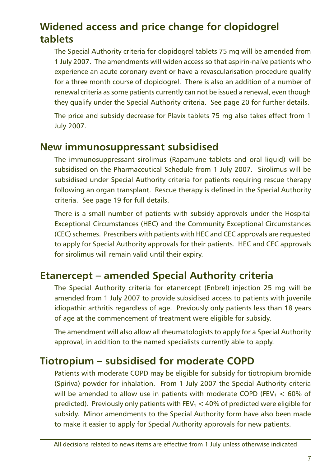## <span id="page-6-0"></span>**Widened access and price change for clopidogrel tablets**

The Special Authority criteria for clopidogrel tablets 75 mg will be amended from 1 July 2007. The amendments will widen access so that aspirin-naïve patients who experience an acute coronary event or have a revascularisation procedure qualify for a three month course of clopidogrel. There is also an addition of a number of renewal criteria as some patients currently can not be issued a renewal, even though they qualify under the Special Authority criteria. See page 20 for further details.

The price and subsidy decrease for Plavix tablets 75 mg also takes effect from 1 July 2007.

### **New immunosuppressant subsidised**

The immunosuppressant sirolimus (Rapamune tablets and oral liquid) will be subsidised on the Pharmaceutical Schedule from 1 July 2007. Sirolimus will be subsidised under Special Authority criteria for patients requiring rescue therapy following an organ transplant. Rescue therapy is defined in the Special Authority criteria. See page 19 for full details.

There is a small number of patients with subsidy approvals under the Hospital Exceptional Circumstances (HEC) and the Community Exceptional Circumstances (CEC) schemes. Prescribers with patients with HEC and CEC approvals are requested to apply for Special Authority approvals for their patients. HEC and CEC approvals for sirolimus will remain valid until their expiry.

## **Etanercept – amended Special Authority criteria**

The Special Authority criteria for etanercept (Enbrel) injection 25 mg will be amended from 1 July 2007 to provide subsidised access to patients with juvenile idiopathic arthritis regardless of age. Previously only patients less than 18 years of age at the commencement of treatment were eligible for subsidy.

The amendment will also allow all rheumatologists to apply for a Special Authority approval, in addition to the named specialists currently able to apply.

## **Tiotropium – subsidised for moderate COPD**

Patients with moderate COPD may be eligible for subsidy for tiotropium bromide (Spiriva) powder for inhalation. From 1 July 2007 the Special Authority criteria will be amended to allow use in patients with moderate COPD (FEV<sub>1</sub>  $<$  60% of predicted). Previously only patients with FEV $_1$  < 40% of predicted were eligible for subsidy. Minor amendments to the Special Authority form have also been made to make it easier to apply for Special Authority approvals for new patients.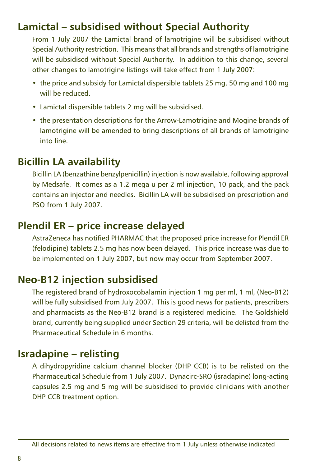## <span id="page-7-0"></span>**Lamictal – subsidised without Special Authority**

From 1 July 2007 the Lamictal brand of lamotrigine will be subsidised without Special Authority restriction. This means that all brands and strengths of lamotrigine will be subsidised without Special Authority. In addition to this change, several other changes to lamotrigine listings will take effect from 1 July 2007:

- the price and subsidy for Lamictal dispersible tablets 25 mg, 50 mg and 100 mg will be reduced.
- Lamictal dispersible tablets 2 mg will be subsidised.
- the presentation descriptions for the Arrow-Lamotrigine and Mogine brands of lamotrigine will be amended to bring descriptions of all brands of lamotrigine into line.

## **Bicillin LA availability**

Bicillin LA (benzathine benzylpenicillin) injection is now available, following approval by Medsafe. It comes as a 1.2 mega u per 2 ml injection, 10 pack, and the pack contains an injector and needles. Bicillin LA will be subsidised on prescription and PSO from 1 July 2007.

## **Plendil ER – price increase delayed**

AstraZeneca has notified PHARMAC that the proposed price increase for Plendil ER (felodipine) tablets 2.5 mg has now been delayed. This price increase was due to be implemented on 1 July 2007, but now may occur from September 2007.

## **Neo-B12 injection subsidised**

The registered brand of hydroxocobalamin injection 1 mg per ml, 1 ml, (Neo-B12) will be fully subsidised from July 2007. This is good news for patients, prescribers and pharmacists as the Neo-B12 brand is a registered medicine. The Goldshield brand, currently being supplied under Section 29 criteria, will be delisted from the Pharmaceutical Schedule in 6 months.

## **Isradapine – relisting**

A dihydropyridine calcium channel blocker (DHP CCB) is to be relisted on the Pharmaceutical Schedule from 1 July 2007. Dynacirc-SRO (isradapine) long-acting capsules 2.5 mg and 5 mg will be subsidised to provide clinicians with another DHP CCB treatment option.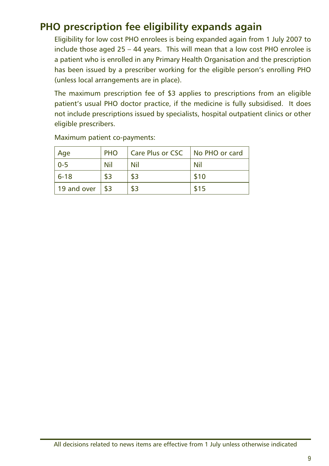## <span id="page-8-0"></span>**PHO prescription fee eligibility expands again**

Eligibility for low cost PHO enrolees is being expanded again from 1 July 2007 to include those aged 25 – 44 years. This will mean that a low cost PHO enrolee is a patient who is enrolled in any Primary Health Organisation and the prescription has been issued by a prescriber working for the eligible person's enrolling PHO (unless local arrangements are in place).

The maximum prescription fee of \$3 applies to prescriptions from an eligible patient's usual PHO doctor practice, if the medicine is fully subsidised. It does not include prescriptions issued by specialists, hospital outpatient clinics or other eligible prescribers.

| Age         | <b>PHO</b> | Care Plus or CSC | No PHO or card |
|-------------|------------|------------------|----------------|
| $0 - 5$     | Nil        | Nil              | Nil            |
| $6 - 18$    |            | \$3              | \$10           |
| 19 and over |            | \$3              | \$15           |

Maximum patient co-payments: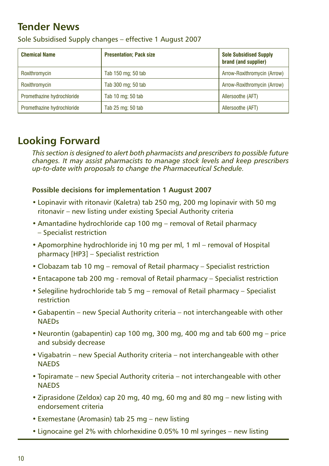## <span id="page-9-0"></span>**Tender News**

| <b>Presentation; Pack size</b><br><b>Chemical Name</b> |                    | <b>Sole Subsidised Supply</b><br>brand (and supplier) |  |
|--------------------------------------------------------|--------------------|-------------------------------------------------------|--|
| Roxithromycin                                          | Tab 150 mg; 50 tab | Arrow-Roxithromycin (Arrow)                           |  |
| Roxithromycin                                          | Tab 300 mg; 50 tab | Arrow-Roxithromycin (Arrow)                           |  |
| Promethazine hydrochloride                             | Tab 10 mg; 50 tab  | Allersoothe (AFT)                                     |  |
| Promethazine hydrochloride                             | Tab 25 mg; 50 tab  | Allersoothe (AFT)                                     |  |

Sole Subsidised Supply changes – effective 1 August 2007

### **Looking Forward**

*This section is designed to alert both pharmacists and prescribers to possible future changes. It may assist pharmacists to manage stock levels and keep prescribers up-to-date with proposals to change the Pharmaceutical Schedule.*

#### **Possible decisions for implementation 1 August 2007**

- Lopinavir with ritonavir (Kaletra) tab 250 mg, 200 mg lopinavir with 50 mg ritonavir – new listing under existing Special Authority criteria
- Amantadine hydrochloride cap 100 mg removal of Retail pharmacy – Specialist restriction
- Apomorphine hydrochloride inj 10 mg per ml, 1 ml removal of Hospital pharmacy [HP3] – Specialist restriction
- Clobazam tab 10 mg removal of Retail pharmacy Specialist restriction
- Entacapone tab 200 mg removal of Retail pharmacy Specialist restriction
- Selegiline hydrochloride tab 5 mg removal of Retail pharmacy Specialist restriction
- Gabapentin new Special Authority criteria not interchangeable with other **NAFDs**
- Neurontin (gabapentin) cap 100 mg, 300 mg, 400 mg and tab 600 mg price and subsidy decrease
- Vigabatrin new Special Authority criteria not interchangeable with other **NAFDS**
- Topiramate new Special Authority criteria not interchangeable with other **NAFDS**
- Ziprasidone (Zeldox) cap 20 mg, 40 mg, 60 mg and 80 mg new listing with endorsement criteria
- Exemestane (Aromasin) tab 25 mg new listing
- Lignocaine gel 2% with chlorhexidine 0.05% 10 ml syringes new listing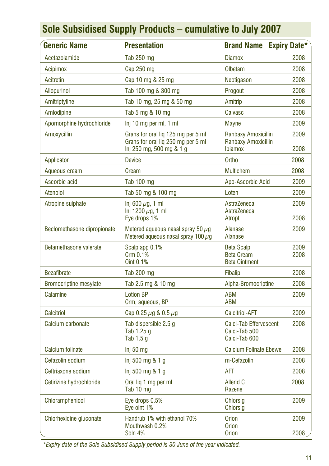<span id="page-10-0"></span>

| <b>Generic Name</b>           | <b>Presentation</b>                                                                                  | <b>Brand Name</b>                                                   | <b>Expiry Date*</b> |
|-------------------------------|------------------------------------------------------------------------------------------------------|---------------------------------------------------------------------|---------------------|
| Acetazolamide                 | Tab 250 mg                                                                                           | <b>Diamox</b>                                                       | 2008                |
| <b>Acipimox</b>               | Cap 250 mg                                                                                           | Olbetam                                                             | 2008                |
| Acitretin                     | Cap 10 mg & 25 mg                                                                                    | Neotigason                                                          | 2008                |
| <b>Allopurinol</b>            | Tab 100 mg & 300 mg                                                                                  | Progout                                                             | 2008                |
| Amitriptyline                 | Tab 10 mg, 25 mg & 50 mg                                                                             | Amitrip                                                             | 2008                |
| Amlodipine                    | Tab 5 mg & 10 mg                                                                                     | Calvasc                                                             | 2008                |
| Apomorphine hydrochloride     | Inj 10 mg per ml, 1 ml                                                                               | <b>Mayne</b>                                                        | 2009                |
| Amoxycillin                   | Grans for oral liq 125 mg per 5 ml<br>Grans for oral lig 250 mg per 5 ml<br>lnj 250 mg, 500 mg & 1 g | Ranbaxy Amoxicillin<br><b>Ranbaxy Amoxicillin</b><br><b>Ibiamox</b> | 2009<br>2008        |
| Applicator                    | <b>Device</b>                                                                                        | Ortho                                                               | 2008                |
| Aqueous cream                 | Cream                                                                                                | <b>Multichem</b>                                                    | 2008                |
| Ascorbic acid                 | <b>Tab 100 mg</b>                                                                                    | Apo-Ascorbic Acid                                                   | 2009                |
| Atenolol                      | Tab 50 mg & 100 mg                                                                                   | Loten                                                               | 2009                |
| Atropine sulphate             | Inj 600 $\mu$ g, 1 ml<br>Inj 1200 $\mu$ g, 1 ml<br>Eye drops 1%                                      | AstraZeneca<br>AstraZeneca<br>Atropt                                | 2009<br>2008        |
| Beclomethasone dipropionate   | Metered aqueous nasal spray 50 $\mu$ g<br>Metered aqueous nasal spray 100 $\mu$ q                    | Alanase<br><b>Alanase</b>                                           | 2009                |
| Betamethasone valerate        | Scalp app 0.1%<br>Crm 0.1%<br>Oint 0.1%                                                              | <b>Beta Scalp</b><br><b>Beta Cream</b><br><b>Beta Ointment</b>      | 2009<br>2008        |
| <b>Bezafibrate</b>            | Tab 200 mg                                                                                           | <b>Fibalip</b>                                                      | 2008                |
| <b>Bromocriptine mesylate</b> | Tab 2.5 mg & 10 mg                                                                                   | Alpha-Bromocriptine                                                 | 2008                |
| Calamine                      | <b>Lotion BP</b><br>Crm, aqueous, BP                                                                 | <b>ABM</b><br><b>ABM</b>                                            | 2009                |
| Calcitriol                    | Cap 0.25 $\mu$ g & 0.5 $\mu$ g                                                                       | <b>Calcitriol-AFT</b>                                               | 2009                |
| Calcium carbonate             | Tab dispersible 2.5 q<br>Tab 1.25 g<br>Tab 1.5 g                                                     | Calci-Tab Effervescent<br>Calci-Tab 500<br>Calci-Tab 600            | 2008                |
| <b>Calcium folinate</b>       | Inj 50 mg                                                                                            | <b>Calcium Folinate Ebewe</b>                                       | 2008                |
| Cefazolin sodium              | Inj 500 mg 8.1 g                                                                                     | m-Cefazolin                                                         | 2008                |
| Ceftriaxone sodium            | Inj 500 mg & 1 g                                                                                     | <b>AFT</b>                                                          | 2008                |
| Cetirizine hydrochloride      | Oral lig 1 mg per ml<br>Tab 10 mg                                                                    | <b>Allerid C</b><br>Razene                                          | 2008                |
| Chloramphenicol               | Eye drops 0.5%<br>Eye oint 1%                                                                        | <b>Chlorsig</b><br><b>Chlorsig</b>                                  | 2009                |
| Chlorhexidine gluconate       | Handrub 1% with ethanol 70%<br>Mouthwash 0.2%<br>Soln 4%                                             | <b>Orion</b><br><b>Orion</b><br><b>Orion</b>                        | 2009<br>2008        |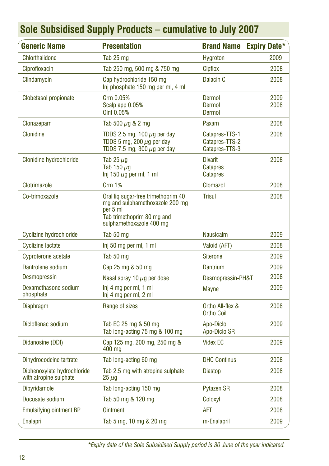| <b>Generic Name</b>                                   | <b>Presentation</b>                                                                                                                          | <b>Brand Name</b>                                    | <b>Expiry Date*</b> |
|-------------------------------------------------------|----------------------------------------------------------------------------------------------------------------------------------------------|------------------------------------------------------|---------------------|
| <b>Chlorthalidone</b>                                 | Tab 25 mg                                                                                                                                    | <b>Hygroton</b>                                      | 2009                |
| Ciprofloxacin                                         | Tab 250 mg, 500 mg & 750 mg                                                                                                                  | <b>Cipflox</b>                                       | 2008                |
| Clindamycin                                           | Cap hydrochloride 150 mg<br>Inj phosphate 150 mg per ml, 4 ml                                                                                | Dalacin C                                            | 2008                |
| Clobetasol propionate                                 | Crm 0.05%<br>Scalp app 0.05%<br>Oint 0.05%                                                                                                   | Dermol<br><b>Dermol</b><br>Dermol                    | 2009<br>2008        |
| Clonazepam                                            | Tab 500 $\mu$ g & 2 mg                                                                                                                       | Paxam                                                | 2008                |
| Clonidine                                             | TDDS 2.5 mg, 100 $\mu$ g per day<br>TDDS 5 mg, 200 $\mu$ g per day<br>TDDS 7.5 mg, 300 $\mu$ g per day                                       | Catapres-TTS-1<br>Catapres-TTS-2<br>Catapres-TTS-3   | 2008                |
| Clonidine hydrochloride                               | Tab 25 $\mu$ g<br>Tab 150 $\mu$ g<br>Inj 150 $\mu$ g per ml, 1 ml                                                                            | <b>Dixarit</b><br><b>Catapres</b><br><b>Catapres</b> | 2008                |
| Clotrimazole                                          | <b>Crm 1%</b>                                                                                                                                | Clomazol                                             | 2008                |
| Co-trimoxazole                                        | Oral lig sugar-free trimethoprim 40<br>mg and sulphamethoxazole 200 mg<br>per 5 ml<br>Tab trimethoprim 80 mg and<br>sulphamethoxazole 400 mg | <b>Trisul</b>                                        | 2008                |
| Cyclizine hydrochloride                               | Tab 50 mg                                                                                                                                    | <b>Nausicalm</b>                                     | 2009                |
| <b>Cyclizine lactate</b>                              | Inj 50 mg per ml, 1 ml                                                                                                                       | Valoid (AFT)                                         | 2008                |
| Cyproterone acetate                                   | Tab 50 mg                                                                                                                                    | <b>Siterone</b>                                      | 2009                |
| Dantrolene sodium                                     | Cap 25 mg & 50 mg                                                                                                                            | <b>Dantrium</b>                                      | 2009                |
| <b>Desmopressin</b>                                   | Nasal spray 10 $\mu$ g per dose                                                                                                              | Desmopressin-PH&T                                    | 2008                |
| Dexamethasone sodium<br>phosphate                     | Inj 4 mg per ml, 1 ml<br>Inj 4 mg per ml, 2 ml                                                                                               | <b>Mayne</b>                                         | 2009                |
| Diaphragm                                             | Range of sizes                                                                                                                               | Ortho All-flex &<br><b>Ortho Coil</b>                | 2008                |
| Dicloflenac sodium                                    | Tab EC 25 mg & 50 mg<br>Tab long-acting 75 mg & 100 mg                                                                                       | Apo-Diclo<br>Apo-Diclo SR                            | 2009                |
| Didanosine (DDI)                                      | Cap 125 mg, 200 mg, 250 mg &<br>400 mg                                                                                                       | <b>Videx EC</b>                                      | 2009                |
| Dihydrocodeine tartrate                               | Tab long-acting 60 mg                                                                                                                        | <b>DHC Continus</b>                                  | 2008                |
| Diphenoxylate hydrochloride<br>with atropine sulphate | Tab 2.5 mg with atropine sulphate<br>$25 \mu g$                                                                                              | <b>Diastop</b>                                       | 2008                |
| Dipyridamole                                          | Tab long-acting 150 mg                                                                                                                       | <b>Pytazen SR</b>                                    | 2008                |
| Docusate sodium                                       | Tab 50 mg & 120 mg                                                                                                                           | Coloxyl                                              | 2008                |
| <b>Emulsifying ointment BP</b>                        | <b>Ointment</b>                                                                                                                              | <b>AFT</b>                                           | 2008                |
| Enalapril                                             | Tab 5 mg, 10 mg & 20 mg                                                                                                                      | m-Enalapril                                          | 2009                |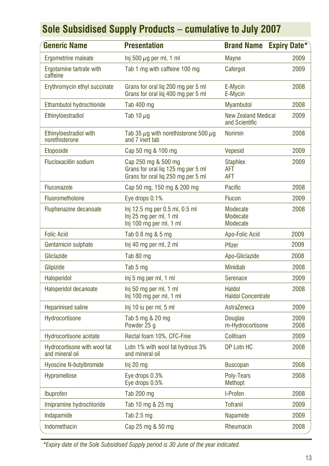| <b>Generic Name</b>                             | <b>Presentation</b>                                                                             | <b>Brand Name</b>                            | <b>Expiry Date*</b> |
|-------------------------------------------------|-------------------------------------------------------------------------------------------------|----------------------------------------------|---------------------|
| Ergometrine maleate                             | Inj 500 $\mu$ g per ml, 1 ml                                                                    | <b>Mayne</b>                                 | 2009                |
| Ergotamine tartrate with<br>caffeine            | Tab 1 mg with caffeine 100 mg                                                                   | Cafergot                                     | 2009                |
| Erythromycin ethyl succinate                    | Grans for oral lig 200 mg per 5 ml<br>Grans for oral lig 400 mg per 5 ml                        | E-Mycin<br>E-Mycin                           | 2008                |
| Ethambutol hydrochloride                        | Tab 400 mg                                                                                      | <b>Myambutol</b>                             | 2008                |
| Ethinyloestradiol                               | Tab 10 $\mu$ q                                                                                  | <b>New Zealand Medical</b><br>and Scientific | 2009                |
| Ethinvloestradiol with<br>norethisterone        | Tab 35 $\mu$ g with norethisterone 500 $\mu$ g<br>and 7 inert tab                               | <b>Norimin</b>                               | 2008                |
| <b>Etoposide</b>                                | Cap 50 mg & 100 mg                                                                              | <b>Vepesid</b>                               | 2009                |
| <b>Flucloxacillin sodium</b>                    | Cap 250 mg & 500 mg<br>Grans for oral liq 125 mg per 5 ml<br>Grans for oral liq 250 mg per 5 ml | <b>Staphlex</b><br><b>AFT</b><br><b>AFT</b>  | 2009                |
| <b>Fluconazole</b>                              | Cap 50 mg, 150 mg & 200 mg                                                                      | Pacific                                      | 2008                |
| Fluorometholone                                 | Eye drops 0.1%                                                                                  | <b>Flucon</b>                                | 2009                |
| <b>Fluphenazine decanoate</b>                   | Inj 12.5 mg per 0.5 ml, 0.5 ml<br>Inj 25 mg per ml, 1 ml<br>Inj 100 mg per ml, 1 ml             | Modecate<br>Modecate<br>Modecate             | 2008                |
| <b>Folic Acid</b>                               | Tab 0.8 mg & 5 mg                                                                               | Apo-Folic Acid                               | 2009                |
| Gentamicin sulphate                             | Inj 40 mg per ml, 2 ml                                                                          | <b>Pfizer</b>                                | 2009                |
| Gliclazide                                      | Tab 80 mg                                                                                       | Apo-Gliclazide                               | 2008                |
| Glipizide                                       | Tab 5 mg                                                                                        | <b>Minidiab</b>                              | 2008                |
| <b>Haloperidol</b>                              | Inj 5 mg per ml, 1 ml                                                                           | Serenace                                     | 2009                |
| Haloperidol decanoate                           | Inj 50 mg per ml, 1 ml<br>Inj 100 mg per ml, 1 ml                                               | Haldol<br><b>Haldol Concentrate</b>          | 2008                |
| <b>Heparinised saline</b>                       | Inj 10 iu per ml, 5 ml                                                                          | AstraZeneca                                  | 2009                |
| Hydrocortisone                                  | Tab 5 mg & 20 mg<br>Powder 25 g                                                                 | <b>Douglas</b><br>m-Hydrocortisone           | 2009<br>2008        |
| <b>Hydrocortisone acetate</b>                   | Rectal foam 10%, CFC-Free                                                                       | Colifoam                                     | 2009                |
| Hydrocortisone with wool fat<br>and mineral oil | Lotn 1% with wool fat hydrous 3%<br>and mineral oil                                             | DP Lotn HC                                   | 2008                |
| <b>Hyoscine N-butylbromide</b>                  | Inj 20 mg                                                                                       | <b>Buscopan</b>                              | 2008                |
| Hypromellose                                    | Eye drops 0.3%<br>Eye drops 0.5%                                                                | Polv-Tears<br><b>Methopt</b>                 | 2008                |
| <b>Ibuprofen</b>                                | Tab 200 mg                                                                                      | I-Profen                                     | 2008                |
| Imipramine hydrochloride                        | Tab 10 mg & 25 mg                                                                               | <b>Tofranil</b>                              | 2009                |
| Indapamide                                      | Tab $2.5$ mg                                                                                    | Napamide                                     | 2009                |
| Indomethacin                                    | Cap 25 mg & 50 mg                                                                               | Rheumacin                                    | 2008                |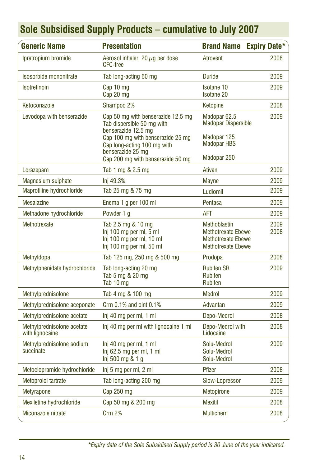| <b>Generic Name</b>                           | <b>Presentation</b>                                                                                                                                                                                                   | <b>Brand Name</b>                                                                                          | <b>Expiry Date*</b> |
|-----------------------------------------------|-----------------------------------------------------------------------------------------------------------------------------------------------------------------------------------------------------------------------|------------------------------------------------------------------------------------------------------------|---------------------|
| Ipratropium bromide                           | Aerosol inhaler, $20 \mu q$ per dose<br><b>CFC-free</b>                                                                                                                                                               | Atrovent                                                                                                   | 2008                |
| Isosorbide mononitrate                        | Tab long-acting 60 mg                                                                                                                                                                                                 | <b>Duride</b>                                                                                              | 2009                |
| <b>Isotretinoin</b>                           | Cap 10 mg<br>Cap 20 mg                                                                                                                                                                                                | <b>Isotane 10</b><br><b>Isotane 20</b>                                                                     | 2009                |
| Ketoconazole                                  | Shampoo 2%                                                                                                                                                                                                            | Ketopine                                                                                                   | 2008                |
| Levodopa with benserazide                     | Cap 50 mg with benserazide 12.5 mg<br>Tab dispersible 50 mg with<br>benserazide 12.5 mg<br>Cap 100 mg with benserazide 25 mg<br>Cap long-acting 100 mg with<br>benserazide 25 mg<br>Cap 200 mg with benserazide 50 mg | Madopar 62.5<br><b>Madopar Dispersible</b><br>Madopar 125<br><b>Madopar HBS</b><br>Madopar 250             | 2009                |
| Lorazepam                                     | Tab 1 mg & 2.5 mg                                                                                                                                                                                                     | Ativan                                                                                                     | 2009                |
| Magnesium sulphate                            | Inj 49.3%                                                                                                                                                                                                             | <b>Mayne</b>                                                                                               | 2009                |
| Maprotiline hydrochloride                     | Tab 25 mg & 75 mg                                                                                                                                                                                                     | Ludiomil                                                                                                   | 2009                |
| <b>Mesalazine</b>                             | Enema 1 g per 100 ml                                                                                                                                                                                                  | Pentasa                                                                                                    | 2009                |
| Methadone hydrochloride                       | Powder 1 g                                                                                                                                                                                                            | <b>AFT</b>                                                                                                 | 2009                |
| Methotrexate                                  | Tab 2.5 mg & 10 mg<br>Inj 100 mg per ml, 5 ml<br>Inj 100 mg per ml, 10 ml<br>Inj 100 mg per ml, 50 ml                                                                                                                 | <b>Methoblastin</b><br><b>Methotrexate Ebewe</b><br><b>Methotrexate Ebewe</b><br><b>Methotrexate Ebewe</b> | 2009<br>2008        |
| Methyldopa                                    | Tab 125 mg, 250 mg & 500 mg                                                                                                                                                                                           | Prodopa                                                                                                    | 2008                |
| Methylphenidate hydrochloride                 | Tab long-acting 20 mg<br>Tab 5 mg & 20 mg<br>Tab 10 mg                                                                                                                                                                | <b>Rubifen SR</b><br><b>Rubifen</b><br><b>Rubifen</b>                                                      | 2009                |
| Methylprednisolone                            | Tab 4 mg & 100 mg                                                                                                                                                                                                     | Medrol                                                                                                     | 2009                |
| Methylprednisolone aceponate                  | Crm $0.1\%$ and oint $0.1\%$                                                                                                                                                                                          | Advantan                                                                                                   | 2009                |
| Methylprednisolone acetate                    | Inj 40 mg per ml, 1 ml                                                                                                                                                                                                | Depo-Medrol                                                                                                | 2008                |
| Methylprednisolone acetate<br>with lignocaine | Inj 40 mg per ml with lignocaine 1 ml                                                                                                                                                                                 | Depo-Medrol with<br>Lidocaine                                                                              | 2008                |
| Methylprednisolone sodium<br>succinate        | Inj 40 mg per ml, 1 ml<br>$Inj$ 62.5 mg per ml, 1 ml<br>Inj 500 mg & 1 g                                                                                                                                              | Solu-Medrol<br>Solu-Medrol<br>Solu-Medrol                                                                  | 2009                |
| Metoclopramide hydrochloride                  | Inj 5 mg per ml, 2 ml                                                                                                                                                                                                 | Pfizer                                                                                                     | 2008                |
| Metoprolol tartrate                           | Tab long-acting 200 mg                                                                                                                                                                                                | Slow-Lopressor                                                                                             | 2009                |
| <b>Metyrapone</b>                             | Cap 250 mg                                                                                                                                                                                                            | <b>Metopirone</b>                                                                                          | 2009                |
| Mexiletine hydrochloride                      | Cap 50 mg & 200 mg                                                                                                                                                                                                    | <b>Mexitil</b>                                                                                             | 2008                |
| Miconazole nitrate                            | <b>Crm 2%</b>                                                                                                                                                                                                         | <b>Multichem</b>                                                                                           | 2008                |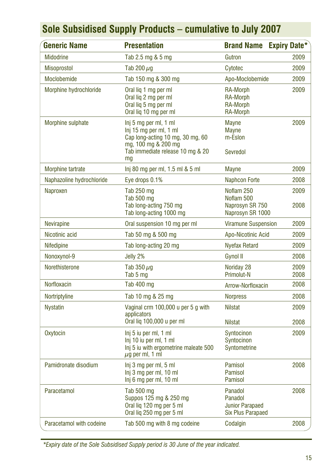| <b>Generic Name</b>       | <b>Presentation</b>                                                                                                                                  | <b>Brand Name</b>                                                        | <b>Expiry Date*</b> |
|---------------------------|------------------------------------------------------------------------------------------------------------------------------------------------------|--------------------------------------------------------------------------|---------------------|
| <b>Midodrine</b>          | Tab 2.5 mg & 5 mg                                                                                                                                    | Gutron                                                                   | 2009                |
| <b>Misoprostol</b>        | Tab 200 $\mu$ g                                                                                                                                      | Cytotec                                                                  | 2009                |
| Moclobemide               | Tab 150 mg & 300 mg                                                                                                                                  | Apo-Moclobemide                                                          | 2009                |
| Morphine hydrochloride    | Oral lig 1 mg per ml<br>Oral lig 2 mg per ml<br>Oral lig 5 mg per ml<br>Oral lig 10 mg per ml                                                        | RA-Morph<br><b>RA-Morph</b><br><b>RA-Morph</b><br><b>RA-Morph</b>        | 2009                |
| Morphine sulphate         | Inj 5 mg per ml, 1 ml<br>Inj 15 mg per ml, 1 ml<br>Cap long-acting 10 mg, 30 mg, 60<br>mg, 100 mg & 200 mg<br>Tab immediate release 10 mg & 20<br>mg | <b>Mayne</b><br><b>Mayne</b><br>m-Eslon<br>Sevredol                      | 2009                |
| <b>Morphine tartrate</b>  | lnj 80 mg per ml, 1.5 ml & 5 ml                                                                                                                      | <b>Mayne</b>                                                             | 2009                |
| Naphazoline hydrochloride | Eye drops 0.1%                                                                                                                                       | <b>Naphcon Forte</b>                                                     | 2008                |
| Naproxen                  | Tab 250 mg<br>Tab 500 mg<br>Tab long-acting 750 mg<br>Tab long-acting 1000 mg                                                                        | Noflam 250<br>Noflam 500<br>Naprosyn SR 750<br>Naprosyn SR 1000          | 2009<br>2008        |
| <b>Nevirapine</b>         | Oral suspension 10 mg per ml                                                                                                                         | <b>Viramune Suspension</b>                                               | 2009                |
| Nicotinic acid            | Tab 50 mg & 500 mg                                                                                                                                   | Apo-Nicotinic Acid                                                       | 2009                |
| Nifedipine                | Tab long-acting 20 mg                                                                                                                                | <b>Nyefax Retard</b>                                                     | 2009                |
| Nonoxynol-9               | Jelly 2%                                                                                                                                             | Gynol II                                                                 | 2008                |
| Norethisterone            | Tab $350 \mu q$<br>Tab 5 mg                                                                                                                          | Noriday 28<br>Primolut-N                                                 | 2009<br>2008        |
| Norfloxacin               | Tab 400 mg                                                                                                                                           | Arrow-Norfloxacin                                                        | 2008                |
| Nortriptyline             | Tab 10 mg & 25 mg                                                                                                                                    | <b>Norpress</b>                                                          | 2008                |
| <b>Nystatin</b>           | Vaginal crm 100,000 u per 5 g with<br>applicators                                                                                                    | <b>Nilstat</b>                                                           | 2009                |
|                           | Oral lig 100,000 u per ml                                                                                                                            | <b>Nilstat</b>                                                           | 2008                |
| <b>Oxytocin</b>           | Inj 5 iu per ml, 1 ml<br>Inj 10 iu per ml, 1 ml<br>Inj 5 iu with ergometrine maleate 500<br>$\mu$ g per ml, 1 ml                                     | Syntocinon<br>Syntocinon<br>Syntometrine                                 | 2009                |
| Pamidronate disodium      | Inj 3 mg per ml, 5 ml<br>Inj 3 mg per ml, 10 ml<br>Inj 6 mg per ml, 10 ml                                                                            | Pamisol<br><b>Pamisol</b><br><b>Pamisol</b>                              | 2008                |
| Paracetamol               | Tab 500 mg<br>Suppos 125 mg & 250 mg<br>Oral lig 120 mg per 5 ml<br>Oral liq 250 mg per 5 ml                                                         | Panadol<br>Panadol<br><b>Junior Parapaed</b><br><b>Six Plus Parapaed</b> | 2008                |
| Paracetamol with codeine  | Tab 500 mg with 8 mg codeine                                                                                                                         | Codalgin                                                                 | 2008                |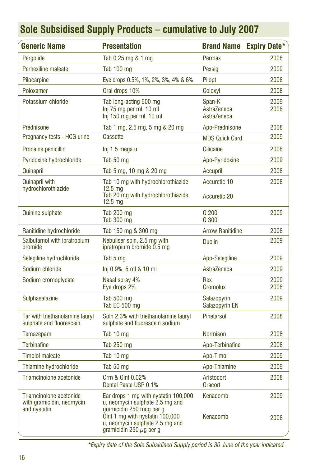| <b>Generic Name</b>                                                  | <b>Presentation</b>                                                                                                                    | <b>Brand Name</b>                    | <b>Expiry Date*</b> |
|----------------------------------------------------------------------|----------------------------------------------------------------------------------------------------------------------------------------|--------------------------------------|---------------------|
| Pergolide                                                            | Tab 0.25 mg & 1 mg                                                                                                                     | Permax                               | 2008                |
| Perhexiline maleate                                                  | <b>Tab 100 mg</b>                                                                                                                      | Pexsig                               | 2009                |
| Pilocarpine                                                          | Eye drops 0.5%, 1%, 2%, 3%, 4% & 6%                                                                                                    | Pilopt                               | 2008                |
| Poloxamer                                                            | Oral drops 10%                                                                                                                         | Coloxyl                              | 2008                |
| Potassium chloride                                                   | Tab long-acting 600 mg<br>Inj 75 mg per ml, 10 ml<br>Inj 150 mg per ml, 10 ml                                                          | Span-K<br>AstraZeneca<br>AstraZeneca | 2009<br>2008        |
| Prednisone                                                           | Tab 1 mg, 2.5 mg, 5 mg & 20 mg                                                                                                         | Apo-Prednisone                       | 2008                |
| Pregnancy tests - HCG urine                                          | Cassette                                                                                                                               | <b>MDS Quick Card</b>                | 2009                |
| Procaine penicillin                                                  | Inj 1.5 mega u                                                                                                                         | <b>Cilicaine</b>                     | 2008                |
| Pyridoxine hydrochloride                                             | Tab 50 mg                                                                                                                              | Apo-Pyridoxine                       | 2009                |
| Quinapril                                                            | Tab 5 mg, 10 mg & 20 mg                                                                                                                | Accupril                             | 2008                |
| <b>Quinapril with</b>                                                | Tab 10 mg with hydrochlorothiazide                                                                                                     | Accuretic 10                         | 2008                |
| hydrochlorothiazide                                                  | $12.5 \text{ ma}$<br>Tab 20 mg with hydrochlorothiazide<br>12.5 <sub>mg</sub>                                                          | Accuretic 20                         |                     |
| <b>Quinine sulphate</b>                                              | Tab 200 mg<br>Tab 300 mg                                                                                                               | Q 200<br>Q 300                       | 2009                |
| Ranitidine hydrochloride                                             | Tab 150 mg & 300 mg                                                                                                                    | <b>Arrow Ranitidine</b>              | 2008                |
| Salbutamol with ipratropium<br>bromide                               | Nebuliser soln, 2.5 mg with<br>ipratropium bromide 0.5 mg                                                                              | <b>Duolin</b>                        | 2009                |
| Selegiline hydrochloride                                             | Tab 5 mg                                                                                                                               | Apo-Selegiline                       | 2009                |
| Sodium chloride                                                      | Inj 0.9%, 5 ml & 10 ml                                                                                                                 | AstraZeneca                          | 2009                |
| Sodium cromoglycate                                                  | Nasal spray 4%<br>Eye drops 2%                                                                                                         | Rex<br><b>Cromolux</b>               | 2009<br>2008        |
| Sulphasalazine                                                       | Tab 500 mg<br>Tab EC 500 mg                                                                                                            | Salazopyrin<br>Salazopyrin EN        | 2009                |
| Tar with triethanolamine lauryl<br>sulphate and fluorescein          | Soln 2.3% with triethanolamine lauryl<br>sulphate and fluorescein sodium                                                               | Pinetarsol                           | 2008                |
| Temazepam                                                            | Tab 10 mg                                                                                                                              | <b>Normison</b>                      | 2008                |
| <b>Terbinafine</b>                                                   | Tab 250 mg                                                                                                                             | Apo-Terbinafine                      | 2008                |
| <b>Timolol maleate</b>                                               | Tab 10 mg                                                                                                                              | Apo-Timol                            | 2009                |
| Thiamine hydrochloride                                               | Tab 50 mg                                                                                                                              | Apo-Thiamine                         | 2009                |
| Triamcinolone acetonide                                              | Crm & Oint 0.02%<br>Dental Paste USP 0.1%                                                                                              | Aristocort<br><b>Oracort</b>         | 2008                |
| Triamcinolone acetonide<br>with gramicidin, neomycin<br>and nystatin | Ear drops 1 mg with nystatin 100,000<br>u, neomycin sulphate 2.5 mg and<br>gramicidin 250 mcg per g<br>Oint 1 mg with nystatin 100,000 | Kenacomb<br>Kenacomb                 | 2009                |
|                                                                      | u, neomycin sulphate 2.5 mg and<br>gramicidin 250 $\mu$ g per g                                                                        |                                      | 2008                |

*\*Expiry date of the Sole Subsidised Supply period is 30 June of the year indicated.*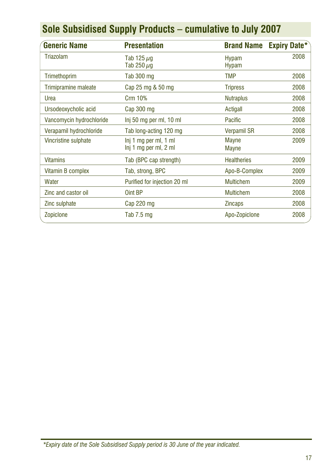|  |  |  |  | Sole Subsidised Supply Products – cumulative to July 2007 |  |  |
|--|--|--|--|-----------------------------------------------------------|--|--|
|--|--|--|--|-----------------------------------------------------------|--|--|

| <b>Generic Name</b>         | <b>Presentation</b>                            | <b>Brand Name</b>            | <b>Expiry Date*</b> |
|-----------------------------|------------------------------------------------|------------------------------|---------------------|
| Triazolam                   | Tab 125 $\mu$ g<br>Tab 250 $\mu$ g             | <b>Hypam</b><br><b>Hypam</b> | 2008                |
| Trimethoprim                | Tab 300 mg                                     | <b>TMP</b>                   | 2008                |
| <b>Trimipramine maleate</b> | Cap 25 mg & 50 mg                              | <b>Tripress</b>              | 2008                |
| Urea                        | <b>Crm 10%</b>                                 | <b>Nutraplus</b>             | 2008                |
| Ursodeoxycholic acid        | Cap 300 mg                                     | Actigall                     | 2008                |
| Vancomycin hydrochloride    | Inj 50 mg per ml, 10 ml                        | Pacific                      | 2008                |
| Verapamil hydrochloride     | Tab long-acting 120 mg                         | <b>Verpamil SR</b>           | 2008                |
| <b>Vincristine sulphate</b> | lni 1 mg per ml, 1 ml<br>Inj 1 mg per ml, 2 ml | <b>Mayne</b><br><b>Mayne</b> | 2009                |
| <b>Vitamins</b>             | Tab (BPC cap strength)                         | <b>Healtheries</b>           | 2009                |
| Vitamin B complex           | Tab, strong, BPC                               | Apo-B-Complex                | 2009                |
| Water                       | Purified for injection 20 ml                   | <b>Multichem</b>             | 2009                |
| Zinc and castor oil         | Oint BP                                        | <b>Multichem</b>             | 2008                |
| Zinc sulphate               | Cap 220 mg                                     | <b>Zincaps</b>               | 2008                |
| Zopiclone                   | Tab $7.5 \text{ mg}$                           | Apo-Zopiclone                | 2008                |

*<sup>\*</sup>Expiry date of the Sole Subsidised Supply period is 30 June of the year indicated.*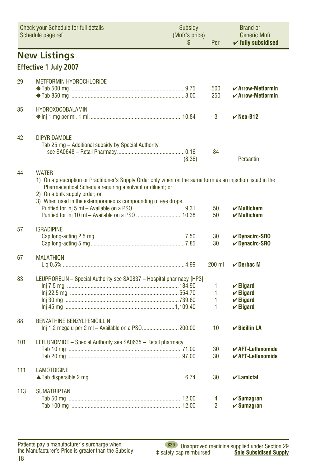<span id="page-17-0"></span>

|     | <b>Check your Schedule for full details</b><br>Schedule page ref                                                                                                                                                                                                                            |        | Per                 | <b>Brand or</b><br><b>Generic Mnfr</b><br>$\checkmark$ fully subsidised                      |  |  |  |  |  |
|-----|---------------------------------------------------------------------------------------------------------------------------------------------------------------------------------------------------------------------------------------------------------------------------------------------|--------|---------------------|----------------------------------------------------------------------------------------------|--|--|--|--|--|
|     | <b>New Listings</b>                                                                                                                                                                                                                                                                         |        |                     |                                                                                              |  |  |  |  |  |
|     | <b>Effective 1 July 2007</b>                                                                                                                                                                                                                                                                |        |                     |                                                                                              |  |  |  |  |  |
| 29  | <b>METFORMIN HYDROCHLORIDE</b>                                                                                                                                                                                                                                                              |        | 500<br>250          | $\boldsymbol{\checkmark}$ Arrow-Metformin<br>$\checkmark$ Arrow-Metformin                    |  |  |  |  |  |
| 35  | <b>HYDROXOCOBALAMIN</b>                                                                                                                                                                                                                                                                     |        | 3                   | $V$ Neo-B12                                                                                  |  |  |  |  |  |
| 42  | <b>DIPYRIDAMOLE</b><br>Tab 25 mg – Additional subsidy by Special Authority                                                                                                                                                                                                                  | (8.36) | 84                  | Persantin                                                                                    |  |  |  |  |  |
| 44  | <b>WATER</b><br>1) On a prescription or Practitioner's Supply Order only when on the same form as an injection listed in the<br>Pharmaceutical Schedule requiring a solvent or diluent; or<br>2) On a bulk supply order; or<br>3) When used in the extemporaneous compounding of eye drops. |        | 50<br>50            | $\boldsymbol{\checkmark}$ Multichem<br>$\boldsymbol{\nu}$ Multichem                          |  |  |  |  |  |
| 57  | <b>ISRADIPINE</b>                                                                                                                                                                                                                                                                           |        | 30<br>30            | <b>√Dynacirc-SRO</b><br>$\nu$ Dynacirc-SRO                                                   |  |  |  |  |  |
| 67  | <b>MALATHION</b>                                                                                                                                                                                                                                                                            |        | 200 ml              | $\vee$ Derbac M                                                                              |  |  |  |  |  |
| 83  | LEUPRORELIN - Special Authority see SA0837 - Hospital pharmacy [HP3]                                                                                                                                                                                                                        |        | 1<br>1<br>1<br>1    | $\checkmark$ Eligard<br>$\checkmark$ Eligard<br>$\checkmark$ Eligard<br>$\checkmark$ Eligard |  |  |  |  |  |
| 88  | <b>BENZATHINE BENZYLPENICILLIN</b>                                                                                                                                                                                                                                                          |        | 10                  | $\checkmark$ Bicillin LA                                                                     |  |  |  |  |  |
| 101 | LEFLUNOMIDE - Special Authority see SA0635 - Retail pharmacy                                                                                                                                                                                                                                |        | 30<br>30            | $\boldsymbol{\checkmark}$ AFT-Leflunomide<br>$\checkmark$ AFT-Leflunomide                    |  |  |  |  |  |
| 111 | <b>LAMOTRIGINE</b>                                                                                                                                                                                                                                                                          |        | 30                  | $\boldsymbol{\nu}$ Lamictal                                                                  |  |  |  |  |  |
| 113 | <b>SUMATRIPTAN</b>                                                                                                                                                                                                                                                                          |        | 4<br>$\overline{2}$ | $\checkmark$ Sumagran<br>$\checkmark$ Sumagran                                               |  |  |  |  |  |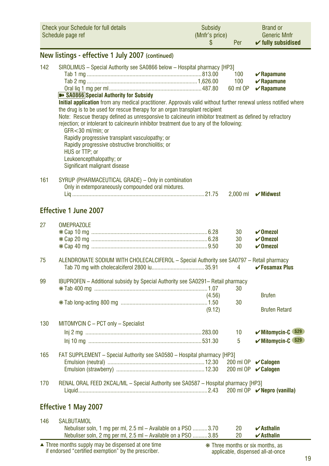<span id="page-18-0"></span>

| Check your Schedule for full details | Subsidy        | <b>Brand or</b>               |
|--------------------------------------|----------------|-------------------------------|
| Schedule page ref                    | (Mnfr's price) | <b>Generic Mnfr</b>           |
|                                      | Per            | $\checkmark$ fully subsidised |

### **New listings - effective 1 July 2007 (continued)**

| 142 | SIROLIMUS - Special Authority see SA0866 below - Hospital pharmacy [HP3]                                         |        |          |                                     |
|-----|------------------------------------------------------------------------------------------------------------------|--------|----------|-------------------------------------|
|     |                                                                                                                  |        | 100      | $\mathbf{v}$ Rapamune               |
|     |                                                                                                                  |        | 100      | $\boldsymbol{\mathcal{C}}$ Rapamune |
|     | SA0866 Special Authority for Subsidy                                                                             |        | 60 ml OP | $\mathbf{v}$ Rapamune               |
|     | Initial application from any medical practitioner. Approvals valid without further renewal unless notified where |        |          |                                     |
|     | the drug is to be used for rescue therapy for an organ transplant recipient                                      |        |          |                                     |
|     | Note: Rescue therapy defined as unresponsive to calcineurin inhibitor treatment as defined by refractory         |        |          |                                     |
|     | rejection; or intolerant to calcineurin inhibitor treatment due to any of the following:                         |        |          |                                     |
|     | GFR<30 ml/min; or                                                                                                |        |          |                                     |
|     | Rapidly progressive transplant vasculopathy; or                                                                  |        |          |                                     |
|     | Rapidly progressive obstructive bronchiolitis; or<br>HUS or TTP; or                                              |        |          |                                     |
|     | Leukoencepthalopathy; or                                                                                         |        |          |                                     |
|     | Significant malignant disease                                                                                    |        |          |                                     |
|     |                                                                                                                  |        |          |                                     |
| 161 | SYRUP (PHARMACEUTICAL GRADE) - Only in combination                                                               |        |          |                                     |
|     | Only in extemporaneously compounded oral mixtures.                                                               |        |          |                                     |
|     |                                                                                                                  |        |          | 2,000 ml <b>V</b> Midwest           |
|     | Effective 1 June 2007                                                                                            |        |          |                                     |
|     |                                                                                                                  |        |          |                                     |
| 27  | <b>OMEPRAZOLE</b>                                                                                                |        |          |                                     |
|     |                                                                                                                  |        | 30       | $\checkmark$ Omezol                 |
|     |                                                                                                                  |        | 30       | $\boldsymbol{\nu}$ Omezol           |
|     |                                                                                                                  |        | 30       | $\boldsymbol{\nu}$ Omezol           |
| 75  | ALENDRONATE SODIUM WITH CHOLECALCIFEROL - Special Authority see SA0797 - Retail pharmacy                         |        |          |                                     |
|     |                                                                                                                  |        | 4        | $\checkmark$ Fosamax Plus           |
| 99  | <b>IBUPROFEN</b> – Additional subsidy by Special Authority see SA0291– Retail pharmacy                           |        |          |                                     |
|     |                                                                                                                  |        | 30       |                                     |
|     |                                                                                                                  | (4.56) |          | <b>Brufen</b>                       |
|     |                                                                                                                  |        | 30       |                                     |
|     |                                                                                                                  | (9.12) |          | <b>Brufen Retard</b>                |
|     |                                                                                                                  |        |          |                                     |
| 130 | MITOMYCIN C - PCT only - Specialist                                                                              |        |          |                                     |
|     |                                                                                                                  |        | 10       | <b>√Mitomycin-C</b> \$29            |
|     |                                                                                                                  |        | 5        | $\mathcal V$ Mitomycin-C $$29$      |
| 165 | FAT SUPPLEMENT - Special Authority see SA0580 - Hospital pharmacy [HP3]                                          |        |          |                                     |
|     |                                                                                                                  |        |          | 200 ml OP <b>∠ Calogen</b>          |
|     |                                                                                                                  |        |          | 200 ml OP <b>∠ Calogen</b>          |
| 170 | RENAL ORAL FEED 2KCAL/ML - Special Authority see SA0587 - Hospital pharmacy [HP3]                                |        |          |                                     |
|     |                                                                                                                  |        |          | 200 ml OP <b>V</b> Nepro (vanilla)  |
|     |                                                                                                                  |        |          |                                     |
|     | <b>Effective 1 May 2007</b>                                                                                      |        |          |                                     |
|     |                                                                                                                  |        |          |                                     |
| 146 | <b>SALBUTAMOL</b>                                                                                                |        |          |                                     |
|     | Nebuliser soln, 1 mg per ml, 2.5 ml – Available on a PSO 3.70                                                    |        | 20       | $\boldsymbol{\nu}$ Asthalin         |
|     | Nebuliser soln, 2 mg per ml, 2.5 ml - Available on a PSO  3.85                                                   |        | 20       | $\boldsymbol{\nu}$ Asthalin         |
|     | $\blacktriangle$ Three months supply may be dispensed at one time                                                |        |          | * Three months or six months, as    |

if endorsed "certified exemption" by the prescriber. ▲ ❋ Three months or six months, as

applicable, dispensed all-at-once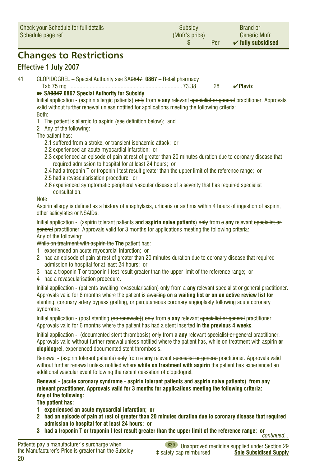<span id="page-19-0"></span>

|    | <b>Check your Schedule for full details</b><br>Subsidy<br>(Mnfr's price)<br>Schedule page ref<br>S                                                                                                                                                                                                                                                                                                                                                                                                                                                                                                                                                                                                                                                                                                                                                                                                                                   |  |    |               | Per | <b>Brand or</b><br><b>Generic Mnfr</b><br>$\checkmark$ fully subsidised |
|----|--------------------------------------------------------------------------------------------------------------------------------------------------------------------------------------------------------------------------------------------------------------------------------------------------------------------------------------------------------------------------------------------------------------------------------------------------------------------------------------------------------------------------------------------------------------------------------------------------------------------------------------------------------------------------------------------------------------------------------------------------------------------------------------------------------------------------------------------------------------------------------------------------------------------------------------|--|----|---------------|-----|-------------------------------------------------------------------------|
|    | <b>Changes to Restrictions</b>                                                                                                                                                                                                                                                                                                                                                                                                                                                                                                                                                                                                                                                                                                                                                                                                                                                                                                       |  |    |               |     |                                                                         |
|    | <b>Effective 1 July 2007</b>                                                                                                                                                                                                                                                                                                                                                                                                                                                                                                                                                                                                                                                                                                                                                                                                                                                                                                         |  |    |               |     |                                                                         |
| 41 | CLOPIDOGREL - Special Authority see SA0847 0867 - Retail pharmacy<br>>> SA0847 0867 Special Authority for Subsidy<br>Initial application - (aspirin allergic patients) only from a any relevant specialist or general practitioner. Approvals<br>valid without further renewal unless notified for applications meeting the following criteria:<br>Both:<br>1 The patient is allergic to aspirin (see definition below); and<br>2 Any of the following:<br>The patient has:<br>2.1 suffered from a stroke, or transient ischaemic attack; or<br>2.2 experienced an acute myocardial infarction; or<br>2.3 experienced an episode of pain at rest of greater than 20 minutes duration due to coronary disease that<br>required admission to hospital for at least 24 hours; or<br>2.4 had a troponin T or troponin I test result greater than the upper limit of the reference range; or<br>2.5 had a revascularisation procedure; or |  | 28 | $\vee$ Plavix |     |                                                                         |
|    | 2.6 experienced symptomatic peripheral vascular disease of a severity that has required specialist<br>consultation.<br><b>Note</b><br>Aspirin allergy is defined as a history of anaphylaxis, urticaria or asthma within 4 hours of ingestion of aspirin,<br>other salicylates or NSAIDs.<br>Initial application - (aspirin tolerant patients and aspirin naive patients) only from a any relevant specialist or<br>general practitioner. Approvals valid for 3 months for applications meeting the following criteria:<br>Any of the following:<br>While on treatment with aspirin the The patient has:<br>experienced an acute myocardial infarction; or<br>1.<br>2 had an episode of pain at rest of greater than 20 minutes duration due to coronary disease that required<br>admission to hospital for at least 24 hours: or                                                                                                    |  |    |               |     |                                                                         |

- 3 had a troponin T or troponin I test result greater than the upper limit of the reference range; or
- 4 had a revascularisation procedure.

Initial application - (patients awaiting revascularisation) only from a **any** relevant specialist or general practitioner. Approvals valid for 6 months where the patient is awaiting **on a waiting list or on an active review list for** stenting, coronary artery bypass grafting, or percutaneous coronary angioplasty following acute coronary syndrome.

Initial application - (post stenting (no renewals)) only from a **any** relevant specialist or general practitioner. Approvals valid for 6 months where the patient has had a stent inserted **in the previous 4 weeks**.

Initial application - (documented stent thrombosis) only from a **any** relevant specialist or general practitioner. Approvals valid without further renewal unless notified where the patient has, while on treatment with aspirin **or clopidogrel**, experienced documented stent thrombosis.

Renewal - (aspirin tolerant patients) only from a **any** relevant specialist or general practitioner. Approvals valid without further renewal unless notified where **while on treatment with aspirin** the patient has experienced an additional vascular event following the recent cessation of clopidogrel.

**Renewal - (acute coronary syndrome - aspirin tolerant patients and aspirin naive patients) from any relevant practitioner. Approvals valid for 3 months for applications meeting the following criteria: Any of the following:**

**The patient has:**

- **1 experienced an acute myocardial infarction; or**
- **2 had an episode of pain at rest of greater than 20 minutes duration due to coronary disease that required admission to hospital for at least 24 hours; or**
- **<sup>3</sup> had a troponin T or troponin I test result greater than the upper limit of the reference range; or***continued...*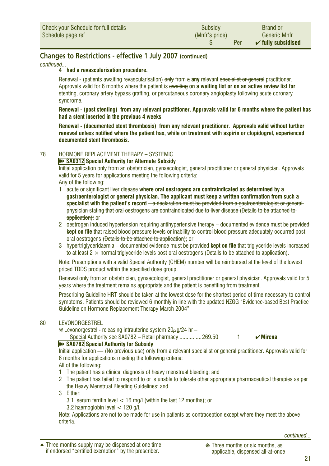<span id="page-20-0"></span>*continued...*

#### **4 had a revascularisation procedure.**

Renewal - (patients awaiting revascularisation) only from a **any** relevant specialist or general practitioner. Approvals valid for 6 months where the patient is awaiting **on a waiting list or on an active review list for** stenting, coronary artery bypass grafting, or percutaneous coronary angioplasty following acute coronary syndrome.

**Renewal - (post stenting) from any relevant practitioner. Approvals valid for 6 months where the patient has had a stent inserted in the previous 4 weeks**

**Renewal - (documented stent thrombosis) from any relevant practitioner. Approvals valid without further renewal unless notified where the patient has, while on treatment with aspirin or clopidogrel, experienced documented stent thrombosis.**

#### 78 HORMONE REPLACEMENT THERAPY – SYSTEMIC

**EXAGGERY** Special Authority for Alternate Subsidy

Initial application only from an obstetrician, gynaecologist, general practitioner or general physician. Approvals valid for 5 years for applications meeting the following criteria: Any of the following:

- 1 acute or significant liver disease **where oral oestrogens are contraindicated as determined by a gastroenterologist or general physician. The applicant must keep a written confirmation from such a specialist with the patient's record** – a declaration must be provided from a gastroenterologist or general physician stating that oral oestrogens are contraindicated due to liver disease (Details to be attached to application): or
- 2 oestrogen induced hypertension requiring antihypertensive therapy documented evidence must be provided **kept on file** that raised blood pressure levels or inability to control blood pressure adequately occurred post oral oestrogens (Details to be attached to application); or
- 3 hypertriglyceridaemia documented evidence must be provided **kept on file** that triglyceride levels increased to at least 2  $\times$  normal triglyceride levels post oral oestrogens (Details to be attached to application).

Note: Prescriptions with a valid Special Authority (CHEM) number will be reimbursed at the level of the lowest priced TDDS product within the specified dose group.

Renewal only from an obstetrician, gynaecologist, general practitioner or general physician. Approvals valid for 5 years where the treatment remains appropriate and the patient is benefiting from treatment.

Prescribing Guideline HRT should be taken at the lowest dose for the shortest period of time necessary to control symptoms. Patients should be reviewed 6 monthly in line with the updated NZGG "Evidence-based Best Practice Guideline on Hormone Replacement Therapy March 2004".

#### 80 LEVONORGESTREL

 $*$  Levonorgestrel - releasing intrauterine system 20 $\mu$ g/24 hr –

Special Authority see SA0782 – Retail pharmacy ................269.50 **1** <del></del> Интела

#### ➽ **SA0782 Special Authority for Subsidy**

Initial application — (No previous use) only from a relevant specialist or general practitioner. Approvals valid for 6 months for applications meeting the following criteria:

All of the following:

- 1 The patient has a clinical diagnosis of heavy menstrual bleeding; and
- 2 The patient has failed to respond to or is unable to tolerate other appropriate pharmaceutical therapies as per the Heavy Menstrual Bleeding Guidelines; and

3 Either:

- 3.1 serum ferritin level < 16 mg/l (within the last 12 months); or
- 3.2 haemoglobin level < 120 g/l.

Note: Applications are not to be made for use in patients as contraception except where they meet the above criteria.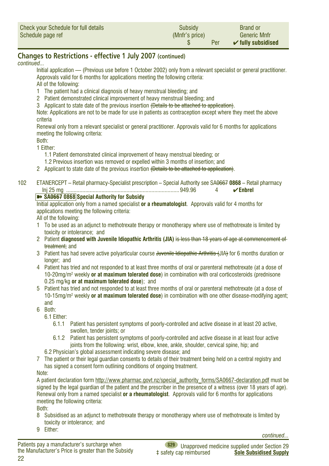<span id="page-21-0"></span>

| Check your Schedule for full details | Subsidy        | <b>Brand or</b>               |
|--------------------------------------|----------------|-------------------------------|
| Schedule page ref                    | (Mnfr's price) | <b>Generic Mnfr</b>           |
|                                      | Per            | $\checkmark$ fully subsidised |

#### *continued...*

Initial application — (Previous use before 1 October 2002) only from a relevant specialist or general practitioner. Approvals valid for 6 months for applications meeting the following criteria:

All of the following:

- 1 The patient had a clinical diagnosis of heavy menstrual bleeding; and
- 2 Patient demonstrated clinical improvement of heavy menstrual bleeding; and
- 3 Applicant to state date of the previous insertion (Details to be attached to application).

Note: Applications are not to be made for use in patients as contraception except where they meet the above criteria

Renewal only from a relevant specialist or general practitioner. Approvals valid for 6 months for applications meeting the following criteria:

Both:

1 Either:

- 1.1 Patient demonstrated clinical improvement of heavy menstrual bleeding; or
- 1.2 Previous insertion was removed or expelled within 3 months of insertion; and
- 2 Applicant to state date of the previous insertion (Details to be attached to application).
- 102 ETANERCEPT Retail pharmacy-Specialist prescription Special Authority see SA0667 **0868** Retail pharmacy Inj 25 mg .............................................................................949.96 4 ✔**Enbrel**

#### ➽ **SA0667 0868 Special Authority for Subsidy**

Initial application only from a named specialist **or a rheumatologist**. Approvals valid for 4 months for applications meeting the following criteria:

All of the following:

- 1 To be used as an adjunct to methotrexate therapy or monotherapy where use of methotrexate is limited by toxicity or intolerance; and
- 2 Patient **diagnosed with Juvenile Idiopathic Arthritis (JIA)** is less than 18 years of age at commencement of treatment; and
- 3 Patient has had severe active polyarticular course Juvenile Idiopathic Arthritis (JIA) for 6 months duration or longer; and
- 4 Patient has tried and not responded to at least three months of oral or parenteral methotrexate (at a dose of 10-20mg/m2 weekly **or at maximum tolerated dose**) in combination with oral corticosteroids (prednisone 0.25 mg/kg **or at maximum tolerated dose**); and
- 5 Patient has tried and not responded to at least three months of oral or parenteral methotrexate (at a dose of 10-15mg/m2 weekly **or at maximum tolerated dose**) in combination with one other disease-modifying agent; and
- 6 Both:
	- 6.1 Either:
		- 6.1.1 Patient has persistent symptoms of poorly-controlled and active disease in at least 20 active, swollen, tender joints; or
		- 6.1.2 Patient has persistent symptoms of poorly-controlled and active disease in at least four active joints from the following: wrist, elbow, knee, ankle, shoulder, cervical spine, hip; and
	- 6.2 Physician's global assessment indicating severe disease; and
- 7 The patient or their legal guardian consents to details of their treatment being held on a central registry and has signed a consent form outlining conditions of ongoing treatment.

Note:

A patient declaration form http://www.pharmac.govt.nz/special\_authority\_forms/SA0667-declaration.pdf must be signed by the legal guardian of the patient and the prescriber in the presence of a witness (over 18 years of age). Renewal only from a named specialist **or a rheumatologist**. Approvals valid for 6 months for applications meeting the following criteria:

Both:

8 Subsidised as an adjunct to methotrexate therapy or monotherapy where use of methotrexate is limited by toxicity or intolerance; and

9 Either:

*continued...*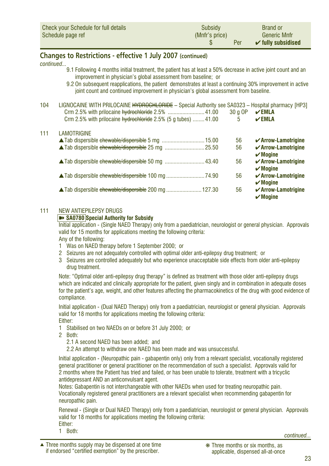<span id="page-22-0"></span>

| Check your Schedule for full details | Subsidy        | <b>Brand or</b>               |
|--------------------------------------|----------------|-------------------------------|
| Schedule page ref                    | (Mnfr's price) | <b>Generic Mnfr</b>           |
|                                      | Per            | $\checkmark$ fully subsidised |

*continued...*

- 9.1 Following 4 months initial treatment, the patient has at least a 50% decrease in active joint count and an improvement in physician's global assessment from baseline; or
- 9.2 On subsequent reapplications, the patient demonstrates at least a continuing 30% improvement in active joint count and continued improvement in physician's global assessment from baseline.

| 104 | [HENOCAINE WITH PRILOCAINE <del>HYDROCHLORIDE</del> – Special Authority see SA0323 – Hospital pharmacy [HP3] L<br>Crm 2.5% with prilocaine hydrochloride 2.5% 41.00 | $30q$ OP | $\vee$ EMLA                                                        |
|-----|---------------------------------------------------------------------------------------------------------------------------------------------------------------------|----------|--------------------------------------------------------------------|
|     | Crm 2.5% with prilocaine hydrochloride 2.5% (5 g tubes) 41.00                                                                                                       | 5        | $\mathbf{V}$ EMLA                                                  |
| 111 | <b>LAMOTRIGINE</b>                                                                                                                                                  |          |                                                                    |
|     |                                                                                                                                                                     | 56       | $\checkmark$ Arrow-Lamotrigine                                     |
|     |                                                                                                                                                                     | 56       | $\checkmark$ Arrow-Lamotrigine<br>$\boldsymbol{\mathsf{v}}$ Mogine |
|     |                                                                                                                                                                     | 56       | $\checkmark$ Arrow-Lamotrigine<br>$\boldsymbol{\mathsf{v}}$ Mogine |
|     |                                                                                                                                                                     | 56       | $\checkmark$ Arrow-Lamotrigine<br>$\boldsymbol{\checkmark}$ Mogine |
|     | <b>△Tab dispersible <del>chewable/dispersible</del> 200 mg 127.30</b>                                                                                               | 56       | $\checkmark$ Arrow-Lamotrigine<br>$\boldsymbol{\mathsf{v}}$ Mogine |

#### 111 NEW ANTIEPILEPSY DRUGS

#### ➽ **SA0780 Special Authority for Subsidy**

Initial application - (Single NAED Therapy) only from a paediatrician, neurologist or general physician. Approvals valid for 15 months for applications meeting the following criteria:

Any of the following:

- 1 Was on NAED therapy before 1 September 2000; or
- 2 Seizures are not adequately controlled with optimal older anti-epilepsy drug treatment; or
- 3 Seizures are controlled adequately but who experience unacceptable side effects from older anti-epilepsy drug treatment.

Note: "Optimal older anti-epilepsy drug therapy" is defined as treatment with those older anti-epilepsy drugs which are indicated and clinically appropriate for the patient, given singly and in combination in adequate doses for the patient's age, weight, and other features affecting the pharmacokinetics of the drug with good evidence of compliance.

Initial application - (Dual NAED Therapy) only from a paediatrician, neurologist or general physician. Approvals valid for 18 months for applications meeting the following criteria: Either:

- 1 Stabilised on two NAEDs on or before 31 July 2000; or
- 2 Both:

2.1 A second NAED has been added; and

2.2 An attempt to withdraw one NAED has been made and was unsuccessful.

Initial application - (Neuropathic pain - gabapentin only) only from a relevant specialist, vocationally registered general practitioner or general practitioner on the recommendation of such a specialist. Approvals valid for 2 months where the Patient has tried and failed, or has been unable to tolerate, treatment with a tricyclic antidepressant AND an anticonvulsant agent.

Notes: Gabapentin is not interchangeable with other NAEDs when used for treating neuropathic pain. Vocationally registered general practitioners are a relevant specialist when recommending gabapentin for neuropathic pain.

Renewal - (Single or Dual NAED Therapy) only from a paediatrician, neurologist or general physician. Approvals valid for 18 months for applications meeting the following criteria:

Either:<br>1 Both: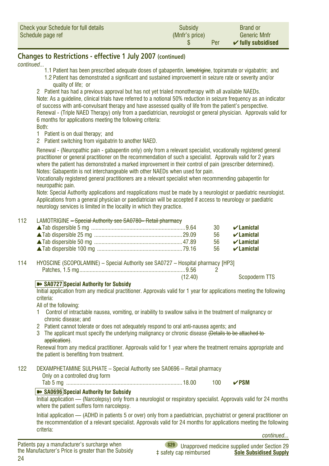<span id="page-23-0"></span>

| Check your Schedule for full details | Subsidy        | <b>Brand or</b>               |
|--------------------------------------|----------------|-------------------------------|
| Schedule page ref                    | (Mnfr's price) | <b>Generic Mnfr</b>           |
|                                      | Per            | $\checkmark$ fully subsidised |

#### *continued...*

- 1.1 Patient has been prescribed adequate doses of gabapentin, lamotrigine, topiramate or vigabatrin; and 1.2 Patient has demonstrated a significant and sustained improvement in seizure rate or severity and/or quality of life; or
- 2 Patient has had a previous approval but has not yet trialed monotherapy with all available NAEDs.

Note: As a guideline, clinical trials have referred to a notional 50% reduction in seizure frequency as an indicator of success with anti-convulsant therapy and have assessed quality of life from the patient's perspective. Renewal - (Triple NAED Therapy) only from a paediatrician, neurologist or general physician. Approvals valid for 6 months for applications meeting the following criteria:

- Both:
- 1 Patient is on dual therapy; and
- 2 Patient switching from vigabatrin to another NAED.

Renewal - (Neuropathic pain - gabapentin only) only from a relevant specialist, vocationally registered general practitioner or general practitioner on the recommendation of such a specialist. Approvals valid for 2 years where the patient has demonstrated a marked improvement in their control of pain (prescriber determined). Notes: Gabapentin is not interchangeable with other NAEDs when used for pain.

Vocationally registered general practitioners are a relevant specialist when recommending gabapentin for neuropathic pain.

Note: Special Authority applications and reapplications must be made by a neurologist or paediatric neurologist. Applications from a general physician or paediatrician will be accepted if access to neurology or paediatric neurology services is limited in the locality in which they practice.

#### 112 LAMOTRIGINE – Special Authority see SA0780– Retail pharmacy

|  | 30 $\blacktriangleright$ Lamictal   |
|--|-------------------------------------|
|  | 56 <b>∠ Lamictal</b>                |
|  | 56 $\blacktriangledown$ Lamictal    |
|  | $56$ $\blacktriangleright$ Lamictal |

- 114 HYOSCINE (SCOPOLAMINE) Special Authority see SA0727 Hospital pharmacy [HP3] Patches, 1.5 mg........................................................................9.56 2  $\overline{\phantom{0}}$ 
	-

(12.40) Scopoderm TTS

#### ➽ **SA0727 Special Authority for Subsidy**

Initial application from any medical practitioner. Approvals valid for 1 year for applications meeting the following criteria:

All of the following:

- 1 Control of intractable nausea, vomiting, or inability to swallow saliva in the treatment of malignancy or chronic disease; and
- 2 Patient cannot tolerate or does not adequately respond to oral anti-nausea agents; and
- 3 The applicant must specify the underlying malignancy or chronic disease (Details to be attached toapplication).

Renewal from any medical practitioner. Approvals valid for 1 year where the treatment remains appropriate and the patient is benefiting from treatment.

#### 122 DEXAMPHETAMINE SULPHATE – Special Authority see SA0696 – Retail pharmacy

Only on a controlled drug form

Tab 5 mg ...............................................................................18.00 100 ✔**PSM**

#### **EXAGGES** Special Authority for Subsidy

Initial application — (Narcolepsy) only from a neurologist or respiratory specialist. Approvals valid for 24 months where the patient suffers form narcolepsy.

Initial application — (ADHD in patients 5 or over) only from a paediatrician, psychiatrist or general practitioner on the recommendation of a relevant specialist. Approvals valid for 24 months for applications meeting the following criteria:

*continued...*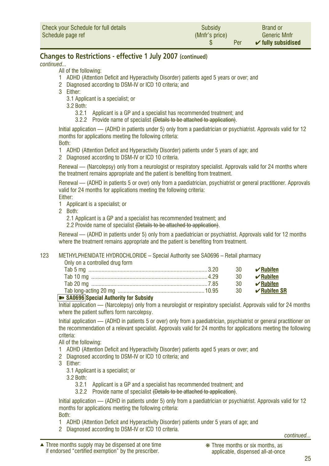<span id="page-24-0"></span>*continued...*

All of the following:

- 1 ADHD (Attention Deficit and Hyperactivity Disorder) patients aged 5 years or over; and
- 2 Diagnosed according to DSM-IV or ICD 10 criteria; and
- 3 Either:
	- 3.1 Applicant is a specialist; or

3.2 Both:

- 3.2.1 Applicant is a GP and a specialist has recommended treatment; and
- 3.2.2 Provide name of specialist (Details to be attached to application).

Initial application — (ADHD in patients under 5) only from a paediatrician or psychiatrist. Approvals valid for 12 months for applications meeting the following criteria:

Both:

- 1 ADHD (Attention Deficit and Hyperactivity Disorder) patients under 5 years of age; and
- 2 Diagnosed according to DSM-IV or ICD 10 criteria.

Renewal — (Narcolepsy) only from a neurologist or respiratory specialist. Approvals valid for 24 months where the treatment remains appropriate and the patient is benefiting from treatment.

Renewal — (ADHD in patients 5 or over) only from a paediatrician, psychiatrist or general practitioner. Approvals valid for 24 months for applications meeting the following criteria: Either:

- 1 Applicant is a specialist; or
- 2 Both:
	- 2.1 Applicant is a GP and a specialist has recommended treatment; and
	- 2.2 Provide name of specialist <del>(Details to be attached to application)</del>.

Renewal — (ADHD in patients under 5) only from a paediatrician or psychiatrist. Approvals valid for 12 months where the treatment remains appropriate and the patient is benefiting from treatment.

#### 123 METHYLPHENIDATE HYDROCHLORIDE – Special Authority see SA0696 – Retail pharmacy

#### Only on a controlled drug form

|                                         |     | 30 $\sqrt{}$ Rubifen                |
|-----------------------------------------|-----|-------------------------------------|
|                                         | -30 | $\mathcal{U}$ Rubifen               |
|                                         |     | 30 $\blacktriangleright$ Rubifen    |
|                                         |     | 30 $\blacktriangleright$ Rubifen SR |
| By CADCOC Concial Authority for Cuboidy |     |                                     |

#### ➽ **SA0696 Special Authority for Subsidy**

Initial application — (Narcolepsy) only from a neurologist or respiratory specialist. Approvals valid for 24 months where the patient suffers form narcolepsy.

Initial application — (ADHD in patients 5 or over) only from a paediatrician, psychiatrist or general practitioner on the recommendation of a relevant specialist. Approvals valid for 24 months for applications meeting the following criteria:

All of the following:

- 1 ADHD (Attention Deficit and Hyperactivity Disorder) patients aged 5 years or over; and
- 2 Diagnosed according to DSM-IV or ICD 10 criteria; and
- 3 Either:
	- 3.1 Applicant is a specialist; or
	- 3.2 Both:
		- 3.2.1 Applicant is a GP and a specialist has recommended treatment; and
		- 3.2.2 Provide name of specialist (Details to be attached to application).

Initial application — (ADHD in patients under 5) only from a paediatrician or psychiatrist. Approvals valid for 12 months for applications meeting the following criteria: Both:

- 1 ADHD (Attention Deficit and Hyperactivity Disorder) patients under 5 years of age; and
- 2 Diagnosed according to DSM-IV or ICD 10 criteria.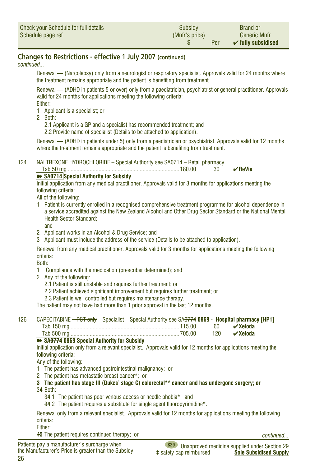<span id="page-25-0"></span>

| Check your Schedule for full details | Subsidy        | <b>Brand or</b>               |
|--------------------------------------|----------------|-------------------------------|
| Schedule page ref                    | (Mnfr's price) | <b>Generic Mnfr</b>           |
|                                      | Per            | $\checkmark$ fully subsidised |

*continued...*

Renewal — (Narcolepsy) only from a neurologist or respiratory specialist. Approvals valid for 24 months where the treatment remains appropriate and the patient is benefiting from treatment.

Renewal — (ADHD in patients 5 or over) only from a paediatrician, psychiatrist or general practitioner. Approvals valid for 24 months for applications meeting the following criteria:

Either:

- 1 Applicant is a specialist; or
- 2 Both:

2.1 Applicant is a GP and a specialist has recommended treatment; and

2.2 Provide name of specialist (Details to be attached to application).

Renewal — (ADHD in patients under 5) only from a paediatrician or psychiatrist. Approvals valid for 12 months where the treatment remains appropriate and the patient is benefiting from treatment.

124 NALTREXONE HYDROCHLORIDE – Special Authority see SA0714 – Retail pharmacy

Tab 50 mg ............................................................................180.00 30 ✔**ReVia**

#### ➽ **SA0714 Special Authority for Subsidy**

Initial application from any medical practitioner. Approvals valid for 3 months for applications meeting the following criteria:

All of the following:

- 1 Patient is currently enrolled in a recognised comprehensive treatment programme for alcohol dependence in a service accredited against the New Zealand Alcohol and Other Drug Sector Standard or the National Mental Health Sector Standard;
	- and
- 2 Applicant works in an Alcohol & Drug Service; and
- 3 Applicant must include the address of the service (Details to be attached to application).

Renewal from any medical practitioner. Approvals valid for 3 months for applications meeting the following criteria:

Both:

- 1 Compliance with the medication (prescriber determined); and
- 2 Any of the following:
	- 2.1 Patient is still unstable and requires further treatment; or
	- 2.2 Patient achieved significant improvement but requires further treatment; or
	- 2.3 Patient is well controlled but requires maintenance therapy.

The patient may not have had more than 1 prior approval in the last 12 months.

#### 126 CAPECITABINE – PCT only – Specialist – Special Authority see SA0774 **0869 - Hospital pharmacy [HP1]**

| ab.                               |  |
|-----------------------------------|--|
|                                   |  |
| <u> asam saaala sisisti asaas</u> |  |

#### ➽ **SA0774 0869 Special Authority for Subsidy**

Initial application only from a relevant specialist. Approvals valid for 12 months for applications meeting the following criteria:

Any of the following:

- 1 The patient has advanced gastrointestinal malignancy; or
- 2 The patient has metastatic breast cancer\*; or
- **3 The patient has stage III (Dukes' stage C) colorectal\*# cancer and has undergone surgery; or**
- 3**4** Both:
	- 3**4**.1 The patient has poor venous access or needle phobia\*; and
	- 3**4**.2 The patient requires a substitute for single agent fluoropyrimidine\*.

Renewal only from a relevant specialist. Approvals valid for 12 months for applications meeting the following criteria:

Either:

4**5** The patient requires continued therapy; or

*continued...*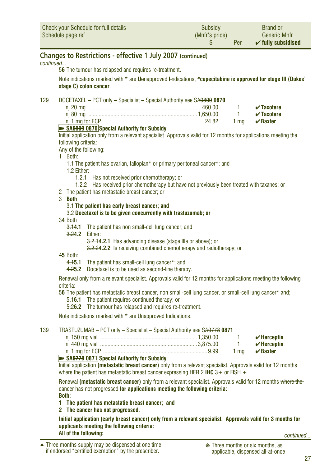<span id="page-26-0"></span>

| Check your Schedule for full details | Subsidy        | <b>Brand or</b>               |
|--------------------------------------|----------------|-------------------------------|
| Schedule page ref                    | (Mnfr's price) | <b>Generic Mnfr</b>           |
|                                      | Per            | $\checkmark$ fully subsidised |

*continued...*

5**6** The tumour has relapsed and requires re-treatment.

Note indications marked with \* are **U**unapproved **I**indications, **#capecitabine is approved for stage III (Dukes' stage C) colon cancer**.

129 DOCETAXEL – PCT only – Specialist – Special Authority see SA0809 **0870**

|  | $\sqrt{2}$ Taxotere |
|--|---------------------|
|  | $\sqrt{2}$ Taxotere |
|  | 1 ma $\vee$ Baxter  |

#### **EXAGGES SA0809 0870** Special Authority for Subsidy

Initial application only from a relevant specialist. Approvals valid for 12 months for applications meeting the following criteria:

Any of the following:

1 Both:

- 1.1 The patient has ovarian, fallopian\* or primary peritoneal cancer\*; and
- 1.2 Either:
	- 1.2.1 Has not received prior chemotherapy; or
- 1.2.2 Has received prior chemotherapy but have not previously been treated with taxanes; or
- 2 The patient has metastatic breast cancer; or
- 3 **Both**
	- 3.1 **The patient has early breast cancer; and**
	- 3.2 **Docetaxel is to be given concurrently with trastuzumab; or**
- 3**4** Both
	- 3.1**4.1** The patient has non small-cell lung cancer; and
	- 3.2**4.2** Either:

3.2.1**4.2.1** Has advancing disease (stage IIIa or above); or

3.2.2**4.2.2** Is receiving combined chemotherapy and radiotherapy; or

4**5** Both:

- 4.1**5.1** The patient has small-cell lung cancer\*; and
- 4.2**5.2** Docetaxel is to be used as second-line therapy.

Renewal only from a relevant specialist. Approvals valid for 12 months for applications meeting the following criteria:

5**6** The patient has metastatic breast cancer, non small-cell lung cancer, or small-cell lung cancer\* and;

5.1**6.1** The patient requires continued therapy; or

5.2**6.2** The tumour has relapsed and requires re-treatment.

Note indications marked with \* are Unapproved Indications.

#### 139 TRASTUZUMAB – PCT only – Specialist – Special Authority see SA0778 **0871**

|  | $\boldsymbol{\mathsf{v}}$ Herceptin |
|--|-------------------------------------|
|  | $\boldsymbol{\checkmark}$ Herceptin |
|  | 1 ma $\mathcal{C}$ Baxter           |

#### ➽ **SA0778 0871 Special Authority for Subsidy**

Initial application **(metastatic breast cancer)** only from a relevant specialist. Approvals valid for 12 months where the patient has metastatic breast cancer expressing HER 2 **IHC** 3+ or FISH +.

Renewal **(metastatic breast cancer)** only from a relevant specialist. Approvals valid for 12 months where the cancer has not progressed **for applications meeting the following criteria: Both:**

- **1 The patient has metastatic breast cancer; and**
- **2 The cancer has not progressed.**

**Initial application (early breast cancer) only from a relevant specialist. Approvals valid for 3 months for applicants meeting the following criteria: All of the following:** *continued...*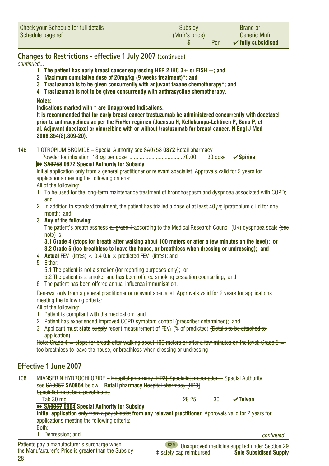<span id="page-27-0"></span>

| Check your Schedule for full details | Subsidy        | <b>Brand or</b>               |
|--------------------------------------|----------------|-------------------------------|
| Schedule page ref                    | (Mnfr's price) | <b>Generic Mnfr</b>           |
|                                      | Per            | $\checkmark$ fully subsidised |

*continued...*

- **1 The patient has early breast cancer expressing HER 2 IHC 3+ or FISH +; and**
- **2 Maximum cumulative dose of 20mg/kg (9 weeks treatment)\*; and**
- **3 Trastuzumab is to be given concurrently with adjuvant taxane chemotherapy\*; and**
- **4 Trastuzumab is not to be given concurrently with anthracycline chemotherapy.**

#### **Notes:**

**Indications marked with \* are Unapproved Indications.**

**It is recommended that for early breast cancer trastuzumab be administered concurrently with docetaxel prior to anthracyclines as per the FinHer regimen (Joensuu H, Kellokumpu-Lehtinen P, Bono P, et al. Adjuvant docetaxel or vinorelbine with or without trastuzumab for breast cancer. N Engl J Med 2006;354(8):809-20).** 

146 TIOTROPIUM BROMIDE – Special Authority see SA0758 **0872** Retail pharmacy

Powder for inhalation, 18 µg per dose ....................................70.00 30 dose ✔**Spiriva**

#### **▶ SA0758 0872 Special Authority for Subsidy**

Initial application only from a general practitioner or relevant specialist. Approvals valid for 2 years for applications meeting the following criteria:

#### All of the following:

- 1 To be used for the long-term maintenance treatment of bronchospasm and dyspnoea associated with COPD; and
- 2 In addition to standard treatment, the patient has trialled a dose of at least 40  $\mu$ g ipratropium g.i.d for one month; and
- **3 Any of the following:**

The patient's breathlessness  $\rightarrow$  grade 4 according to the Medical Research Council (UK) dyspnoea scale (see note) is:

**3.1 Grade 4 (stops for breath after walking about 100 meters or after a few minutes on the level); or 3.2 Grade 5 (too breathless to leave the house, or breathless when dressing or undressing); and**

- 4 **Actual** FEV<sub>1</sub> (litres)  $< \theta$  4 0.6  $\times$  predicted FEV<sub>1</sub> (litres); and
- 5 Either:
	- 5.1 The patient is not a smoker (for reporting purposes only); or
	- 5.2 The patient is a smoker and **has** been offered smoking cessation counselling; and
- 6 The patient has been offered annual influenza immunisation.

Renewal only from a general practitioner or relevant specialist. Approvals valid for 2 years for applications meeting the following criteria:

All of the following:

- 1 Patient is compliant with the medication; and
- 2 Patient has experienced improved COPD symptom control (prescriber determined); and
- 3 Applicant must **state** supply recent measurement of FEV1 (% of predicted) (Details to be attached to application).

Note: Grade 4 = stops for breath after walking about 100 meters or after a few minutes on the level; Grade 5 = too breathless to leave the house, or breathless when dressing or undressing

#### **Effective 1 June 2007**

28

| 108 | see SA0057 SA0864 below - Retail pharmacy Hospital pharmacy [HP3]<br>Specialist must be a psychiatrist. | MIANSERIN HYDROCHLORIDE - Hospital pharmacy [HP3]-Specialist prescription - Special Authority                |    |                                                    |
|-----|---------------------------------------------------------------------------------------------------------|--------------------------------------------------------------------------------------------------------------|----|----------------------------------------------------|
|     | Tab 30 mg                                                                                               |                                                                                                              | 30 | $\sqrt{}$ Tolvon                                   |
|     | SA0057 0864 Special Authority for Subsidy<br>applications meeting the following criteria:               | Initial application only from a psychiatrist from any relevant practitioner. Approvals valid for 2 years for |    |                                                    |
|     | Both:                                                                                                   |                                                                                                              |    |                                                    |
|     | Depression: and                                                                                         |                                                                                                              |    | continued                                          |
|     | Patients nay a manufacturer's surcharge when                                                            | 920                                                                                                          |    | Unannovator de dicion cumplicaturale de Cantino 00 |

**S29** Unapproved medicine supplied under Section 29<br>**Sole Subsidised Supply Sole Subsidised Supply**  $Sole$  Subsidised Supply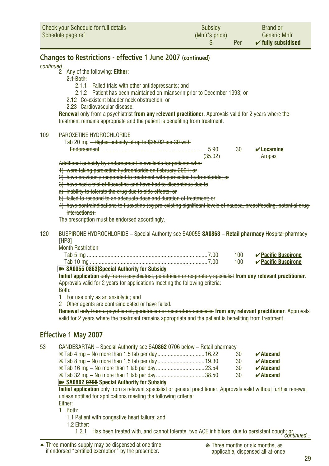<span id="page-28-0"></span>

| Check your Schedule for full details | <b>Subsidy</b> | <b>Brand or</b>               |
|--------------------------------------|----------------|-------------------------------|
| Schedule page ref                    | (Mnfr's price) | <b>Generic Mnfr</b>           |
|                                      | Per            | $\checkmark$ fully subsidised |

#### *continued...*

2 Any of the following: **Either:**

#### 2.1 Both:

- 2.1.1 Failed trials with other antidepressants; and
- 2.1.2 Patient has been maintained on mianserin prior to December 1993; or
- 2.**1**2 Co-existent bladder neck obstruction; or
- 2.**2**3 Cardiovascular disease.

**Renewal** only from a psychiatrist from any relevant practitioner. Approvals valid for 2 years where the treatment remains appropriate and the patient is benefiting from treatment.

#### 109 PAROXETINE HYDROCHLORIDE

| Tab 20 mg - Higher subsidy of up to \$35.02 per 30 with |  |                                   |
|---------------------------------------------------------|--|-----------------------------------|
|                                                         |  | 30 $\blacktriangleright$ Loxamine |

(35.02) Aropax

Additional subsidy by endorsement is available for patients who:

- 1) were taking paroxetine hydrochloride on February 2001; or
- 2) have previously responded to treatment with paroxetine hydrochloride; or
- 3) have had a trial of fluoxetine and have had to discontinue due to
- a) inability to tolerate the drug due to side effects; or
- b) failed to respond to an adequate dose and duration of treatment; or
- 4) have contraindications to fluoxetine (eg pre-existing significant levels of nausea, breastfeeding, potential drug interactions).

The prescription must be endorsed accordingly.

120 BUSPIRONE HYDROCHLORIDE – Special Authority see SA0055 **SA0863** – **Retail pharmacy** Hospital pharmacy  $HIP3H$ 

Month Restriction

| 7.00                                              |     | 100 <b>∠ Pacific Buspirone</b>       |
|---------------------------------------------------|-----|--------------------------------------|
|                                                   | 100 | $\boldsymbol{\nu}$ Pacific Buspirone |
| <b>EXAGGES 0863</b> Special Authority for Subsidy |     |                                      |

**Initial application** only from a psychiatrist, geriatrician or respiratory specialist **from any relevant practitioner**. Approvals valid for 2 years for applications meeting the following criteria: Both:

1 For use only as an anxiolytic; and

2 Other agents are contraindicated or have failed.

**Renewal** only from a psychiatrist, geriatrician or respiratory specialist **from any relevant practitioner**. Approvals valid for 2 years where the treatment remains appropriate and the patient is benefiting from treatment.

#### **Effective 1 May 2007**

| 53 | CANDESARTAN - Special Authority see SA0862 0706 below - Retail pharmacy                                              |    |                            |
|----|----------------------------------------------------------------------------------------------------------------------|----|----------------------------|
|    |                                                                                                                      | 30 | $\boldsymbol{\nu}$ Atacand |
|    |                                                                                                                      | 30 | $\boldsymbol{\nu}$ Atacand |
|    |                                                                                                                      | 30 | $\boldsymbol{\nu}$ Atacand |
|    |                                                                                                                      | 30 | $\boldsymbol{\nu}$ Atacand |
|    | <b>EXAMPLE 1998</b> Special Authority for Subsidy                                                                    |    |                            |
|    | Initial application only from a relevant specialist or general practitioner. Approvals valid without further renewal |    |                            |
|    | unless notified for applications meeting the following criteria:                                                     |    |                            |
|    | Fither:                                                                                                              |    |                            |

1 Both:

1.1 Patient with congestive heart failure; and

1.2 Either:

1.2.1 Has been treated with, and cannot tolerate, two ACE inhibitors, due to persistent cough; or *continued...*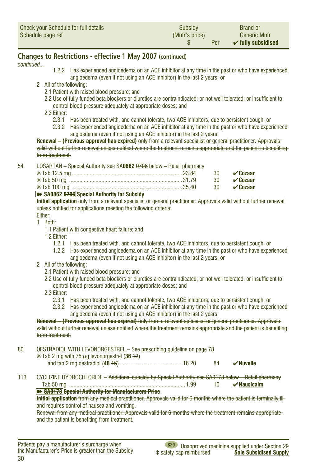<span id="page-29-0"></span>

| Check your Schedule for full details | Subsidy        | <b>Brand or</b>               |
|--------------------------------------|----------------|-------------------------------|
| Schedule page ref                    | (Mnfr's price) | <b>Generic Mnfr</b>           |
|                                      | Per            | $\checkmark$ fully subsidised |

*continued...*

- 1.2.2 Has experienced angioedema on an ACE inhibitor at any time in the past or who have experienced angioedema (even if not using an ACE inhibitor) in the last 2 years; or
- 2 All of the following:
	- 2.1 Patient with raised blood pressure; and
	- 2.2 Use of fully funded beta blockers or diuretics are contraindicated; or not well tolerated; or insufficient to control blood pressure adequately at appropriate doses; and

2.3 Either:

- 2.3.1 Has been treated with, and cannot tolerate, two ACE inhibitors, due to persistent cough; or
- 2.3.2 Has experienced angioedema on an ACE inhibitor at any time in the past or who have experienced angioedema (even if not using an ACE inhibitor) in the last 2 years.

**Renewal – (Previous approval has expired)** only from a relevant specialist or general practitioner. Approvals valid without further renewal unless notified where the treatment remains appropriate and the patient is benefiting from treatment.

| 54 | LOSARTAN – Special Authority see SA <b>0862</b> <del>0706</del> below – Retail pharmacy |                      |
|----|-----------------------------------------------------------------------------------------|----------------------|
|    |                                                                                         | 30 $\sqrt{a}$ Cozaar |
|    |                                                                                         | 30 $\sqrt{a}$ Cozaar |
|    |                                                                                         |                      |

#### ➽ **SA0862 0706 Special Authority for Subsidy**

**Initial application** only from a relevant specialist or general practitioner. Approvals valid without further renewal unless notified for applications meeting the following criteria:

Either:

- 1 Both:
	- 1.1 Patient with congestive heart failure; and

1.2 Either:

- 1.2.1 Has been treated with, and cannot tolerate, two ACE inhibitors, due to persistent cough; or
- 1.2.2 Has experienced angioedema on an ACE inhibitor at any time in the past or who have experienced angioedema (even if not using an ACE inhibitor) in the last 2 years; or
- 2 All of the following:
	- 2.1 Patient with raised blood pressure; and
	- 2.2 Use of fully funded beta blockers or diuretics are contraindicated; or not well tolerated; or insufficient to control blood pressure adequately at appropriate doses; and
	- 2.3 Either:
		- 2.3.1 Has been treated with, and cannot tolerate, two ACE inhibitors, due to persistent cough; or
		- 2.3.2 Has experienced angioedema on an ACE inhibitor at any time in the past or who have experienced angioedema (even if not using an ACE inhibitor) in the last 2 years.

**Renewal – (Previous approval has expired)** only from a relevant specialist or general practitioner. Approvals valid without further renewal unless notified where the treatment remains appropriate and the patient is benefiting from treatment.

- 80 OESTRADIOL WITH LEVONORGESTREL See prescribing guideline on page 78  $*$  Tab 2 mg with 75  $\mu$ g levonorgestrel (36  $+2$ ) and tab 2 mg oestradiol (**48** 16)...........................................16.20 84 ✔**Nuvelle**
- 113 CYCLIZINE HYDROCHLORIDE Additional subsidy by Special Authority see SA0178 below Retail pharmacy Tab 50 mg ...............................................................................1.99 10 ✔**Nausicalm** ➽ **SA0178 Special Authority for Manufacturers Price**

**Initial application** from any medical practitioner. Approvals valid for 6 months where the patient is terminally illand requires control of nausea and vomiting.

Renewal from any medical practitioner. Approvals valid for 6 months where the treatment remains appropriate and the patient is benefiting from treatment.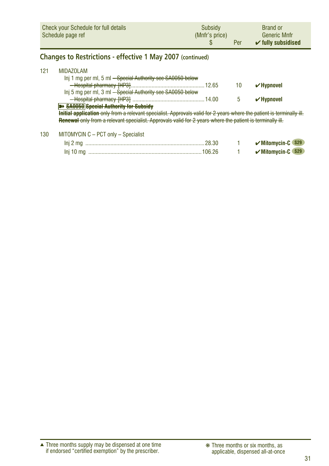<span id="page-30-0"></span>

|     | <b>Check your Schedule for full details</b><br>Schedule page ref                                                                                                                                                                                                                                                                                                                                                                                                     | Subsidy<br>(Mnfr's price)<br>S | Per     | <b>Brand or</b><br><b>Generic Mnfr</b><br>$\checkmark$ fully subsidised |
|-----|----------------------------------------------------------------------------------------------------------------------------------------------------------------------------------------------------------------------------------------------------------------------------------------------------------------------------------------------------------------------------------------------------------------------------------------------------------------------|--------------------------------|---------|-------------------------------------------------------------------------|
|     | <b>Changes to Restrictions - effective 1 May 2007 (continued)</b>                                                                                                                                                                                                                                                                                                                                                                                                    |                                |         |                                                                         |
| 121 | <b>MIDAZOLAM</b><br>Inj 1 mg per ml, 5 ml <del>– Special Authority see SA0050 below</del><br>Inj 5 mg per ml, 3 ml - Special Authority see SA0050 below<br><b>B&gt; SA0050 Special Authority for Subsidy</b><br><del>Initial application only from a relevant specialist. Approvals valid for 2 years where the patient is terminally ill.</del><br><b>Renewal</b> only from a relevant specialist. Approvals valid for 2 years where the patient is terminally ill. | .12.65                         | 10<br>5 | $\vee$ Hypnovel<br>$\checkmark$ Hypnovel                                |
| 130 | MITOMYCIN C - PCT only - Specialist                                                                                                                                                                                                                                                                                                                                                                                                                                  |                                |         | $\sim$ $\sim$ $\sim$ $\sim$                                             |

| <b>S29</b>      |  |  |
|-----------------|--|--|
| Mitomycin-C S29 |  |  |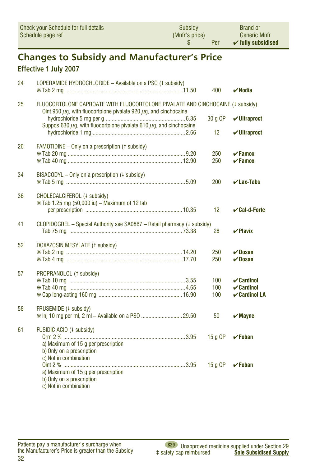<span id="page-31-0"></span>

| Check your Schedule for full details | Subsidy        | <b>Brand or</b>               |
|--------------------------------------|----------------|-------------------------------|
| Schedule page ref                    | (Mnfr's price) | <b>Generic Mnfr</b>           |
|                                      | Per            | $\checkmark$ fully subsidised |

## **Changes to Subsidy and Manufacturer's Price**

#### Effective 1 July 2007

| 24 | LOPERAMIDE HYDROCHLORIDE - Available on a PSO (+ subsidy)                                                                                                    | 400        | $\boldsymbol{\nu}$ Nodia                                |
|----|--------------------------------------------------------------------------------------------------------------------------------------------------------------|------------|---------------------------------------------------------|
| 25 | FLUOCORTOLONE CAPROATE WITH FLUOCORTOLONE PIVALATE AND CINCHOCAINE (4 subsidy)<br>Oint 950 $\mu$ g, with fluocortolone pivalate 920 $\mu$ g, and cinchocaine |            |                                                         |
|    | Suppos 630 $\mu$ g, with fluocortolone pivalate 610 $\mu$ g, and cinchocaine                                                                                 | 30 g OP    | $\nu$ Ultraproct                                        |
|    |                                                                                                                                                              | 12         | $\nu$ Ultraproct                                        |
| 26 | FAMOTIDINE - Only on a prescription (1 subsidy)                                                                                                              | 250        | $\sqrt{F}$ amox                                         |
|    |                                                                                                                                                              | 250        | $\sqrt{F}$ amox                                         |
| 34 | BISACODYL – Only on a prescription $(1 \text{ subsidy})$                                                                                                     | 200        | $\nu$ Lax-Tabs                                          |
|    |                                                                                                                                                              |            |                                                         |
| 36 | CHOLECALCIFEROL (+ subsidy)<br>* Tab 1.25 mg (50,000 iu) - Maximum of 12 tab                                                                                 |            |                                                         |
|    |                                                                                                                                                              | 12         | $\mathcal{\mathcal{C}}$ al-d-Forte                      |
| 41 | CLOPIDOGREL - Special Authority see SA0867 - Retail pharmacy (4 subsidy)                                                                                     | 28         | $\vee$ Plavix                                           |
| 52 | DOXAZOSIN MESYLATE (1 subsidy)                                                                                                                               |            |                                                         |
|    |                                                                                                                                                              | 250<br>250 | $\nu$ Dosan<br>$\nu$ Dosan                              |
| 57 | PROPRANOLOL (1 subsidy)                                                                                                                                      |            |                                                         |
|    |                                                                                                                                                              | 100        | $\mathcal V$ Cardinol                                   |
|    |                                                                                                                                                              | 100<br>100 | $\mathcal V$ Cardinol<br>$\boldsymbol{\nu}$ Cardinol LA |
| 58 | FRUSEMIDE (+ subsidy)                                                                                                                                        |            |                                                         |
|    |                                                                                                                                                              | 50         | $\boldsymbol{\checkmark}$ Mayne                         |
| 61 | FUSIDIC ACID (4 subsidy)                                                                                                                                     |            |                                                         |
|    | a) Maximum of 15 q per prescription                                                                                                                          | 15 g OP    | $\checkmark$ Foban                                      |
|    | b) Only on a prescription<br>c) Not in combination                                                                                                           |            |                                                         |
|    |                                                                                                                                                              | 15 a OP    | $\checkmark$ Foban                                      |
|    | a) Maximum of 15 g per prescription<br>b) Only on a prescription                                                                                             |            |                                                         |
|    | c) Not in combination                                                                                                                                        |            |                                                         |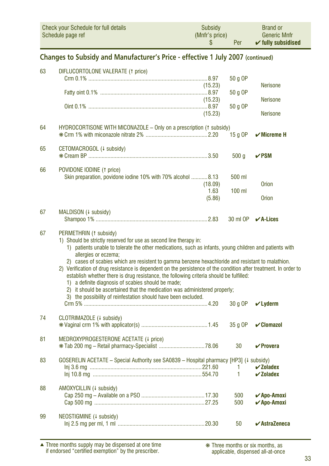<span id="page-32-0"></span>

| Check your Schedule for full details | Subsidy        | <b>Brand or</b>               |
|--------------------------------------|----------------|-------------------------------|
| Schedule page ref                    | (Mnfr's price) | <b>Generic Mnfr</b>           |
|                                      | Per            | $\checkmark$ fully subsidised |

#### **Changes to Subsidy and Manufacturer's Price - effective 1 July 2007 (continued)**

| 63 | DIFLUCORTOLONE VALERATE (1 price)                                                                                                                                                                                                                                                                                                                                                                                 |         |              |                                       |
|----|-------------------------------------------------------------------------------------------------------------------------------------------------------------------------------------------------------------------------------------------------------------------------------------------------------------------------------------------------------------------------------------------------------------------|---------|--------------|---------------------------------------|
|    |                                                                                                                                                                                                                                                                                                                                                                                                                   |         | 50 g OP      |                                       |
|    |                                                                                                                                                                                                                                                                                                                                                                                                                   | (15.23) |              | <b>Nerisone</b>                       |
|    |                                                                                                                                                                                                                                                                                                                                                                                                                   | (15.23) | 50 g OP      | <b>Nerisone</b>                       |
|    |                                                                                                                                                                                                                                                                                                                                                                                                                   |         | 50 g OP      |                                       |
|    |                                                                                                                                                                                                                                                                                                                                                                                                                   | (15.23) |              | <b>Nerisone</b>                       |
| 64 |                                                                                                                                                                                                                                                                                                                                                                                                                   |         |              |                                       |
|    | HYDROCORTISONE WITH MICONAZOLE - Only on a prescription († subsidy)                                                                                                                                                                                                                                                                                                                                               |         | 15 g OP      | $\checkmark$ Micreme H                |
|    |                                                                                                                                                                                                                                                                                                                                                                                                                   |         |              |                                       |
| 65 | CETOMACROGOL (+ subsidy)                                                                                                                                                                                                                                                                                                                                                                                          |         |              |                                       |
|    |                                                                                                                                                                                                                                                                                                                                                                                                                   |         | 500q         | $\nu$ PSM                             |
| 66 | POVIDONE IODINE (1 price)                                                                                                                                                                                                                                                                                                                                                                                         |         |              |                                       |
|    | Skin preparation, povidone iodine 10% with 70% alcohol 8.13                                                                                                                                                                                                                                                                                                                                                       |         | 500 ml       |                                       |
|    |                                                                                                                                                                                                                                                                                                                                                                                                                   | (18.09) |              | <b>Orion</b>                          |
|    |                                                                                                                                                                                                                                                                                                                                                                                                                   | 1.63    | $100$ ml     |                                       |
|    |                                                                                                                                                                                                                                                                                                                                                                                                                   | (5.86)  |              | <b>Orion</b>                          |
| 67 | MALDISON (+ subsidy)                                                                                                                                                                                                                                                                                                                                                                                              |         |              |                                       |
|    |                                                                                                                                                                                                                                                                                                                                                                                                                   |         |              | 30 ml OP <b>√A-Lices</b>              |
|    |                                                                                                                                                                                                                                                                                                                                                                                                                   |         |              |                                       |
| 67 | PERMETHRIN (1 subsidy)<br>1) Should be strictly reserved for use as second line therapy in:<br>1) patients unable to tolerate the other medications, such as infants, young children and patients with<br>allergies or eczema:<br>2) cases of scabies which are resistent to gamma benzene hexachloride and resistant to malathion.                                                                               |         |              |                                       |
|    | 2) Verification of drug resistance is dependent on the persistence of the condition after treatment. In order to<br>establish whether there is drug resistance, the following criteria should be fulfilled:<br>1) a definite diagnosis of scabies should be made;<br>2) it should be ascertained that the medication was administered properly;<br>3) the possibility of reinfestation should have been excluded. |         |              |                                       |
|    |                                                                                                                                                                                                                                                                                                                                                                                                                   |         | 30 g OP      | $V$ Lyderm                            |
| 74 | CLOTRIMAZOLE (4 subsidy)                                                                                                                                                                                                                                                                                                                                                                                          |         |              |                                       |
|    |                                                                                                                                                                                                                                                                                                                                                                                                                   |         | 35 g OP      | $\mathcal V$ Clomazol                 |
|    |                                                                                                                                                                                                                                                                                                                                                                                                                   |         |              |                                       |
| 81 | MEDROXYPROGESTERONE ACETATE (+ price)                                                                                                                                                                                                                                                                                                                                                                             |         |              |                                       |
|    |                                                                                                                                                                                                                                                                                                                                                                                                                   |         | 30           | $\vee$ Provera                        |
| 83 | GOSERELIN ACETATE - Special Authority see SA0839 - Hospital pharmacy [HP3] (+ subsidy)                                                                                                                                                                                                                                                                                                                            |         |              |                                       |
|    |                                                                                                                                                                                                                                                                                                                                                                                                                   |         | 1.           | $\boldsymbol{\checkmark}$ Zoladex     |
|    |                                                                                                                                                                                                                                                                                                                                                                                                                   |         | $\mathbf{1}$ | $\checkmark$ Zoladex                  |
|    |                                                                                                                                                                                                                                                                                                                                                                                                                   |         |              |                                       |
| 88 | AMOXYCILLIN (4 subsidy)                                                                                                                                                                                                                                                                                                                                                                                           |         | 500          | <b>∠Apo-Amoxi</b>                     |
|    |                                                                                                                                                                                                                                                                                                                                                                                                                   |         | 500          | <b>∠Apo-Amoxi</b>                     |
|    |                                                                                                                                                                                                                                                                                                                                                                                                                   |         |              |                                       |
| 99 | NEOSTIGMINE (4 subsidy)                                                                                                                                                                                                                                                                                                                                                                                           |         |              |                                       |
|    |                                                                                                                                                                                                                                                                                                                                                                                                                   |         | 50           | $\boldsymbol{\checkmark}$ AstraZeneca |

Three months supply may be dispensed at one time if endorsed "certified exemption" by the prescriber. ▲ ❋ Three months or six months, as

applicable, dispensed all-at-once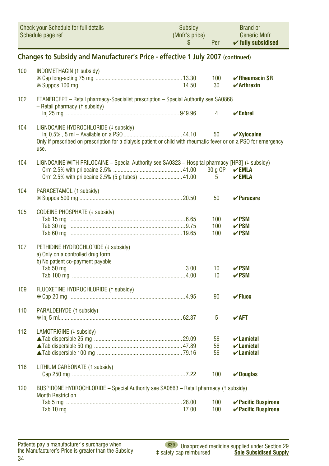<span id="page-33-0"></span>

|     | <b>Check your Schedule for full details</b><br>Schedule page ref                                                                                                  | Subsidy<br>(Mnfr's price)<br>\$ | Per                   | <b>Brand or</b><br><b>Generic Mnfr</b><br>$\checkmark$ fully subsidised      |  |  |
|-----|-------------------------------------------------------------------------------------------------------------------------------------------------------------------|---------------------------------|-----------------------|------------------------------------------------------------------------------|--|--|
|     | Changes to Subsidy and Manufacturer's Price - effective 1 July 2007 (continued)                                                                                   |                                 |                       |                                                                              |  |  |
| 100 | INDOMETHACIN (1 subsidy)                                                                                                                                          |                                 | 100<br>30             | $\sqrt{\text{Rheumacin SR}}$<br>$\boldsymbol{\checkmark}$ Arthrexin          |  |  |
| 102 | ETANERCEPT - Retail pharmacy-Specialist prescription - Special Authority see SA0868<br>- Retail pharmacy († subsidy)                                              |                                 | $\overline{4}$        | $\checkmark$ Enbrel                                                          |  |  |
| 104 | LIGNOCAINE HYDROCHLORIDE (+ subsidy)<br>Only if prescribed on prescription for a dialysis patient or child with rheumatic fever or on a PSO for emergency<br>use. |                                 | 50                    | $\checkmark$ Xylocaine                                                       |  |  |
| 104 | LIGNOCAINE WITH PRILOCAINE - Special Authority see SA0323 - Hospital pharmacy [HP3] (+ subsidy)<br>Crm 2.5% with prilocaine 2.5% (5 g tubes)  41.00               |                                 | 30 g OP<br>5          | $\vee$ EMLA<br>$\mathbf{V}$ EMLA                                             |  |  |
| 104 | PARACETAMOL (1 subsidy)                                                                                                                                           |                                 | 50                    | $\mathbf{\nabla}$ Paracare                                                   |  |  |
| 105 | CODEINE PHOSPHATE (4 subsidy)                                                                                                                                     |                                 | 100<br>100<br>100     | $\nu$ PSM<br>$\nu$ PSM<br>$\nu$ PSM                                          |  |  |
| 107 | PETHIDINE HYDROCHLORIDE (+ subsidy)<br>a) Only on a controlled drug form<br>b) No patient co-payment payable                                                      |                                 | 10<br>10 <sup>1</sup> | $\nu$ PSM<br>$\nu$ PSM                                                       |  |  |
| 109 | FLUOXETINE HYDROCHLORIDE (1 subsidy)                                                                                                                              |                                 | 90                    | $\checkmark$ Fluox                                                           |  |  |
| 110 | PARALDEHYDE (1 subsidy)                                                                                                                                           |                                 | 5                     | $\boldsymbol{\mathsf{v}}$ aft                                                |  |  |
| 112 | LAMOTRIGINE (4 subsidy)                                                                                                                                           |                                 | 56<br>56<br>56        | $\boldsymbol{\nu}$ Lamictal<br>$\boldsymbol{\nu}$ Lamictal<br>$\nu$ Lamictal |  |  |
| 116 | LITHIUM CARBONATE (1 subsidy)                                                                                                                                     |                                 | 100                   | $\vee$ Douglas                                                               |  |  |
| 120 | BUSPIRONE HYDROCHLORIDE - Special Authority see SA0863 - Retail pharmacy (1 subsidy)<br><b>Month Restriction</b>                                                  |                                 |                       |                                                                              |  |  |
|     |                                                                                                                                                                   |                                 | 100<br>100            | $\checkmark$ Pacific Buspirone<br><b>∠ Pacific Buspirone</b>                 |  |  |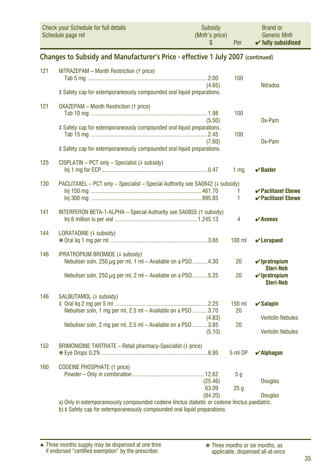<span id="page-34-0"></span>

| Check your Schedule for full details | Subsidy        | <b>Brand or</b>               |
|--------------------------------------|----------------|-------------------------------|
| Schedule page ref                    | (Mnfr's price) | <b>Generic Mnfr</b>           |
|                                      | Per            | $\checkmark$ fully subsidised |

#### **Changes to Subsidy and Manufacturer's Price - effective 1 July 2007 (continued)**

| 121 | NITRAZEPAM - Month Restriction († price)                                      |                      |                                            |
|-----|-------------------------------------------------------------------------------|----------------------|--------------------------------------------|
|     |                                                                               | 100                  |                                            |
|     | (4.65)                                                                        |                      | <b>Nitrados</b>                            |
|     | ‡ Safety cap for extemporaneously compounded oral liquid preparations.        |                      |                                            |
| 121 | <b>OXAZEPAM - Month Restriction (1 price)</b>                                 |                      |                                            |
|     |                                                                               | 100                  |                                            |
|     | (5.50)                                                                        |                      | Ox-Pam                                     |
|     | ‡ Safety cap for extemporaneously compounded oral liquid preparations.        |                      |                                            |
|     |                                                                               | 100                  |                                            |
|     | (7.60)                                                                        |                      | Ox-Pam                                     |
|     | ‡ Safety cap for extemporaneously compounded oral liquid preparations.        |                      |                                            |
| 125 | CISPLATIN - PCT only - Specialist ( $\downarrow$ subsidy)                     |                      |                                            |
|     |                                                                               | 1 <sub>mq</sub>      | $\vee$ Baxter                              |
| 130 | PACLITAXEL - PCT only - Specialist - Special Authority see SA0842 (4 subsidy) |                      |                                            |
|     |                                                                               | 1                    | $\boldsymbol{\checkmark}$ Paclitaxel Ebewe |
|     |                                                                               | 1                    | $\vee$ Paclitaxel Ebewe                    |
| 141 | INTERFERON BETA-1-ALPHA - Special Authority see SA0855 (1 subsidy)            |                      |                                            |
|     |                                                                               | 4                    | $\boldsymbol{\checkmark}$ Avonex           |
| 144 | LORATADINE (+ subsidy)                                                        |                      |                                            |
|     |                                                                               | $100$ ml             | $\mathbf v$ Lorapaed                       |
| 146 | IPRATROPIUM BROMIDE (4 subsidy)                                               |                      |                                            |
|     | Nebuliser soln, $250 \mu g$ per ml, 1 ml – Available on a PSO  4.30           | 20                   | $\nu$ Ipratropium                          |
|     | Nebuliser soln, $250 \mu g$ per ml, 2 ml – Available on a PSO 5.25            | 20                   | <b>Steri-Neb</b><br>$\nu$ Ipratropium      |
|     |                                                                               |                      | <b>Steri-Neb</b>                           |
| 146 | SALBUTAMOL (+ subsidy)                                                        |                      |                                            |
|     |                                                                               | $150$ ml             | $\checkmark$ Salapin                       |
|     | Nebuliser soln, 1 mg per ml, 2.5 ml - Available on a PSO 3.70                 | 20                   |                                            |
|     | (4.83)                                                                        |                      | <b>Ventolin Nebules</b>                    |
|     | Nebuliser soln, 2 mg per ml, 2.5 ml - Available on a PSO 3.85                 | 20                   |                                            |
|     | (5.10)                                                                        |                      | <b>Ventolin Nebules</b>                    |
| 152 | BRIMONIDINE TARTRATE - Retail pharmacy-Specialist (# price)                   |                      |                                            |
|     |                                                                               | 5 ml OP              | $\boldsymbol{\checkmark}$ Alphagan         |
|     |                                                                               |                      |                                            |
| 160 | <b>CODEINE PHOSPHATE (1 price)</b>                                            |                      |                                            |
|     |                                                                               | 5 g                  |                                            |
|     | (25.46)                                                                       |                      | <b>Douglas</b>                             |
|     | 63.09                                                                         | 25q                  |                                            |
|     | (84.20)<br>concentrate the concentrate of the concentrate and concentrate the | والمستردان والمرادية | <b>Douglas</b>                             |
|     |                                                                               |                      |                                            |

a) Only in extemporaneously compounded codeine linctus diabetic or codeine linctus paediatric.

b) ‡ Safety cap for extemporaneously compounded oral liquid preparations.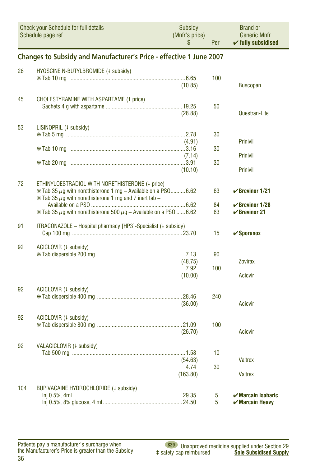<span id="page-35-0"></span>

|     | Check your Schedule for full details<br>Schedule page ref                                                                                                                                 | Subsidy<br>(Mnfr's price)<br>\$ | Per       | <b>Brand or</b><br><b>Generic Mnfr</b><br>$\checkmark$ fully subsidised               |  |  |  |  |
|-----|-------------------------------------------------------------------------------------------------------------------------------------------------------------------------------------------|---------------------------------|-----------|---------------------------------------------------------------------------------------|--|--|--|--|
|     | Changes to Subsidy and Manufacturer's Price - effective 1 June 2007                                                                                                                       |                                 |           |                                                                                       |  |  |  |  |
| 26  | HYOSCINE N-BUTYLBROMIDE (4 subsidy)                                                                                                                                                       | (10.85)                         | 100       | <b>Buscopan</b>                                                                       |  |  |  |  |
| 45  | <b>CHOLESTYRAMINE WITH ASPARTAME (1 price)</b>                                                                                                                                            | (28.88)                         | 50        | Questran-Lite                                                                         |  |  |  |  |
| 53  | LISINOPRIL (+ subsidy)                                                                                                                                                                    |                                 | 30        |                                                                                       |  |  |  |  |
|     |                                                                                                                                                                                           | (4.91)<br>(7.14)                | 30        | <b>Prinivil</b><br><b>Prinivil</b>                                                    |  |  |  |  |
|     |                                                                                                                                                                                           | (10.10)                         | 30        | <b>Prinivil</b>                                                                       |  |  |  |  |
| 72  | ETHINYLOESTRADIOL WITH NORETHISTERONE (4 price)<br>$*$ Tab 35 $\mu$ g with norethisterone 1 mg - Available on a PS0 6.62<br>$*$ Tab 35 $\mu$ g with norethisterone 1 mg and 7 inert tab – |                                 | 63        | $\vee$ Brevinor 1/21                                                                  |  |  |  |  |
|     | $*$ Tab 35 $\mu$ q with norethisterone 500 $\mu$ q – Available on a PS0 6.62                                                                                                              |                                 | 84<br>63  | $\checkmark$ Brevinor 1/28<br>$\checkmark$ Brevinor 21                                |  |  |  |  |
| 91  | ITRACONAZOLE - Hospital pharmacy [HP3]-Specialist (# subsidy)                                                                                                                             |                                 | 15        | $\checkmark$ Sporanox                                                                 |  |  |  |  |
| 92  | ACICLOVIR (+ subsidy)                                                                                                                                                                     | (48.75)<br>7.92                 | 90<br>100 | <b>Zovirax</b>                                                                        |  |  |  |  |
|     |                                                                                                                                                                                           | (10.00)                         |           | <b>Acicvir</b>                                                                        |  |  |  |  |
| 92  | ACICLOVIR (+ subsidy)                                                                                                                                                                     | (36.00)                         | 240       | <b>Acicvir</b>                                                                        |  |  |  |  |
| 92  | ACICLOVIR (+ subsidy)                                                                                                                                                                     | (26.70)                         | 100       | <b>Acicvir</b>                                                                        |  |  |  |  |
| 92  | VALACICLOVIR (4 subsidy)                                                                                                                                                                  | (54.63)                         | 10        | <b>Valtrex</b>                                                                        |  |  |  |  |
|     |                                                                                                                                                                                           | 4.74<br>(163.80)                | 30        | <b>Valtrex</b>                                                                        |  |  |  |  |
| 104 | BUPIVACAINE HYDROCHLORIDE (4 subsidy)                                                                                                                                                     |                                 | 5<br>5    | $\boldsymbol{\checkmark}$ Marcain Isobaric<br>$\boldsymbol{\checkmark}$ Marcain Heavy |  |  |  |  |

Patients pay a manufacturer's surcharge when<br>the Manufacturer's Price is greater than the Subsidy 36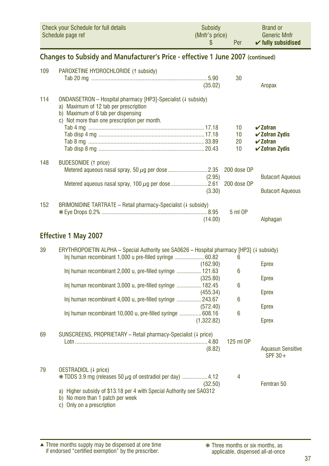<span id="page-36-0"></span>

| Check your Schedule for full details | Subsidy        | <b>Brand or</b>               |
|--------------------------------------|----------------|-------------------------------|
| Schedule page ref                    | (Mnfr's price) | <b>Generic Mnfr</b>           |
|                                      | Per            | $\checkmark$ fully subsidised |

#### **Changes to Subsidy and Manufacturer's Price - effective 1 June 2007 (continued)**

| 109 | PAROXETINE HYDROCHLORIDE (1 subsidy)                                                                                                                                                        | (35.02) | 30          | Aropax                           |
|-----|---------------------------------------------------------------------------------------------------------------------------------------------------------------------------------------------|---------|-------------|----------------------------------|
| 114 | ONDANSETRON - Hospital pharmacy [HP3]-Specialist (# subsidy)<br>a) Maximum of 12 tab per prescription<br>b) Maximum of 6 tab per dispensing<br>c) Not more than one prescription per month. |         |             |                                  |
|     |                                                                                                                                                                                             |         | 10          | $\boldsymbol{\mathsf{v}}$ Zofran |
|     |                                                                                                                                                                                             |         | 10          | $\checkmark$ Zofran Zydis        |
|     |                                                                                                                                                                                             |         | 20          | $\boldsymbol{\mathsf{v}}$ Zofran |
|     |                                                                                                                                                                                             |         | 10          | $\checkmark$ Zofran Zydis        |
| 148 | <b>BUDESONIDE</b> († price)                                                                                                                                                                 |         |             |                                  |
|     |                                                                                                                                                                                             |         | 200 dose OP |                                  |
|     |                                                                                                                                                                                             | (2.95)  |             | <b>Butacort Aqueous</b>          |
|     |                                                                                                                                                                                             |         | 200 dose OP |                                  |
|     |                                                                                                                                                                                             | (3.30)  |             | <b>Butacort Aqueous</b>          |
| 152 | BRIMONIDINE TARTRATE - Retail pharmacy-Specialist (# subsidy)                                                                                                                               |         |             |                                  |
|     |                                                                                                                                                                                             |         | 5 ml OP     |                                  |
|     |                                                                                                                                                                                             | (14.00) |             | Alphagan                         |
|     |                                                                                                                                                                                             |         |             |                                  |

#### **Effective 1 May 2007**

| 39 | ERYTHROPOIETIN ALPHA – Special Authority see SA0626 – Hospital pharmacy [HP3] ( $\downarrow$ subsidy)                                          |            |           |                                       |
|----|------------------------------------------------------------------------------------------------------------------------------------------------|------------|-----------|---------------------------------------|
|    | Inj human recombinant 1,000 u pre-filled syringe  60.82                                                                                        |            | 6         |                                       |
|    |                                                                                                                                                | (162.90)   |           | Eprex                                 |
|    | Inj human recombinant 2,000 u, pre-filled syringe  121.63                                                                                      |            | 6         |                                       |
|    |                                                                                                                                                | (325.80)   |           | Eprex                                 |
|    | Inj human recombinant 3,000 u, pre-filled syringe  182.45                                                                                      |            | 6         |                                       |
|    |                                                                                                                                                | (455.34)   |           | Eprex                                 |
|    | Inj human recombinant 4,000 u, pre-filled syringe 243.67                                                                                       |            | 6         |                                       |
|    |                                                                                                                                                | (572.40)   |           | Eprex                                 |
|    | Inj human recombinant 10,000 u, pre-filled syringe 608.16                                                                                      |            | 6         |                                       |
|    |                                                                                                                                                | (1,322.82) |           | Eprex                                 |
| 69 | SUNSCREENS, PROPRIETARY - Retail pharmacy-Specialist (# price)                                                                                 |            |           |                                       |
|    |                                                                                                                                                |            | 125 ml OP |                                       |
|    |                                                                                                                                                | (8.82)     |           | <b>Aquasun Sensitive</b><br>$SPF 30+$ |
| 79 | OESTRADIOL (4 price)                                                                                                                           |            |           |                                       |
|    | $*$ TDDS 3.9 mg (releases 50 $\mu$ g of oestradiol per day) 4.12                                                                               | (32.50)    | 4         | Femtran 50                            |
|    | Higher subsidy of \$13.18 per 4 with Special Authority see SA0312<br>a)<br>No more than 1 patch per week<br>b)<br>Only on a prescription<br>C) |            |           |                                       |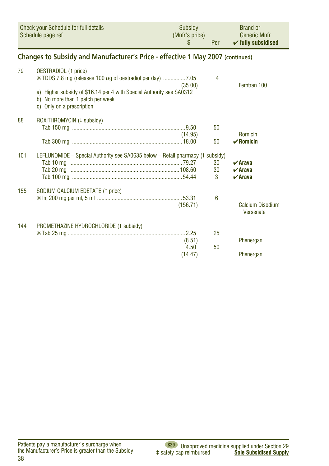<span id="page-37-0"></span>

| Check your Schedule for full details | <b>Subsidy</b> | <b>Brand or</b>               |
|--------------------------------------|----------------|-------------------------------|
| Schedule page ref                    | (Mnfr's price) | <b>Generic Mnfr</b>           |
|                                      | Per            | $\checkmark$ fully subsidised |

#### Changes to Subsidy and Manufacturer's Price - effective 1 May 2007 (continued)

| 79  | <b>OESTRADIOL</b> († price)                                                                                                           | (35.00)  | 4             | Femtran 100                                                          |
|-----|---------------------------------------------------------------------------------------------------------------------------------------|----------|---------------|----------------------------------------------------------------------|
|     | a) Higher subsidy of \$16.14 per 4 with Special Authority see SA0312<br>b) No more than 1 patch per week<br>c) Only on a prescription |          |               |                                                                      |
| 88  | ROXITHROMYCIN (+ subsidy)                                                                                                             |          |               |                                                                      |
|     |                                                                                                                                       |          | 50            |                                                                      |
|     |                                                                                                                                       | (14.95)  |               | Romicin                                                              |
|     |                                                                                                                                       |          | 50            | $\mathbf{v}$ Romicin                                                 |
| 101 | LEFLUNOMIDE – Special Authority see SA0635 below – Retail pharmacy ( $\downarrow$ subsidy)                                            |          | 30<br>30<br>3 | $\boldsymbol{\nu}$ Arava<br>$\vee$ Arava<br>$\boldsymbol{\nu}$ Arava |
| 155 | SODIUM CALCIUM EDETATE (1 price)                                                                                                      |          |               |                                                                      |
|     |                                                                                                                                       | (156.71) | 6             | Calcium Disodium<br>Versenate                                        |
| 144 | PROMETHAZINE HYDROCHLORIDE (4 subsidy)                                                                                                |          |               |                                                                      |
|     |                                                                                                                                       |          | 25            |                                                                      |
|     |                                                                                                                                       | (8.51)   |               | Phenergan                                                            |
|     |                                                                                                                                       | 4.50     | 50            |                                                                      |
|     |                                                                                                                                       | (14.47)  |               | Phenergan                                                            |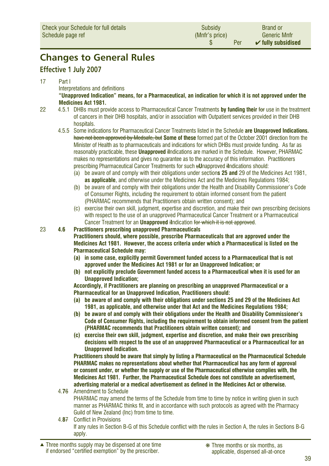## <span id="page-38-0"></span>**Changes to General Rules**

#### **Effective 1 July 2007**

#### 17 Part I

Interpretations and definitions

**"Unapproved Indication" means, for a Pharmaceutical, an indication for which it is not approved under the Medicines Act 1981.**

- 22 4.5.1 DHBs must provide access to Pharmaceutical Cancer Treatments **by funding their** for use in the treatment of cancers in their DHB hospitals, and/or in association with Outpatient services provided in their DHB hospitals.
	- 4.5.5 Some indications for Pharmaceutical Cancer Treatments listed in the Schedule **are Unapproved Indications.** have not been approved by Medsafe, but **Some of these** formed part of the October 2001 direction from the Minister of Health as to pharmaceuticals and indications for which DHBs must provide funding. As far as reasonably practicable, these **Unapproved** i**I**ndications are marked in the Schedule. However, PHARMAC makes no representations and gives no guarantee as to the accuracy of this information. Practitioners prescribing Pharmaceutical Cancer Treatments for such u**U**napproved i**I**ndications should:
		- (a) be aware of and comply with their obligations under section**s 25 and** 29 of the Medicines Act 1981, **as applicable**, and otherwise under the Medicines Act and the Medicines Regulations 1984;
		- (b) be aware of and comply with their obligations under the Health and Disability Commissioner's Code of Consumer Rights, including the requirement to obtain informed consent from the patient (PHARMAC recommends that Practitioners obtain written consent); and
		- (c) exercise their own skill, judgment, expertise and discretion, and make their own prescribing decisions with respect to the use of an unapproved Pharmaceutical Cancer Treatment or a Pharmaceutical Cancer Treatment for an **Unapproved** i**I**ndication for which it is not approved.
- 23 **4.6 Practitioners prescribing unapproved Pharmaceuticals**

**Practitioners should, where possible, prescribe Pharmaceuticals that are approved under the Medicines Act 1981. However, the access criteria under which a Pharmaceutical is listed on the Pharmaceutical Schedule may:**

- **(a) in some case, explicitly permit Government funded access to a Pharmaceutical that is not approved under the Medicines Act 1981 or for an Unapproved Indication; or**
- **(b) not explicitly preclude Government funded access to a Pharmaceutical when it is used for an Unapproved Indication;**

**Accordingly, if Practitioners are planning on prescribing an unapproved Pharmaceutical or a Pharmaceutical for an Unapproved Indication, Practitioners should:**

- **(a) be aware of and comply with their obligations under sections 25 and 29 of the Medicines Act 1981, as applicable, and otherwise under that Act and the Medicines Regulations 1984;**
- **(b) be aware of and comply with their obligations under the Health and Disability Commissioner's Code of Consumer Rights, including the requirement to obtain informed consent from the patient (PHARMAC recommends that Practitioners obtain written consent); and**
- **(c) exercise their own skill, judgment, expertise and discretion, and make their own prescribing decisions with respect to the use of an unapproved Pharmaceutical or a Pharmaceutical for an Unapproved Indication.**

 **Practitioners should be aware that simply by listing a Pharmaceutical on the Pharmaceutical Schedule PHARMAC makes no representations about whether that Pharmaceutical has any form of approval or consent under, or whether the supply or use of the Pharmaceutical otherwise complies with, the Medicines Act 1981. Further, the Pharmaceutical Schedule does not constitute an advertisement, advertising material or a medical advertisement as defined in the Medicines Act or otherwise.**

- 4.**7**6 Amendment to Schedule PHARMAC may amend the terms of the Schedule from time to time by notice in writing given in such manner as PHARMAC thinks fit, and in accordance with such protocols as agreed with the Pharmacy Guild of New Zealand (Inc) from time to time.
- 4.**8**7 Conflict in Provisions If any rules in Section B-G of this Schedule conflict with the rules in Section A, the rules in Sections B-G apply.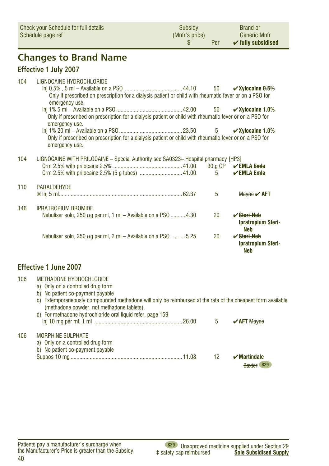<span id="page-39-0"></span>

| Check your Schedule for full details<br>Schedule page ref |                                                                                                                                                                                                                                                                  | Subsidy<br>(Mnfr's price)<br>\$ | Per         | <b>Brand or</b><br><b>Generic Mnfr</b><br>$\checkmark$ fully subsidised |
|-----------------------------------------------------------|------------------------------------------------------------------------------------------------------------------------------------------------------------------------------------------------------------------------------------------------------------------|---------------------------------|-------------|-------------------------------------------------------------------------|
|                                                           | <b>Changes to Brand Name</b>                                                                                                                                                                                                                                     |                                 |             |                                                                         |
|                                                           | <b>Effective 1 July 2007</b>                                                                                                                                                                                                                                     |                                 |             |                                                                         |
| 104                                                       | LIGNOCAINE HYDROCHLORIDE<br>Only if prescribed on prescription for a dialysis patient or child with rheumatic fever or on a PSO for<br>emergency use.<br>Only if prescribed on prescription for a dialysis patient or child with rheumatic fever or on a PSO for |                                 | 50<br>50    | $\checkmark$ Xylocaine $0.5\%$<br>$\checkmark$ Xylocaine 1.0%           |
|                                                           | emergency use.<br>Only if prescribed on prescription for a dialysis patient or child with rheumatic fever or on a PSO for<br>emergency use.                                                                                                                      |                                 | $5^{\circ}$ | $\checkmark$ Xylocaine 1.0%                                             |
| 104                                                       | LIGNOCAINE WITH PRILOCAINE - Special Authority see SA0323- Hospital pharmacy [HP3]                                                                                                                                                                               |                                 |             |                                                                         |
|                                                           |                                                                                                                                                                                                                                                                  |                                 | $5^{\circ}$ | 30 q OP $\sqrt{\text{EMLA Emla}}$<br>$\vee$ EMLA Emla                   |
| 110                                                       | <b>PARALDEHYDE</b>                                                                                                                                                                                                                                               |                                 | 5           | Mayne $\mathsf{v}$ AFT                                                  |
| 146                                                       | <b>IPRATROPIUM BROMIDE</b><br>Nebuliser soln, 250 $\mu$ g per ml, 1 ml – Available on a PSO  4.30                                                                                                                                                                |                                 | 20          | $\sqrt{\text{Steri-Meb}}$<br><b>Ipratropium Steri-</b><br>Neb           |
|                                                           | Nebuliser soln, $250 \mu g$ per ml, 2 ml – Available on a PSO  5.25                                                                                                                                                                                              |                                 | 20          | $\vee$ Steri-Neb<br><b>Ipratropium Steri-</b><br>Neb                    |

#### **Effective 1 June 2007**

| 106 | METHADONE HYDROCHLORIDE<br>a) Only on a controlled drug form<br>No patient co-payment payable<br>b)<br>Extemporaneously compounded methadone will only be reimbursed at the rate of the cheapest form available<br>C)<br>(methadone powder, not methadone tablets).<br>d) For methadone hydrochloride oral liquid refer, page 159 |    |                               |
|-----|-----------------------------------------------------------------------------------------------------------------------------------------------------------------------------------------------------------------------------------------------------------------------------------------------------------------------------------|----|-------------------------------|
|     |                                                                                                                                                                                                                                                                                                                                   | 5  | $\sqrt{$ AFT Mayne            |
| 106 | <b>MORPHINE SULPHATE</b><br>a) Only on a controlled drug form<br>b) No patient co-payment payable                                                                                                                                                                                                                                 | 12 | $\boldsymbol{\nu}$ Martindale |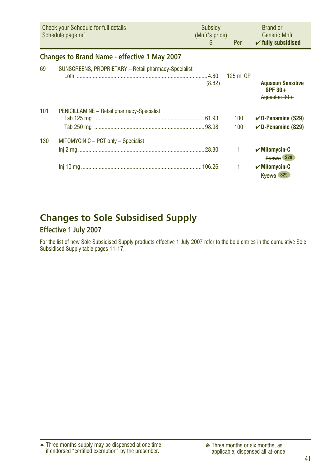<span id="page-40-0"></span>

|     | <b>Check your Schedule for full details</b><br>Schedule page ref | Subsidy<br>(Mnfr's price)<br>S. | Per        | <b>Brand or</b><br><b>Generic Mnfr</b><br>$\checkmark$ fully subsidised |
|-----|------------------------------------------------------------------|---------------------------------|------------|-------------------------------------------------------------------------|
|     | <b>Changes to Brand Name - effective 1 May 2007</b>              |                                 |            |                                                                         |
| 69  | SUNSCREENS, PROPRIETARY - Retail pharmacy-Specialist             | (8.82)                          | 125 ml OP  | <b>Aquasun Sensitive</b><br>SPF $30+$<br>Aguabloc 30+                   |
| 101 | PENICILLAMINE - Retail pharmacy-Specialist                       |                                 | 100<br>100 | $\checkmark$ D-Penamine (S29)<br>$\checkmark$ D-Penamine (S29)          |
| 130 | MITOMYCIN C - PCT only - Specialist                              |                                 |            | $\boldsymbol{\mathcal{C}}$ Mitomycin-C<br>Kyowa S29                     |
|     |                                                                  |                                 |            | $\sqrt{M}$ itomycin-C<br>Kyowa S29                                      |

## **Changes to Sole Subsidised Supply**

#### **Effective 1 July 2007**

For the list of new Sole Subsidised Supply products effective 1 July 2007 refer to the bold entries in the cumulative Sole Subsidised Supply table pages 11-17.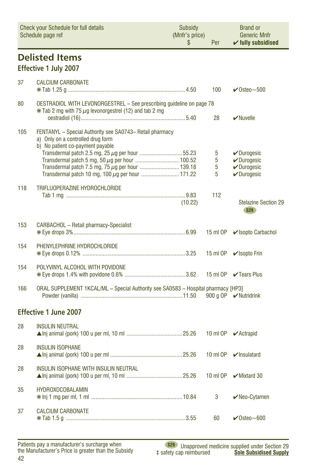<span id="page-41-0"></span>

| <b>Check your Schedule for full details</b><br>Schedule page ref |                                                                                                                                        | Subsidy<br>(Mnfr's price)<br>\$ | Per              | <b>Brand or</b><br><b>Generic Mnfr</b><br>$\checkmark$ fully subsidised  |
|------------------------------------------------------------------|----------------------------------------------------------------------------------------------------------------------------------------|---------------------------------|------------------|--------------------------------------------------------------------------|
|                                                                  | <b>Delisted Items</b><br>Effective 1 July 2007                                                                                         |                                 |                  |                                                                          |
| 37                                                               | <b>CALCIUM CARBONATE</b>                                                                                                               |                                 | 100              | $\sqrt{\text{O} \text{steo}}$ ~500                                       |
| 80                                                               | OESTRADIOL WITH LEVONORGESTREL - See prescribing guideline on page 78<br>$*$ Tab 2 mg with 75 $\mu$ g levonorgestrel (12) and tab 2 mg |                                 | 28               | $\vee$ Nuvelle                                                           |
| 105                                                              | FENTANYL - Special Authority see SA0743- Retail pharmacy<br>a) Only on a controlled drug form<br>b) No patient co-payment payable      |                                 |                  |                                                                          |
|                                                                  |                                                                                                                                        |                                 | 5<br>5<br>5<br>5 | $\nu$ Durogesic<br>$\nu$ Durogesic<br>$\nu$ Durogesic<br>$\nu$ Durogesic |
| 118                                                              | TRIFLUOPERAZINE HYDROCHLORIDE                                                                                                          | (10.22)                         | 112              | <b>Stelazine Section 29</b><br><b>S29</b>                                |
| 153                                                              | <b>CARBACHOL</b> - Retail pharmacy-Specialist                                                                                          |                                 | 15 ml OP         | ✔ Isopto Carbachol                                                       |
| 154                                                              | PHENYLEPHRINE HYDROCHLORIDE                                                                                                            |                                 | 15 ml OP         | $\vee$ Isopto Frin                                                       |
| 154                                                              | POLYVINYL ALCOHOL WITH POVIDONE                                                                                                        |                                 |                  | 15 ml OP <b></b> ■ Tears Plus                                            |
| 166                                                              | ORAL SUPPLEMENT 1KCAL/ML - Special Authority see SA0583 - Hospital pharmacy [HP3]                                                      |                                 |                  | 900 g OP ✔ Nutridrink                                                    |
|                                                                  | <b>Effective 1 June 2007</b>                                                                                                           |                                 |                  |                                                                          |
| 28                                                               | <b>INSULIN NEUTRAL</b>                                                                                                                 |                                 |                  |                                                                          |
| 28                                                               | <b>INSULIN ISOPHANE</b>                                                                                                                |                                 |                  | 10 ml OP <del>V</del> Insulatard                                         |
| 28                                                               | INSULIN ISOPHANE WITH INSULIN NEUTRAL                                                                                                  |                                 | 10 ml OP         | $\mathcal V$ Mixtard 30                                                  |
| 35                                                               | <b>HYDROXOCOBALAMIN</b>                                                                                                                |                                 | 3                | $\blacktriangleright$ Neo-Cytamen                                        |
| 37                                                               | <b>CALCIUM CARBONATE</b>                                                                                                               |                                 | 60               | $\checkmark$ Osteo~600                                                   |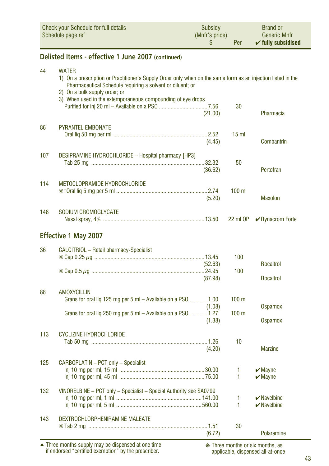<span id="page-42-0"></span>

| <b>Check your Schedule for full details</b><br>Schedule page ref |                                                                                                                                                                                                                                                                                             | <b>Subsidy</b><br>(Mnfr's price)<br>\$ | Per               | <b>Brand or</b><br><b>Generic Mnfr</b><br>$\checkmark$ fully subsidised |
|------------------------------------------------------------------|---------------------------------------------------------------------------------------------------------------------------------------------------------------------------------------------------------------------------------------------------------------------------------------------|----------------------------------------|-------------------|-------------------------------------------------------------------------|
|                                                                  | Delisted Items - effective 1 June 2007 (continued)                                                                                                                                                                                                                                          |                                        |                   |                                                                         |
| 44                                                               | <b>WATER</b><br>1) On a prescription or Practitioner's Supply Order only when on the same form as an injection listed in the<br>Pharmaceutical Schedule requiring a solvent or diluent; or<br>2) On a bulk supply order; or<br>3) When used in the extemporaneous compounding of eye drops. |                                        |                   |                                                                         |
|                                                                  |                                                                                                                                                                                                                                                                                             | (21.00)                                | 30                | Pharmacia                                                               |
| 86                                                               | <b>PYRANTEL EMBONATE</b>                                                                                                                                                                                                                                                                    | (4.45)                                 | 15 <sub>m</sub>   | Combantrin                                                              |
| 107                                                              | <b>DESIPRAMINE HYDROCHLORIDE - Hospital pharmacy [HP3]</b>                                                                                                                                                                                                                                  | (36.62)                                | 50                | Pertofran                                                               |
| 114                                                              | METOCLOPRAMIDE HYDROCHLORIDE                                                                                                                                                                                                                                                                | (5.20)                                 | $100$ ml          | <b>Maxolon</b>                                                          |
| 148                                                              | SODIUM CROMOGLYCATE                                                                                                                                                                                                                                                                         |                                        | 22 ml OP          | <b>∕</b> Rynacrom Forte                                                 |
|                                                                  | <b>Effective 1 May 2007</b>                                                                                                                                                                                                                                                                 |                                        |                   |                                                                         |
| 36                                                               | CALCITRIOL - Retail pharmacy-Specialist                                                                                                                                                                                                                                                     | (52.63)                                | 100               | Rocaltrol                                                               |
|                                                                  |                                                                                                                                                                                                                                                                                             | (87.98)                                | 100               | Rocaltrol                                                               |
| 88                                                               | <b>AMOXYCILLIN</b><br>Grans for oral liq 125 mg per 5 ml - Available on a PSO  1.00                                                                                                                                                                                                         | (1.08)                                 | $100$ ml          | <b>Ospamox</b>                                                          |
|                                                                  | Grans for oral liq 250 mg per 5 ml - Available on a PSO  1.27                                                                                                                                                                                                                               | (1.38)                                 | $100$ ml          | <b>Ospamox</b>                                                          |
| 113                                                              | <b>CYCLIZINE HYDROCHLORIDE</b>                                                                                                                                                                                                                                                              | (4.20)                                 | 10                | <b>Marzine</b>                                                          |
| 125                                                              | CARBOPLATIN - PCT only - Specialist                                                                                                                                                                                                                                                         |                                        | 1<br>1            | $\boldsymbol{\nu}$ Mayne<br>$\boldsymbol{\nu}$ Mayne                    |
| 132                                                              | VINORELBINE - PCT only - Specialist - Special Authority see SA0799                                                                                                                                                                                                                          |                                        | 1<br>$\mathbf{1}$ | $\blacktriangleright$ Navelbine<br>$\blacktriangleright$ Navelbine      |
| 143                                                              | DEXTROCHLORPHENIRAMINE MALEATE                                                                                                                                                                                                                                                              | (6.72)                                 | 30                | Polaramine                                                              |

Three months supply may be dispensed at one time if endorsed "certified exemption" by the prescriber. ▲ ❋ Three months or six months, as

applicable, dispensed all-at-once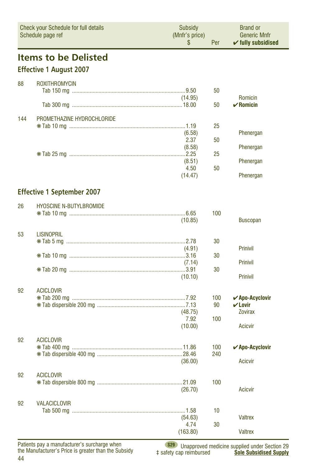<span id="page-43-0"></span>

| Check your Schedule for full details<br>Schedule page ref |                                   | Subsidy<br>(Mnfr's price)<br>\$ | Per       | <b>Brand or</b><br><b>Generic Mnfr</b><br>$\checkmark$ fully subsidised |
|-----------------------------------------------------------|-----------------------------------|---------------------------------|-----------|-------------------------------------------------------------------------|
|                                                           | <b>Items to be Delisted</b>       |                                 |           |                                                                         |
|                                                           | <b>Effective 1 August 2007</b>    |                                 |           |                                                                         |
| 88                                                        | <b>ROXITHROMYCIN</b>              |                                 |           |                                                                         |
|                                                           |                                   |                                 | 50        |                                                                         |
|                                                           |                                   | (14.95)                         | 50        | Romicin<br>$\boldsymbol{\nu}$ Romicin                                   |
| 144                                                       | PROMETHAZINE HYDROCHLORIDE        |                                 |           |                                                                         |
|                                                           |                                   |                                 | 25        |                                                                         |
|                                                           |                                   | (6.58)<br>2.37                  | 50        | Phenergan                                                               |
|                                                           |                                   | (8.58)                          |           | Phenergan                                                               |
|                                                           |                                   |                                 | 25        |                                                                         |
|                                                           |                                   | (8.51)<br>4.50                  | 50        | Phenergan                                                               |
|                                                           |                                   | (14.47)                         |           | Phenergan                                                               |
|                                                           | <b>Effective 1 September 2007</b> |                                 |           |                                                                         |
|                                                           |                                   |                                 |           |                                                                         |
| 26                                                        | <b>HYOSCINE N-BUTYLBROMIDE</b>    |                                 | 100       |                                                                         |
|                                                           |                                   | (10.85)                         |           | <b>Buscopan</b>                                                         |
| 53                                                        | <b>LISINOPRIL</b>                 |                                 |           |                                                                         |
|                                                           |                                   |                                 | 30        |                                                                         |
|                                                           |                                   | (4.91)                          | 30        | <b>Prinivil</b>                                                         |
|                                                           |                                   | (7.14)                          |           | <b>Prinivil</b>                                                         |
|                                                           |                                   |                                 | 30        |                                                                         |
|                                                           |                                   | (10.10)                         |           | Prinivil                                                                |
| 92                                                        | <b>ACICLOVIR</b>                  |                                 |           |                                                                         |
|                                                           |                                   |                                 | 100<br>90 | $\boldsymbol{\checkmark}$ Apo-Acyclovir<br>$\boldsymbol{\nu}$ Lovir     |
|                                                           |                                   | (48.75)                         |           | <b>Zovirax</b>                                                          |
|                                                           |                                   | 7.92<br>(10.00)                 | 100       | <b>Acicvir</b>                                                          |
|                                                           |                                   |                                 |           |                                                                         |
| 92                                                        | <b>ACICLOVIR</b>                  |                                 | 100       | $\boldsymbol{\checkmark}$ Apo-Acyclovir                                 |
|                                                           |                                   |                                 | 240       |                                                                         |
|                                                           |                                   | (36.00)                         |           | Acicvir                                                                 |
| 92                                                        | <b>ACICLOVIR</b>                  |                                 |           |                                                                         |
|                                                           |                                   | (26.70)                         | 100       | <b>Acicvir</b>                                                          |
|                                                           |                                   |                                 |           |                                                                         |
| 92                                                        | <b>VALACICLOVIR</b>               |                                 |           |                                                                         |
|                                                           |                                   | (54.63)                         | 10        | <b>Valtrex</b>                                                          |
|                                                           |                                   | 4.74                            | 30        |                                                                         |
|                                                           |                                   | (163.80)                        |           | <b>Valtrex</b>                                                          |

**S29** Unapproved medicine supplied under Section 2 ‡ safety cap reimbursed **Sole Subsidised Supply**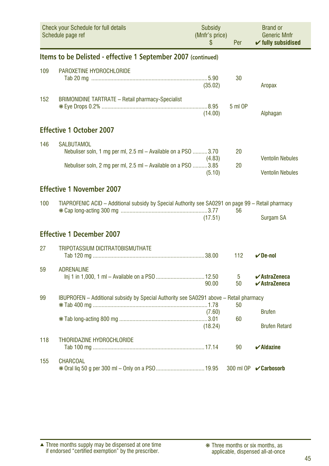<span id="page-44-0"></span>

| <b>Check your Schedule for full details</b><br>Schedule page ref |                                                                                                                                                     | Subsidy<br>(Mnfr's price)<br>\$ | Per      | <b>Brand or</b><br><b>Generic Mnfr</b><br>$\checkmark$ fully subsidised        |
|------------------------------------------------------------------|-----------------------------------------------------------------------------------------------------------------------------------------------------|---------------------------------|----------|--------------------------------------------------------------------------------|
|                                                                  | Items to be Delisted - effective 1 September 2007 (continued)                                                                                       |                                 |          |                                                                                |
| 109                                                              | PAROXETINE HYDROCHLORIDE                                                                                                                            | (35.02)                         | 30       | Aropax                                                                         |
| 152                                                              | <b>BRIMONIDINE TARTRATE - Retail pharmacy-Specialist</b>                                                                                            | (14.00)                         | 5 ml OP  | Alphagan                                                                       |
|                                                                  | <b>Effective 1 October 2007</b>                                                                                                                     |                                 |          |                                                                                |
| 146                                                              | <b>SALBUTAMOL</b><br>Nebuliser soln, 1 mg per ml, 2.5 ml - Available on a PSO 3.70<br>Nebuliser soln, 2 mg per ml, 2.5 ml - Available on a PSO 3.85 | (4.83)<br>(5.10)                | 20<br>20 | <b>Ventolin Nebules</b><br><b>Ventolin Nebules</b>                             |
|                                                                  | <b>Effective 1 November 2007</b>                                                                                                                    |                                 |          |                                                                                |
| 100                                                              | TIAPROFENIC ACID - Additional subsidy by Special Authority see SA0291 on page 99 - Retail pharmacy                                                  | (17.51)                         | 56       | Surgam SA                                                                      |
|                                                                  | <b>Effective 1 December 2007</b>                                                                                                                    |                                 |          |                                                                                |
| 27                                                               | <b>TRIPOTASSIUM DICITRATOBISMUTHATE</b>                                                                                                             |                                 | 112      | $\nu$ De-nol                                                                   |
| 59                                                               | <b>ADRENALINE</b>                                                                                                                                   | 90.00                           | 5<br>50  | $\boldsymbol{\checkmark}$ AstraZeneca<br>$\boldsymbol{\checkmark}$ AstraZeneca |
| 99                                                               | IBUPROFEN - Additional subsidy by Special Authority see SA0291 above - Retail pharmacy                                                              | (7.60)<br>(18.24)               | 50<br>60 | <b>Brufen</b><br><b>Brufen Retard</b>                                          |
| 118                                                              | THIORIDAZINE HYDROCHLORIDE                                                                                                                          |                                 | 90       | $\boldsymbol{\checkmark}$ Aldazine                                             |
| 155                                                              | <b>CHARCOAL</b>                                                                                                                                     |                                 |          | 300 ml OP <b>√ Carbosorb</b>                                                   |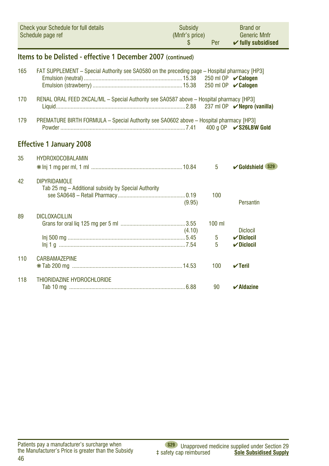<span id="page-45-0"></span>

| <b>Check your Schedule for full details</b> | Subsidy        | <b>Brand or</b>               |
|---------------------------------------------|----------------|-------------------------------|
| Schedule page ref                           | (Mnfr's price) | <b>Generic Mnfr</b>           |
|                                             | Per            | $\checkmark$ fully subsidised |

#### **Items to be Delisted - effective 1 December 2007 (continued)**

| 165 | FAT SUPPLEMENT - Special Authority see SA0580 on the preceding page - Hospital pharmacy [HP3] |        |                    | 250 ml OP $\mathcal{\mathcal{C}}$ Calogen                  |
|-----|-----------------------------------------------------------------------------------------------|--------|--------------------|------------------------------------------------------------|
| 170 | RENAL ORAL FEED 2KCAL/ML - Special Authority see SA0587 above - Hospital pharmacy [HP3]       |        |                    | 237 ml OP $\nu$ Nepro (vanilla)                            |
| 179 | PREMATURE BIRTH FORMULA - Special Authority see SA0602 above - Hospital pharmacy [HP3]        |        |                    | 400 a OP <b>√ S26LBW Gold</b>                              |
|     | <b>Effective 1 January 2008</b>                                                               |        |                    |                                                            |
| 35  | <b>HYDROXOCOBALAMIN</b>                                                                       |        | 5                  | $\sqrt{G}$ oldshield S29                                   |
| 42  | <b>DIPYRIDAMOLE</b><br>Tab 25 mg - Additional subsidy by Special Authority                    | (9.95) | 100                | Persantin                                                  |
| 89  | <b>DICLOXACILLIN</b>                                                                          | (4.10) | $100$ ml<br>5<br>5 | <b>Diclocil</b><br>$\nu$ Diclocil<br>$\checkmark$ Diclocil |
| 110 | <b>CARBAMAZEPINE</b>                                                                          |        | 100                | $\sqrt{}$ Teril                                            |
| 118 | THIORIDAZINE HYDROCHLORIDE                                                                    |        | 90                 | $\boldsymbol{\checkmark}$ Aldazine                         |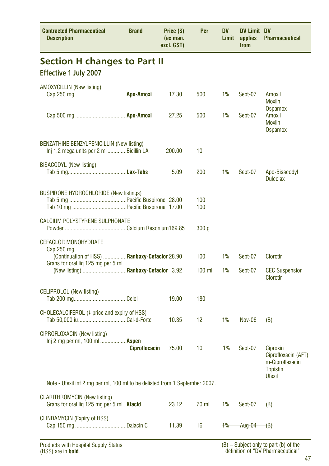<span id="page-46-0"></span>

| <b>Contracted Pharmaceutical</b><br><b>Description</b>                                     | <b>Brand</b>         | Price (\$)<br>(ex man.<br>excl. GST) | Per              | <b>DV</b><br><b>Limit</b> | <b>DV Limit DV</b><br>applies<br>from | <b>Pharmaceutical</b>                                                 |  |  |  |
|--------------------------------------------------------------------------------------------|----------------------|--------------------------------------|------------------|---------------------------|---------------------------------------|-----------------------------------------------------------------------|--|--|--|
| <b>Section H changes to Part II</b><br><b>Effective 1 July 2007</b>                        |                      |                                      |                  |                           |                                       |                                                                       |  |  |  |
| <b>AMOXYCILLIN (New listing)</b>                                                           |                      | 17.30                                | 500              | 1%                        | Sept-07                               | Amoxil<br>Moxlin                                                      |  |  |  |
|                                                                                            |                      | 27.25                                | 500              | 1%                        | Sept-07                               | Ospamox<br>Amoxil<br><b>Moxlin</b><br>Ospamox                         |  |  |  |
| BENZATHINE BENZYLPENICILLIN (New listing)<br>Inj 1.2 mega units per 2 ml Bicillin LA       |                      | 200.00                               | 10               |                           |                                       |                                                                       |  |  |  |
| <b>BISACODYL</b> (New listing)                                                             |                      | 5.09                                 | 200              | 1%                        | Sept-07                               | Apo-Bisacodyl<br><b>Dulcolax</b>                                      |  |  |  |
| <b>BUSPIRONE HYDROCHLORIDE (New listings)</b>                                              |                      |                                      | 100<br>100       |                           |                                       |                                                                       |  |  |  |
| <b>CALCIUM POLYSTYRENE SULPHONATE</b>                                                      |                      |                                      | 300 <sub>g</sub> |                           |                                       |                                                                       |  |  |  |
| <b>CEFACLOR MONOHYDRATE</b><br>Cap 250 mg<br>(Continuation of HSS)  Ranbaxy-Cefaclor 28.90 |                      |                                      | 100              | 1%                        | Sept-07                               | Clorotir                                                              |  |  |  |
| Grans for oral liq 125 mg per 5 ml                                                         |                      |                                      | $100$ ml         | 1%                        | Sept-07                               | <b>CEC Suspension</b><br>Clorotir                                     |  |  |  |
| <b>CELIPROLOL</b> (New listing)                                                            |                      | 19.00                                | 180              |                           |                                       |                                                                       |  |  |  |
| CHOLECALCIFEROL (4 price and expiry of HSS)                                                |                      | 10.35                                | 12 <sup>°</sup>  | $+$ %                     | <b>Nov-06</b>                         | ⊕⊬                                                                    |  |  |  |
| CIPROFLOXACIN (New listing)<br>Inj 2 mg per ml, 100 ml  Aspen                              | <b>Ciprofloxacin</b> | 75.00                                | 10               | 1%                        | Sept-07                               | Ciproxin<br>Ciprofloxacin (AFT)<br>m-Ciproflaxacin<br><b>Topistin</b> |  |  |  |
| Utexil<br>Note - Ufexil inf 2 mg per ml, 100 ml to be delisted from 1 September 2007.      |                      |                                      |                  |                           |                                       |                                                                       |  |  |  |
| <b>CLARITHROMYCIN (New listing)</b><br>Grans for oral lig 125 mg per 5 ml  Klacid          |                      | 23.12                                | 70 ml            | 1%                        | Sept-07                               | (B)                                                                   |  |  |  |
| <b>CLINDAMYCIN (Expiry of HSS)</b>                                                         |                      | 11.39                                | 16               | $+$                       | Aug-04                                | <del>(B)</del>                                                        |  |  |  |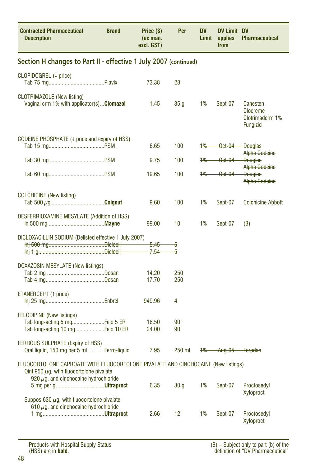<span id="page-47-0"></span>

| <b>Contracted Pharmaceutical</b><br><b>Description</b>                                                                             | <b>Brand</b> | Price (\$)<br>(ex man.<br>excl. GST) | Per               | <b>DV</b><br>Limit | <b>DV Limit DV</b><br>applies<br>from | <b>Pharmaceutical</b>                                             |  |
|------------------------------------------------------------------------------------------------------------------------------------|--------------|--------------------------------------|-------------------|--------------------|---------------------------------------|-------------------------------------------------------------------|--|
| Section H changes to Part II - effective 1 July 2007 (continued)                                                                   |              |                                      |                   |                    |                                       |                                                                   |  |
| CLOPIDOGREL (4 price)                                                                                                              |              | 73.38                                | 28                |                    |                                       |                                                                   |  |
| <b>CLOTRIMAZOLE</b> (New listing)<br>Vaginal crm 1% with applicator(s) Clomazol                                                    |              | 1.45                                 | 35 g              | 1%                 | Sept-07                               | Canesten<br><b>Clocreme</b><br>Clotrimaderm 1%<br><b>Fungizid</b> |  |
| CODEINE PHOSPHATE (4 price and expiry of HSS)                                                                                      |              |                                      |                   |                    |                                       |                                                                   |  |
|                                                                                                                                    |              | 6.65                                 | 100               | $+$ %              | $-\theta$ ct $-\theta$ 4              | <b>Douglas</b><br>Alpha Godeine                                   |  |
|                                                                                                                                    |              | 9.75                                 | 100               | $+$ %              | Oct-04                                | <b>Douglas</b>                                                    |  |
|                                                                                                                                    |              | 19.65                                | 100               | $+$ %              | Oct-04                                | <b>Alpha Godeine</b><br><b>Douglas</b><br><b>Alpha Godeine</b>    |  |
| <b>COLCHICINE</b> (New listing)                                                                                                    |              | 9.60                                 | 100               | 1%                 | Sept-07                               | <b>Colchicine Abbott</b>                                          |  |
| DESFERRIOXAMINE MESYLATE (Addition of HSS)                                                                                         |              | 99.00                                | 10                | 1%                 | Sept-07                               | (B)                                                               |  |
| <b>DIGLOXAGILLIN SODIUM</b> (Delisted effective 1 July 2007)                                                                       |              |                                      |                   |                    |                                       |                                                                   |  |
|                                                                                                                                    |              | $-5.45$<br>7.54                      | 5<br>5            |                    |                                       |                                                                   |  |
|                                                                                                                                    |              |                                      |                   |                    |                                       |                                                                   |  |
| DOXAZOSIN MESYLATE (New listings)                                                                                                  |              | 14.20                                | 250               |                    |                                       |                                                                   |  |
|                                                                                                                                    |              | 17.70                                | 250               |                    |                                       |                                                                   |  |
| ETANERCEPT (1 price)                                                                                                               |              | 949.96                               | 4                 |                    |                                       |                                                                   |  |
| <b>FELODIPINE</b> (New listings)                                                                                                   |              |                                      |                   |                    |                                       |                                                                   |  |
| Tab long-acting 5 mgFelo 5 ER<br>Tab long-acting 10 mgFelo 10 ER                                                                   |              | 16.50<br>24.00                       | 90<br>90          |                    |                                       |                                                                   |  |
| FERROUS SULPHATE (Expiry of HSS)<br>Oral liquid, 150 mg per 5 ml Ferro-liquid                                                      |              | 7.95                                 | 250 ml            | $+$ $\%$           | Aug-05 Ferodan                        |                                                                   |  |
| FLUOCORTOLONE CAPROATE WITH FLUOCORTOLONE PIVALATE AND CINCHOCAINE (New listings)<br>Oint 950 $\mu$ g, wtih fluocortolone pivalate |              |                                      |                   |                    |                                       |                                                                   |  |
| 920 $\mu$ g, and cinchocaine hydrochloride                                                                                         |              | 6.35                                 | 30 g              | 1%                 | Sept-07                               | Proctosedyl                                                       |  |
| Suppos 630 $\mu$ g, with fluocortolone pivalate<br>610 $\mu$ g, and cinchocaine hydrochloride                                      |              |                                      |                   |                    |                                       | Xyloproct                                                         |  |
|                                                                                                                                    |              | 2.66                                 | $12 \overline{ }$ | 1%                 | Sept-07                               | Proctosedyl<br>Xyloproct                                          |  |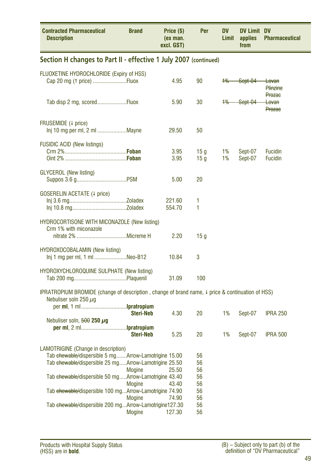<span id="page-48-0"></span>

| <b>Contracted Pharmaceutical</b><br><b>Description</b>                                                                                                                                                                                                                                                                                   | <b>Brand</b>                                              | Price (\$)<br>(ex man.<br>excl. GST) | Per                                                | DV<br>Limit | DV Limit DV<br>applies<br>from | <b>Pharmaceutical</b>                  |
|------------------------------------------------------------------------------------------------------------------------------------------------------------------------------------------------------------------------------------------------------------------------------------------------------------------------------------------|-----------------------------------------------------------|--------------------------------------|----------------------------------------------------|-------------|--------------------------------|----------------------------------------|
| Section H changes to Part II - effective 1 July 2007 (continued)                                                                                                                                                                                                                                                                         |                                                           |                                      |                                                    |             |                                |                                        |
| FLUOXETINE HYDROCHLORIDE (Expiry of HSS)<br>Cap 20 mg (1 price) Fluox                                                                                                                                                                                                                                                                    |                                                           | 4.95                                 | 90                                                 | $+$ %       | -Sept-04                       | <del>Lovan</del><br>Plinzine<br>Prozae |
| Tab disp 2 mg, scoredFluox                                                                                                                                                                                                                                                                                                               |                                                           | 5.90                                 | 30                                                 | $+$ %       | Sept-04                        | <del>Lovan</del><br><b>Prozac</b>      |
| FRUSEMIDE (4 price)<br>Inj 10 mg per ml, 2 ml Mayne                                                                                                                                                                                                                                                                                      |                                                           | 29.50                                | 50                                                 |             |                                |                                        |
| <b>FUSIDIC ACID (New listings)</b>                                                                                                                                                                                                                                                                                                       |                                                           | 3.95<br>3.95                         | 15 q<br>15 <sub>g</sub>                            | 1%<br>1%    | Sept-07<br>Sept-07             | <b>Fucidin</b><br><b>Fucidin</b>       |
| <b>GLYCEROL</b> (New listing)                                                                                                                                                                                                                                                                                                            |                                                           | 5.00                                 | 20                                                 |             |                                |                                        |
| <b>GOSERELIN ACETATE (4 price)</b>                                                                                                                                                                                                                                                                                                       |                                                           | 221.60<br>554.70                     | 1<br>1                                             |             |                                |                                        |
| <b>HYDROCORTISONE WITH MICONAZOLE (New listing)</b><br>Crm 1% with miconazole                                                                                                                                                                                                                                                            |                                                           | 2.20                                 | 15 q                                               |             |                                |                                        |
| HYDROXOCOBALAMIN (New listing)<br>Inj 1 mg per ml, 1 ml Neo-B12                                                                                                                                                                                                                                                                          |                                                           | 10.84                                | 3                                                  |             |                                |                                        |
| <b>HYDROXYCHLOROQUINE SULPHATE (New listing)</b>                                                                                                                                                                                                                                                                                         |                                                           | 31.09                                | 100                                                |             |                                |                                        |
| IPRATROPIUM BROMIDE (change of description, change of brand name, $\downarrow$ price & continuation of HSS)<br>Nebuliser soln 250 $\mu$ g                                                                                                                                                                                                |                                                           |                                      |                                                    |             |                                |                                        |
| Nebuliser soln, $500 250 \mu g$                                                                                                                                                                                                                                                                                                          | <b>Steri-Neb</b>                                          | 4.30                                 | 20                                                 | 1%          | Sept-07                        | <b>IPRA 250</b>                        |
|                                                                                                                                                                                                                                                                                                                                          | <b>Steri-Neb</b>                                          | 5.25                                 | 20                                                 | 1%          | Sept-07                        | <b>IPRA 500</b>                        |
| <b>LAMOTRIGINE</b> (Change in description)<br>Tab ehewable/dispersible 5 mgArrow-Lamotrigine 15.00<br>Tab ehewable/dispersible 25 mgArrow-Lamotrigine 25.50<br>Tab ehewable/dispersible 50 mgArrow-Lamotrigine 43.40<br>Tab ehewable/dispersible 100 mgArrow-Lamotrigine 74.90<br>Tab ehewable/dispersible 200 mgArrow-Lamotrigine127.30 | <b>Mogine</b><br><b>Mogine</b><br><b>Mogine</b><br>Mogine | 25.50<br>43.40<br>74.90<br>127.30    | 56<br>56<br>56<br>56<br>56<br>56<br>56<br>56<br>56 |             |                                |                                        |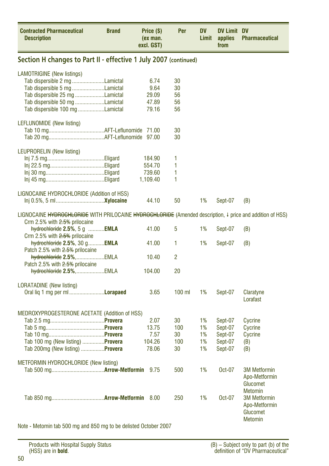<span id="page-49-0"></span>

| <b>Contracted Pharmaceutical</b><br><b>Description</b>                                                                                     | <b>Brand</b> | Price (\$)<br>(ex man.<br>excl. GST) | Per            | <b>DV</b><br>Limit | <b>DV Limit DV</b><br>applies<br>from | <b>Pharmaceutical</b>                                                                |
|--------------------------------------------------------------------------------------------------------------------------------------------|--------------|--------------------------------------|----------------|--------------------|---------------------------------------|--------------------------------------------------------------------------------------|
| Section H changes to Part II - effective 1 July 2007 (continued)                                                                           |              |                                      |                |                    |                                       |                                                                                      |
| <b>LAMOTRIGINE</b> (New listings)                                                                                                          |              |                                      |                |                    |                                       |                                                                                      |
| Tab dispersible 2 mg Lamictal                                                                                                              |              | 6.74                                 | 30             |                    |                                       |                                                                                      |
| Tab dispersible 5 mg Lamictal                                                                                                              |              | 9.64                                 | 30             |                    |                                       |                                                                                      |
| Tab dispersible 25 mg Lamictal                                                                                                             |              | 29.09                                | 56             |                    |                                       |                                                                                      |
| Tab dispersible 50 mg Lamictal                                                                                                             |              | 47.89                                | 56             |                    |                                       |                                                                                      |
| Tab dispersible 100 mg Lamictal                                                                                                            |              | 79.16                                | 56             |                    |                                       |                                                                                      |
| LEFLUNOMIDE (New listing)                                                                                                                  |              |                                      |                |                    |                                       |                                                                                      |
|                                                                                                                                            |              |                                      | 30             |                    |                                       |                                                                                      |
|                                                                                                                                            |              |                                      | 30             |                    |                                       |                                                                                      |
| LEUPRORELIN (New listing)                                                                                                                  |              |                                      |                |                    |                                       |                                                                                      |
|                                                                                                                                            |              | 184.90                               | 1              |                    |                                       |                                                                                      |
|                                                                                                                                            |              | 554.70                               | 1              |                    |                                       |                                                                                      |
|                                                                                                                                            |              | 739.60                               | 1              |                    |                                       |                                                                                      |
|                                                                                                                                            |              | 1,109.40                             | 1              |                    |                                       |                                                                                      |
| LIGNOCAINE HYDROCHLORIDE (Addition of HSS)                                                                                                 |              |                                      |                |                    |                                       |                                                                                      |
|                                                                                                                                            |              | 44.10                                | 50             | 1%                 | Sept-07                               | (B)                                                                                  |
| LIGNOCAINE HYDROCHLORIDE WITH PRILOCAINE HYDROCHLORIDE (Amended description, I price and addition of HSS)<br>Crm 2.5% with 2.5% prilocaine |              |                                      |                |                    |                                       |                                                                                      |
| $hydrochloride$ 2.5%, 5 g EMLA<br>Crm 2.5% with 2.5% prilocaine                                                                            |              | 41.00                                | 5              | 1%                 | Sept-07                               | (B)                                                                                  |
| hydrochloride 2.5%, 30 g EMLA<br>Patch 2.5% with 2.5% prilocaine                                                                           |              | 41.00                                | 1              | 1%                 | Sept-07                               | (B)                                                                                  |
| hydrochloride 2.5%,EMLA                                                                                                                    |              | 10.40                                | $\overline{c}$ |                    |                                       |                                                                                      |
| Patch 2.5% with 2.5% prilocaine<br>hydrochloride 2.5%,EMLA                                                                                 |              | 104.00                               | 20             |                    |                                       |                                                                                      |
|                                                                                                                                            |              |                                      |                |                    |                                       |                                                                                      |
| <b>LORATADINE</b> (New listing)                                                                                                            |              |                                      |                |                    |                                       |                                                                                      |
| Oral lig 1 mg per ml <b>Lorapaed</b>                                                                                                       |              | 3.65                                 | $100$ ml       | 1%                 | Sept-07                               | Claratyne<br>Lorafast                                                                |
| MEDROXYPROGESTERONE ACETATE (Addition of HSS)                                                                                              |              |                                      |                |                    |                                       |                                                                                      |
|                                                                                                                                            |              | 2.07                                 | 30             | 1%                 | Sept-07                               | Cycrine                                                                              |
|                                                                                                                                            |              | 13.75                                | 100            | 1%                 | Sept-07                               | Cycrine                                                                              |
|                                                                                                                                            |              | 7.57                                 | 30             | 1%                 | Sept-07                               | Cycrine                                                                              |
| Tab 100 mg (New listing) Provera                                                                                                           |              | 104.26                               | 100            | 1%                 | Sept-07                               | (B)                                                                                  |
| Tab 200mg (New listing) Provera                                                                                                            |              | 78.06                                | 30             | 1%                 | Sept-07                               | (B)                                                                                  |
| <b>METFORMIN HYDROCHLORIDE (New listing)</b>                                                                                               |              |                                      |                |                    |                                       |                                                                                      |
|                                                                                                                                            |              | 9.75                                 | 500            | 1%                 | Oct-07                                | <b>3M Metformin</b><br>Apo-Metformin<br>Glucomet                                     |
|                                                                                                                                            |              |                                      | 250            | 1%                 | Oct-07                                | <b>Metomin</b><br><b>3M Metformin</b><br>Apo-Metformin<br>Glucomet<br><b>Metomin</b> |
| Note - Metomin tab 500 mg and 850 mg to be delisted October 2007                                                                           |              |                                      |                |                    |                                       |                                                                                      |

Note - Metomin tab 500 mg and 850 mg to be delisted October 2007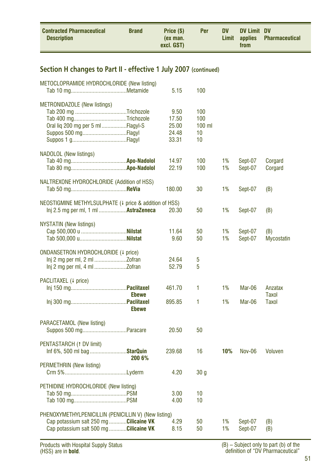<span id="page-50-0"></span>

#### **Section H changes to Part II - effective 1 July 2007 (continued)**

| METOCLOPRAMIDE HYDROCHLORIDE (New listing)                                                                                               | 5.15                                     | 100                                |          |                    |                          |
|------------------------------------------------------------------------------------------------------------------------------------------|------------------------------------------|------------------------------------|----------|--------------------|--------------------------|
| METRONIDAZOLE (New listings)<br>Oral liq 200 mg per 5 ml Flagyl-S<br>Suppos 500 mgFlagyl                                                 | 9.50<br>17.50<br>25.00<br>24.48<br>33.31 | 100<br>100<br>$100$ ml<br>10<br>10 |          |                    |                          |
| NADOLOL (New listings)                                                                                                                   | 14.97<br>22.19                           | 100<br>100                         | 1%<br>1% | Sept-07<br>Sept-07 | Corgard<br>Corgard       |
| NALTREXONE HYDROCHLORIDE (Addition of HSS)                                                                                               | 180.00                                   | 30                                 | 1%       | Sept-07            | (B)                      |
| NEOSTIGMINE METHYLSULPHATE (+ price & addition of HSS)<br>lnj 2.5 mg per ml, 1 ml <b>AstraZeneca</b>                                     | 20.30                                    | 50                                 | 1%       | Sept-07            | (B)                      |
| <b>NYSTATIN (New listings)</b>                                                                                                           | 11.64<br>9.60                            | 50<br>50                           | 1%<br>1% | Sept-07<br>Sept-07 | (B)<br><b>Mycostatin</b> |
| ONDANSETRON HYDROCHLORIDE (4 price)                                                                                                      | 24.64<br>52.79                           | 5<br>5                             |          |                    |                          |
| PACLITAXEL (+ price)<br><b>Ebewe</b>                                                                                                     | 461.70                                   | 1                                  | 1%       | Mar-06             | Anzatax<br>Taxol         |
| <b>Ebewe</b>                                                                                                                             | 895.85                                   | 1                                  | 1%       | Mar-06             | Taxol                    |
| PARACETAMOL (New listing)                                                                                                                | 20.50                                    | 50                                 |          |                    |                          |
| PENTASTARCH (1 DV limit)<br>Inf 6%, 500 ml bag <b>StarQuin</b><br>200 6%                                                                 | 239.68                                   | 16                                 | 10%      | <b>Nov-06</b>      | <b>Voluven</b>           |
| PERMETHRIN (New listing)                                                                                                                 | 4.20                                     | 30 <sub>g</sub>                    |          |                    |                          |
| PETHIDINE HYDROCHLORIDE (New listing)                                                                                                    | 3.00<br>4.00                             | 10<br>10                           |          |                    |                          |
| PHENOXYMETHYLPENICILLIN (PENICILLIN V) (New listing)<br>Cap potassium salt 250 mg Cilicaine VK<br>Cap potassium salt 500 mg Cilicaine VK | 4.29<br>8.15                             | 50<br>50                           | 1%<br>1% | Sept-07<br>Sept-07 | (B)<br>(B)               |
|                                                                                                                                          |                                          |                                    |          |                    |                          |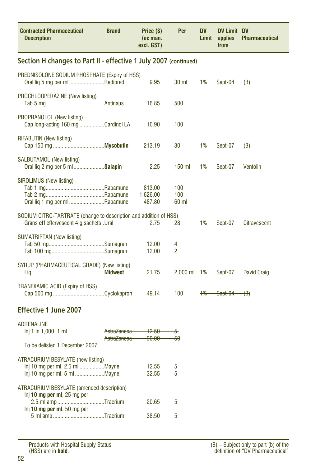<span id="page-51-0"></span>

| <b>Contracted Pharmaceutical</b><br><b>Description</b>                                                                                                                    | <b>Brand</b> | Price (\$)<br>(ex man.<br>excl. GST) | Per                 | DV<br>Limit | <b>DV Limit DV</b><br>applies<br>from | <b>Pharmaceutical</b> |
|---------------------------------------------------------------------------------------------------------------------------------------------------------------------------|--------------|--------------------------------------|---------------------|-------------|---------------------------------------|-----------------------|
| Section H changes to Part II - effective 1 July 2007 (continued)                                                                                                          |              |                                      |                     |             |                                       |                       |
| PREDNISOLONE SODIUM PHOSPHATE (Expiry of HSS)<br>Oral liq 5 mg per ml Redipred                                                                                            |              | 9.95                                 | 30 ml               | $+$ %       | $Set-04$ (B)                          |                       |
| PROCHLORPERAZINE (New listing)                                                                                                                                            |              | 16.85                                | 500                 |             |                                       |                       |
| PROPRANOLOL (New listing)<br>Cap long-acting 160 mg Cardinol LA                                                                                                           |              | 16.90                                | 100                 |             |                                       |                       |
| <b>RIFABUTIN (New listing)</b>                                                                                                                                            |              | 213.19                               | 30                  | 1%          | Sept-07                               | (B)                   |
| SALBUTAMOL (New listing)<br>Oral liq 2 mg per 5 ml Salapin                                                                                                                |              | 2.25                                 | 150 ml              | 1%          | Sept-07                               | Ventolin              |
| SIROLIMUS (New listing)<br>Oral lig 1 mg per ml Rapamune                                                                                                                  |              | 813.00<br>1,626.00<br>487.80         | 100<br>100<br>60 ml |             |                                       |                       |
| SODIUM CITRO-TARTRATE (change to description and addition of HSS)<br>Grans eff effervescent 4 g sachets .Ural                                                             |              | 2.75                                 | 28                  | 1%          | Sept-07                               | <b>Citravescent</b>   |
| <b>SUMATRIPTAN (New listing)</b>                                                                                                                                          |              | 12.00<br>12.00                       | 4<br>$\overline{2}$ |             |                                       |                       |
| SYRUP (PHARMACEUTICAL GRADE) (New listing)                                                                                                                                |              | 21.75                                | 2,000 ml 1%         |             | Sept-07                               | David Craig           |
| TRANEXAMIC ACID (Expiry of HSS)                                                                                                                                           |              | 49.14                                | 100                 | 1%          | Sept-04                               | $\langle B \rangle$   |
| Effective 1 June 2007                                                                                                                                                     |              |                                      |                     |             |                                       |                       |
| <b>ADRENALINE</b><br>lnj 1 in 1,000, 1 mlAstraZeneca<br>To be delisted 1 December 2007.                                                                                   | AstraZeneca  | <del>12.50</del><br><del>90.00</del> | 5<br>-50            |             |                                       |                       |
| ATRACURIUM BESYLATE (new listing)<br>Inj 10 mg per ml, 2.5 ml Mayne                                                                                                       |              | 12.55<br>32.55                       | 5<br>5              |             |                                       |                       |
| ATRACURIUM BESYLATE (amended description)<br>$Inj$ 10 mg per ml, $25 \text{ mg per}$<br>2.5 ml amp Tracrium<br>Inj 10 mg per ml, $50 \text{ mg per}$<br>5 ml amp Tracrium |              | 20.65<br>38.50                       | 5<br>5              |             |                                       |                       |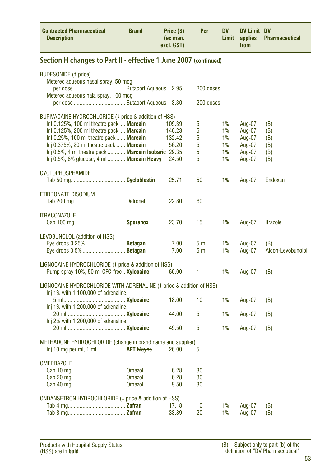<span id="page-52-0"></span>

| <b>Contracted Pharmaceutical</b><br><b>Description</b>                                                                                                                                                                                                                                                                                        | <b>Brand</b> | Price (\$)<br>(ex man.<br>excl. GST)         | Per                        | DV<br>Limit                      | <b>DV Limit DV</b><br>applies<br>from                    | <b>Pharmaceutical</b>                  |
|-----------------------------------------------------------------------------------------------------------------------------------------------------------------------------------------------------------------------------------------------------------------------------------------------------------------------------------------------|--------------|----------------------------------------------|----------------------------|----------------------------------|----------------------------------------------------------|----------------------------------------|
| Section H changes to Part II - effective 1 June 2007 (continued)                                                                                                                                                                                                                                                                              |              |                                              |                            |                                  |                                                          |                                        |
| <b>BUDESONIDE (1 price)</b><br>Metered aqueous nasal spray, 50 mcg<br>Metered aqueous nala spray, 100 mcg                                                                                                                                                                                                                                     |              | 2.95                                         | 200 doses<br>200 doses     |                                  |                                                          |                                        |
| BUPIVACAINE HYDROCHLORIDE (4 price & addition of HSS)<br>Inf 0.125%, 100 ml theatre pack  Marcain<br>Inf 0.125%, 200 ml theatre pack  Marcain<br>Inf 0.25%, 100 ml theatre pack  Marcain<br>Inj 0.375%, 20 ml theatre pack  Marcain<br>Inj 0.5%, 4 ml theatre pack <b>Marcain Isobaric</b> 29.35<br>Inj 0.5%, 8% glucose, 4 ml  Marcain Heavy |              | 109.39<br>146.23<br>132.42<br>56.20<br>24.50 | 5<br>5<br>5<br>5<br>5<br>5 | 1%<br>1%<br>1%<br>1%<br>1%<br>1% | Aug-07<br>Aug-07<br>Aug-07<br>Aug-07<br>Aug-07<br>Aug-07 | (B)<br>(B)<br>(B)<br>(B)<br>(B)<br>(B) |
| <b>CYCLOPHOSPHAMIDE</b>                                                                                                                                                                                                                                                                                                                       |              | 25.71                                        | 50                         | 1%                               | Aug-07                                                   | Endoxan                                |
| ETIDRONATE DISODIUM                                                                                                                                                                                                                                                                                                                           |              | 22.80                                        | 60                         |                                  |                                                          |                                        |
| <b>ITRACONAZOLE</b>                                                                                                                                                                                                                                                                                                                           |              | 23.70                                        | 15                         | 1%                               | Aug-07                                                   | <b>Itrazole</b>                        |
| LEVOBUNOLOL (addition of HSS)<br>Eye drops 0.25% <b>Betagan</b>                                                                                                                                                                                                                                                                               |              | 7.00<br>7.00                                 | 5 ml<br>5 <sub>m</sub>     | 1%<br>1%                         | Aug-07<br>Aug-07                                         | (B)<br>Alcon-Levobunolol               |
| LIGNOCAINE HYDROCHLORIDE (4 price & addition of HSS)<br>Pump spray 10%, 50 ml CFC-free  Xylocaine                                                                                                                                                                                                                                             |              | 60.00                                        | 1                          | 1%                               | Aug-07                                                   | (B)                                    |
| LIGNOCAINE HYDROCHLORIDE WITH ADRENALINE (4 price & addition of HSS)<br>Inj 1% with 1:100,000 of adrenaline,                                                                                                                                                                                                                                  |              |                                              |                            |                                  |                                                          |                                        |
|                                                                                                                                                                                                                                                                                                                                               |              | 18.00                                        | 10                         | 1%                               | Aug-07                                                   | (B)                                    |
| Inj 1% with 1:200,000 of adrenaline,                                                                                                                                                                                                                                                                                                          |              | 44.00                                        | 5                          | 1%                               | Aug-07                                                   | (B)                                    |
| Inj 2% with 1:200,000 of adrenaline,                                                                                                                                                                                                                                                                                                          |              | 49.50                                        | 5                          | 1%                               | Aug-07                                                   | (B)                                    |
| METHADONE HYDROCHLORIDE (change in brand name and supplier)<br>Inj 10 mg per ml, 1 ml <b>AFT Mayne</b>                                                                                                                                                                                                                                        |              | 26.00                                        | 5                          |                                  |                                                          |                                        |
| <b>OMEPRAZOLE</b>                                                                                                                                                                                                                                                                                                                             |              | 6.28<br>6.28<br>9.50                         | 30<br>30<br>30             |                                  |                                                          |                                        |
| ONDANSETRON HYDROCHLORIDE (4 price & addition of HSS)                                                                                                                                                                                                                                                                                         |              | 17.18<br>33.89                               | 10<br>20                   | 1%<br>1%                         | Aug-07<br>Aug-07                                         | (B)<br>(B)                             |

L,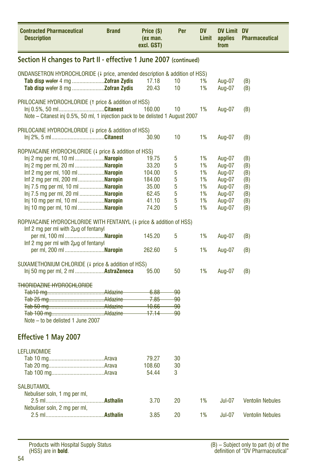<span id="page-53-0"></span>

| <b>Contracted Pharmaceutical</b><br><b>Description</b>                            | <b>Brand</b>                                                               | Price (\$)<br>(ex man.<br>excl. GST) | Per                     | <b>DV</b><br>Limit | DV Limit DV<br>applies<br>from | <b>Pharmaceutical</b>   |  |  |  |  |
|-----------------------------------------------------------------------------------|----------------------------------------------------------------------------|--------------------------------------|-------------------------|--------------------|--------------------------------|-------------------------|--|--|--|--|
| Section H changes to Part II - effective 1 June 2007 (continued)                  |                                                                            |                                      |                         |                    |                                |                         |  |  |  |  |
|                                                                                   | ONDANSETRON HYDROCHLORIDE (4 price, amended description & addition of HSS) |                                      |                         |                    |                                |                         |  |  |  |  |
|                                                                                   |                                                                            | 17.18                                | 10                      | 1%                 | Aug-07                         | (B)                     |  |  |  |  |
|                                                                                   |                                                                            | 20.43                                | 10                      | 1%                 | Aug-07                         | (B)                     |  |  |  |  |
| PRILOCAINE HYDROCHLORIDE (1 price & addition of HSS)                              |                                                                            |                                      |                         |                    |                                |                         |  |  |  |  |
| Inj 0.5%, 50 mlCitanest                                                           |                                                                            | 160.00                               | 10                      | 1%                 | Aug-07                         | (B)                     |  |  |  |  |
| Note – Citanest inj 0.5%, 50 ml, 1 injection pack to be delisted 1 August 2007    |                                                                            |                                      |                         |                    |                                |                         |  |  |  |  |
|                                                                                   |                                                                            |                                      |                         |                    |                                |                         |  |  |  |  |
| PRILOCAINE HYDROCHLORIDE (4 price & addition of HSS)                              |                                                                            | 30.90                                | 10                      | 1%                 | Aug-07                         | (B)                     |  |  |  |  |
|                                                                                   |                                                                            |                                      |                         |                    |                                |                         |  |  |  |  |
| ROPIVACAINE HYDROCHLORIDE (4 price & addition of HSS)                             |                                                                            |                                      |                         |                    |                                |                         |  |  |  |  |
| lnj 2 mg per ml, 10 ml <b>Naropin</b>                                             |                                                                            | 19.75                                | 5                       | 1%                 | Aug-07                         | (B)                     |  |  |  |  |
| Inj 2 mg per ml, 20 ml <b>Naropin</b>                                             |                                                                            | 33.20                                | 5                       | 1%                 | Aug-07                         | (B)                     |  |  |  |  |
| Inf 2 mg per ml, 100 ml Naropin                                                   |                                                                            | 104.00                               | 5                       | 1%                 | Aug-07                         | (B)                     |  |  |  |  |
| Inf 2 mg per ml, 200 ml <b>Naropin</b>                                            |                                                                            | 184.00                               | 5                       | 1%                 | Aug-07                         | (B)                     |  |  |  |  |
| lnj 7.5 mg per ml, 10 ml <b>Naropin</b>                                           |                                                                            | 35.00                                | 5<br>5                  | 1%<br>1%           | Aug-07<br>Aug-07               | (B)                     |  |  |  |  |
| lnj 7.5 mg per ml, 20 ml <b>Naropin</b><br>lnj 10 mg per ml, 10 ml <b>Naropin</b> |                                                                            | 62.45<br>41.10                       | 5                       | 1%                 | Aug-07                         | (B)<br>(B)              |  |  |  |  |
| lnj 10 mg per ml, 10 ml <b>Naropin</b>                                            |                                                                            | 74.20                                | 5                       | 1%                 | Aug-07                         | (B)                     |  |  |  |  |
|                                                                                   |                                                                            |                                      |                         |                    |                                |                         |  |  |  |  |
| ROPIVACAINE HYDROCHLORIDE WITH FENTANYL (4 price & addition of HSS)               |                                                                            |                                      |                         |                    |                                |                         |  |  |  |  |
| Inf 2 mg per ml with $2\mu$ g of fentanyl                                         |                                                                            |                                      |                         |                    |                                |                         |  |  |  |  |
| per ml, 100 ml <b>Naropin</b>                                                     |                                                                            | 145.20                               | 5                       | 1%                 | Aug-07                         | (B)                     |  |  |  |  |
| Inf 2 mg per ml with $2\mu$ g of fentanyl                                         |                                                                            |                                      |                         |                    |                                |                         |  |  |  |  |
|                                                                                   |                                                                            | 262.60                               | 5                       | 1%                 | Aug-07                         | (B)                     |  |  |  |  |
| SUXAMETHONIUM CHLORIDE (4 price & addition of HSS)                                |                                                                            |                                      |                         |                    |                                |                         |  |  |  |  |
| Inj 50 mg per ml, 2 ml  AstraZeneca                                               |                                                                            | 95.00                                | 50                      | 1%                 | Aug-07                         | (B)                     |  |  |  |  |
|                                                                                   |                                                                            |                                      |                         |                    |                                |                         |  |  |  |  |
| <b>THIORIDAZINE HYDROCHLORIDE</b>                                                 |                                                                            |                                      |                         |                    |                                |                         |  |  |  |  |
|                                                                                   |                                                                            | 6.88                                 | <del>90</del>           |                    |                                |                         |  |  |  |  |
|                                                                                   |                                                                            | $-7.85$<br>$-10.66$                  | <del>90</del><br>$90 -$ |                    |                                |                         |  |  |  |  |
|                                                                                   |                                                                            | $-17.14$                             | ٩۵.                     |                    |                                |                         |  |  |  |  |
| Note – to be delisted 1 June 2007                                                 |                                                                            |                                      |                         |                    |                                |                         |  |  |  |  |
|                                                                                   |                                                                            |                                      |                         |                    |                                |                         |  |  |  |  |
| <b>Effective 1 May 2007</b>                                                       |                                                                            |                                      |                         |                    |                                |                         |  |  |  |  |
| <b>LEFLUNOMIDE</b>                                                                |                                                                            |                                      |                         |                    |                                |                         |  |  |  |  |
|                                                                                   |                                                                            | 79.27                                | 30                      |                    |                                |                         |  |  |  |  |
|                                                                                   |                                                                            | 108.60                               | 30                      |                    |                                |                         |  |  |  |  |
|                                                                                   |                                                                            | 54.44                                | 3                       |                    |                                |                         |  |  |  |  |
|                                                                                   |                                                                            |                                      |                         |                    |                                |                         |  |  |  |  |
| <b>SALBUTAMOL</b>                                                                 |                                                                            |                                      |                         |                    |                                |                         |  |  |  |  |
| Nebuliser soln, 1 mg per ml,                                                      |                                                                            |                                      |                         |                    |                                |                         |  |  |  |  |
| Nebuliser soln, 2 mg per ml,                                                      |                                                                            | 3.70                                 | 20                      | 1%                 | <b>Jul-07</b>                  | <b>Ventolin Nebules</b> |  |  |  |  |
|                                                                                   |                                                                            | 3.85                                 | 20                      | 1%                 | <b>Jul-07</b>                  | <b>Ventolin Nebules</b> |  |  |  |  |
|                                                                                   |                                                                            |                                      |                         |                    |                                |                         |  |  |  |  |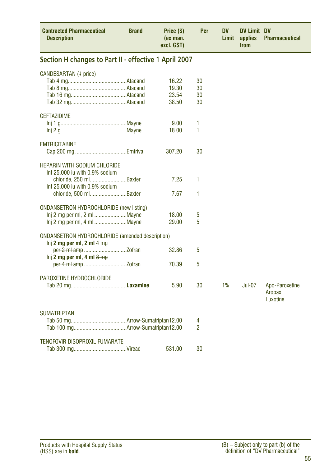<span id="page-54-0"></span>

| <b>Contracted Pharmaceutical</b><br><b>Description</b>                                                                                                       | <b>Brand</b> | Price (\$)<br>(ex man.<br>excl. GST) | Per                  | <b>DV</b><br>Limit | <b>DV Limit DV</b><br>applies<br>from | <b>Pharmaceutical</b>                |
|--------------------------------------------------------------------------------------------------------------------------------------------------------------|--------------|--------------------------------------|----------------------|--------------------|---------------------------------------|--------------------------------------|
| Section H changes to Part II - effective 1 April 2007                                                                                                        |              |                                      |                      |                    |                                       |                                      |
| CANDESARTAN (+ price)                                                                                                                                        |              | 16.22<br>19.30<br>23.54<br>38.50     | 30<br>30<br>30<br>30 |                    |                                       |                                      |
| <b>CEFTAZIDIME</b>                                                                                                                                           |              | 9.00<br>18.00                        | 1<br>1               |                    |                                       |                                      |
| <b>EMTRICITABINE</b>                                                                                                                                         |              | 307.20                               | 30                   |                    |                                       |                                      |
| <b>HEPARIN WITH SODIUM CHLORIDE</b><br>Inf 25,000 iu with 0.9% sodium<br>chloride, 250 mlBaxter<br>Inf 25,000 iu with 0.9% sodium<br>chloride, 500 ml Baxter |              | 7.25<br>7.67                         | 1<br>1               |                    |                                       |                                      |
| <b>ONDANSETRON HYDROCHLORIDE (new listing)</b>                                                                                                               |              | 18.00<br>29.00                       | 5<br>5               |                    |                                       |                                      |
| <b>ONDANSETRON HYDROCHLORIDE (amended description)</b>                                                                                                       |              |                                      |                      |                    |                                       |                                      |
| lnj 2 mg per ml, 2 ml $4 \text{mg}$                                                                                                                          |              | 32.86                                | 5                    |                    |                                       |                                      |
| lnj 2 mg per ml, 4 ml $8 \text{ mg}$                                                                                                                         |              | 70.39                                | 5                    |                    |                                       |                                      |
| PAROXETINE HYDROCHLORIDE                                                                                                                                     |              | 5.90                                 | 30                   | 1%                 | <b>Jul-07</b>                         | Apo-Paroxetine<br>Aropax<br>Luxotine |
| <b>SUMATRIPTAN</b>                                                                                                                                           |              |                                      | 4<br>2               |                    |                                       |                                      |
| TENOFOVIR DISOPROXIL FUMARATE                                                                                                                                |              | 531.00                               | 30                   |                    |                                       |                                      |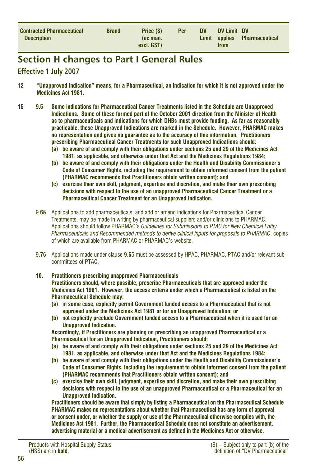<span id="page-55-0"></span>

| <b>Contracted Pharmaceutical</b><br><b>Description</b> | <b>Brand</b> | Price (\$)<br>(ex man. | <b>Per</b> | <b>DV</b> | DV Limit DV | Limit applies Pharmaceutical |
|--------------------------------------------------------|--------------|------------------------|------------|-----------|-------------|------------------------------|
|                                                        |              | excl. GST)             |            |           | from        |                              |

### **Section H changes to Part I General Rules**

#### **Effective 1 July 2007**

- **12 "Unapproved Indication" means, for a Pharmaceutical, an indication for which it is not approved under the Medicines Act 1981.**
- **15 9.5 Some indications for Pharmaceutical Cancer Treatments listed in the Schedule are Unapproved Indications. Some of these formed part of the October 2001 direction from the Minister of Health as to pharmaceuticals and indications for which DHBs must provide funding. As far as reasonably practicable, these Unapproved Indications are marked in the Schedule. However, PHARMAC makes no representation and gives no guarantee as to the accuracy of this information. Practitioners prescribing Pharmaceutical Cancer Treatments for such Unapproved Indications should:**
	- **(a) be aware of and comply with their obligations under sections 25 and 29 of the Medicines Act 1981, as applicable, and otherwise under that Act and the Medicines Regulations 1984;**
	- **(b) be aware of and comply with their obligations under the Health and Disability Commissioner's Code of Consumer Rights, including the requirement to obtain informed consent from the patient (PHARMAC recommends that Practitioners obtain written consent); and**
	- **(c) exercise their own skill, judgment, expertise and discretion, and make their own prescribing decisions with respect to the use of an unapproved Pharmaceutical Cancer Treatment or a Pharmaceutical Cancer Treatment for an Unapproved Indication.**
	- 9.**6**5 Applications to add pharmaceuticals, and add or amend indications for Pharmaceutical Cancer Treatments, may be made in writing by pharmaceutical suppliers and/or clinicians to PHARMAC. Applications should follow PHARMAC's *Guidelines for Submissions to PTAC for New Chemical Entity Pharmaceuticals and Recommended methods to derive clinical inputs for proposals to PHARMAC*, copies of which are available from PHARMAC or PHARMAC's website.
	- 9.**7**6 Applications made under clause 9.**6**5 must be assessed by HPAC, PHARMAC, PTAC and/or relevant subcommittees of PTAC.

#### **10. Practitioners prescribing unapproved Pharmaceuticals Practitioners should, where possible, prescribe Pharmaceuticals that are approved under the Medicines Act 1981. However, the access criteria under which a Pharmaceutical is listed on the Pharmaceutical Schedule may:**

- **(a) in some case, explicitly permit Government funded access to a Pharmaceutical that is not approved under the Medicines Act 1981 or for an Unapproved Indication; or**
- **(b) not explicitly preclude Government funded access to a Pharmaceutical when it is used for an Unapproved Indication.**

**Accordingly, if Practitioners are planning on prescribing an unapproved Pharmaceutical or a Pharmaceutical for an Unapproved Indication, Practitioners should:**

- **(a) be aware of and comply with their obligations under sections 25 and 29 of the Medicines Act 1981, as applicable, and otherwise under that Act and the Medicines Regulations 1984;**
- **(b) be aware of and comply with their obligations under the Health and Disability Commissioner's Code of Consumer Rights, including the requirement to obtain informed consent from the patient (PHARMAC recommends that Practitioners obtain written consent); and**
- **(c) exercise their own skill, judgment, expertise and discretion, and make their own prescribing decisions with respect to the use of an unapproved Pharmaceutical or a Pharmaceutical for an Unapproved Indication.**

 **Practitioners should be aware that simply by listing a Pharmaceutical on the Pharmaceutical Schedule PHARMAC makes no representations about whether that Pharmaceutical has any form of approval or consent under, or whether the supply or use of the Pharmaceutical otherwise complies with, the Medicines Act 1981. Further, the Pharmaceutical Schedule does not constitute an advertisement, advertising material or a medical advertisement as defined in the Medicines Act or otherwise.**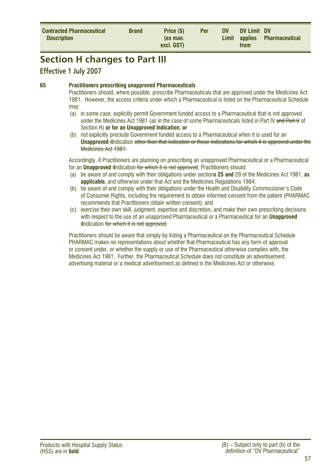<span id="page-56-0"></span>

| <b>Contracted Pharmaceutical</b><br><b>Description</b> | <b>Brand</b> | Price (\$)<br>(ex man.<br>excl. GST) | <b>Per</b> | <b>DV</b> | DV Limit DV<br>from | Limit applies Pharmaceutical |  |
|--------------------------------------------------------|--------------|--------------------------------------|------------|-----------|---------------------|------------------------------|--|
|--------------------------------------------------------|--------------|--------------------------------------|------------|-----------|---------------------|------------------------------|--|

### **Section H changes to Part III**

#### **Effective 1 July 2007**

#### **65 Practitioners prescribing unapproved Pharmaceuticals**

Practitioners should, where possible, prescribe Pharmaceuticals that are approved under the Medicines Act 1981. However, the access criteria under which a Pharmaceutical is listed on the Pharmaceutical Schedule may:

- (a) in some case, explicitly permit Government funded access to a Pharmaceutical that is not approved under the Medicines Act 1981 (as in the case of some Pharmaceuticals listed in Part IV and Part V of Section H) **or for an Unapproved Indication; or**
- (b) not explicitly preclude Government funded access to a Pharmaceutical when it is used for an **Unapproved** i**I**ndication other than that indication or those indications for which it is approved under the Medicines Act 1981

Accordingly, if Practitioners are planning on prescribing an unapproved Pharmaceutical or a Pharmaceutical for an **Unapproved** i**I**ndication for which it is not approved, Practitioners should:

- (a) be aware of and comply with their obligations under section**s 25 and** 29 of the Medicines Act 1981, **as applicable,** and otherwise under that Act and the Medicines Regulations 1984;
- (b) be aware of and comply with their obligations under the Health and Disability Commissioner's Code of Consumer Rights, including the requirement to obtain informed consent from the patient (PHARMAC recommends that Practitioners obtain written consent); and
- (c) exercise their own skill, judgment, expertise and discretion, and make their own prescribing decisions with respect to the use of an unapproved Pharmaceutical or a Pharmaceutical for an **Unapproved il**ndication for which it is not approved.

Practitioners should be aware that simply by listing a Pharmaceutical on the Pharmaceutical Schedule PHARMAC makes no representations about whether that Pharmaceutical has any form of approval or consent under, or whether the supply or use of the Pharmaceutical otherwise complies with, the Medicines Act 1981. Further, the Pharmaceutical Schedule does not constitute an advertisement, advertising material or a medical advertisement as defined in the Medicines Act or otherwise.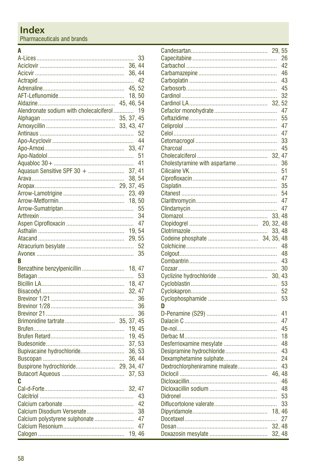<span id="page-57-0"></span>Pharmaceuticals and brands

## $A$ <sub> $A$ </sub>

|                                         |        | 33 |
|-----------------------------------------|--------|----|
|                                         |        |    |
|                                         |        |    |
|                                         |        |    |
|                                         |        |    |
|                                         |        |    |
|                                         |        |    |
| Alendronate sodium with cholecalciferol |        | 19 |
|                                         |        |    |
|                                         |        |    |
|                                         |        |    |
|                                         |        |    |
|                                         |        |    |
|                                         |        | 51 |
|                                         |        |    |
| Aquasun Sensitive SPF 30 +  37, 41      |        |    |
|                                         | 38, 54 |    |
|                                         |        |    |
|                                         |        |    |
|                                         |        |    |
|                                         |        |    |
|                                         |        | 34 |
|                                         |        |    |
|                                         |        |    |
|                                         |        |    |
|                                         |        | 52 |
|                                         |        |    |
|                                         |        |    |
| R                                       |        | 35 |
|                                         |        |    |
| Benzathine benzylpenicillin  18, 47     |        |    |
|                                         |        | 53 |
|                                         |        |    |
|                                         |        |    |
|                                         |        | 36 |
|                                         |        | 36 |
|                                         |        | 36 |
|                                         |        |    |
|                                         |        |    |
|                                         | 19.45  |    |
|                                         | 37, 53 |    |
| Bupivacaine hydrochloride               | 36, 53 |    |
|                                         | 36, 44 |    |
| Buspirone hydrochloride 29, 34, 47      |        |    |
|                                         | 37, 53 |    |
| C                                       |        |    |
|                                         |        |    |
|                                         |        | 43 |
|                                         |        | 42 |
| Calcium Disodium Versenate              |        | 38 |
| Calcium polystyrene sulphonate  47      |        |    |
|                                         |        | 47 |

|                                | 29.    | 55 |
|--------------------------------|--------|----|
|                                |        | 26 |
|                                |        | 42 |
|                                |        | 46 |
|                                |        | 43 |
|                                |        | 45 |
|                                |        | 32 |
|                                | 32.    | 52 |
|                                |        | 47 |
|                                |        | 55 |
|                                |        | 47 |
|                                |        | 47 |
|                                |        | 33 |
|                                |        | 45 |
|                                | 32, 47 |    |
| Cholestyramine with aspartame  |        | 36 |
|                                |        |    |
|                                |        | 51 |
|                                |        | 47 |
|                                |        | 35 |
|                                |        | 54 |
|                                |        | 47 |
|                                |        | 47 |
|                                | 33.48  |    |
|                                |        |    |
|                                | 33, 48 |    |
|                                |        |    |
|                                |        | 48 |
|                                |        | 48 |
|                                |        | 43 |
|                                |        | 30 |
| Cyclizine hydrochloride        | 30, 43 |    |
|                                |        | 53 |
|                                |        | 52 |
|                                |        | 53 |
| D                              |        |    |
|                                |        | 41 |
|                                |        | 47 |
|                                |        | 45 |
|                                |        |    |
|                                |        | 18 |
|                                |        | 48 |
| Desipramine hydrochloride      |        | 43 |
|                                |        | 24 |
| Dextrochlorpheniramine maleate |        | 43 |
|                                |        |    |
|                                |        | 46 |
|                                |        | 48 |
|                                |        | 53 |
|                                |        | 33 |
|                                | 18, 46 |    |
|                                |        | 27 |
|                                | 32.48  |    |
|                                | 32.48  |    |
|                                |        |    |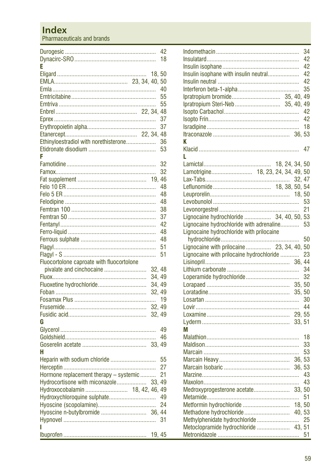### **Index**

Pharmaceuticals and brands

|                                           |        | 42 |
|-------------------------------------------|--------|----|
|                                           |        | 18 |
| E                                         |        |    |
|                                           | 18,50  |    |
|                                           |        |    |
|                                           |        | 40 |
|                                           |        | 55 |
|                                           |        | 55 |
|                                           |        | 48 |
|                                           |        | 37 |
|                                           |        | 37 |
|                                           |        | 48 |
| Ethinyloestradiol with norethisterone     |        | 36 |
|                                           |        | 53 |
| F                                         |        |    |
|                                           |        | 32 |
|                                           |        | 32 |
|                                           | 19.    | 46 |
|                                           |        | 48 |
|                                           |        | 48 |
|                                           |        |    |
|                                           |        | 48 |
|                                           |        | 38 |
|                                           |        | 37 |
|                                           |        | 42 |
|                                           |        | 48 |
|                                           |        | 48 |
|                                           |        | 51 |
|                                           |        | 51 |
| Fluocortolone caproate with fluocortolone |        |    |
| pivalate and cinchocaine                  | 32.48  |    |
|                                           | 34, 49 |    |
| Fluoxetine hydrochloride                  | 34, 49 |    |
|                                           | 32, 49 |    |
|                                           |        | 19 |
|                                           | 32, 49 |    |
|                                           | 32.49  |    |
| G                                         |        |    |
|                                           |        | 49 |
|                                           |        | 46 |
|                                           |        |    |
| н                                         |        |    |
|                                           |        | 55 |
|                                           |        | 27 |
| Hormone replacement therapy - systemic    |        | 21 |
| Hydrocortisone with miconazole            |        |    |
|                                           | 33, 49 |    |
| Hydroxocobalamin  18, 42, 46, 49          |        |    |
| Hydroxychloroquine sulphate               |        | 49 |
|                                           |        | 24 |
| Hyoscine n-butylbromide  36, 44           |        |    |
|                                           |        | 31 |
| ı                                         |        |    |
|                                           | 19.45  |    |

| Insulin isophane with insulin neutral<br>Ipratropium bromide 35, 40, 49<br>Ipratropium Steri-Neb  35, 40, 49<br>K |  |       | 34<br>42<br>42<br>42<br>42<br>35<br>42<br>42<br>18 |
|-------------------------------------------------------------------------------------------------------------------|--|-------|----------------------------------------------------|
| L                                                                                                                 |  |       | 47                                                 |
|                                                                                                                   |  |       |                                                    |
| Lamotrigine 18, 23, 24, 34, 49, 50                                                                                |  |       |                                                    |
|                                                                                                                   |  |       |                                                    |
|                                                                                                                   |  |       |                                                    |
|                                                                                                                   |  |       |                                                    |
|                                                                                                                   |  |       | 53                                                 |
|                                                                                                                   |  |       |                                                    |
| Lignocaine hydrochloride  34, 40, 50, 53                                                                          |  |       |                                                    |
| Lignocaine hydrochloride with adrenaline 53                                                                       |  |       |                                                    |
| Lignocaine hydrochloride with prilocaine                                                                          |  |       |                                                    |
|                                                                                                                   |  |       |                                                    |
| Lignocaine with prilocaine  23, 34, 40, 50                                                                        |  |       |                                                    |
| Lignocaine with prilocaine hydrochloride                                                                          |  |       | 23                                                 |
|                                                                                                                   |  |       |                                                    |
|                                                                                                                   |  |       | 34                                                 |
|                                                                                                                   |  |       | 32                                                 |
|                                                                                                                   |  |       |                                                    |
|                                                                                                                   |  |       |                                                    |
|                                                                                                                   |  |       |                                                    |
|                                                                                                                   |  |       |                                                    |
|                                                                                                                   |  |       |                                                    |
|                                                                                                                   |  |       |                                                    |
| М                                                                                                                 |  |       |                                                    |
|                                                                                                                   |  |       | 18                                                 |
|                                                                                                                   |  |       | 33                                                 |
|                                                                                                                   |  |       | 53                                                 |
|                                                                                                                   |  | 36.53 |                                                    |
|                                                                                                                   |  |       |                                                    |
|                                                                                                                   |  |       |                                                    |
|                                                                                                                   |  |       |                                                    |
|                                                                                                                   |  |       |                                                    |
|                                                                                                                   |  |       | 51                                                 |
| Metformin hydrochloride  18, 50                                                                                   |  |       |                                                    |
| Methadone hydrochloride 40, 53                                                                                    |  |       |                                                    |
| Methylphenidate hydrochloride 25                                                                                  |  |       |                                                    |
| Metoclopramide hydrochloride  43, 51                                                                              |  |       |                                                    |
|                                                                                                                   |  |       | 51                                                 |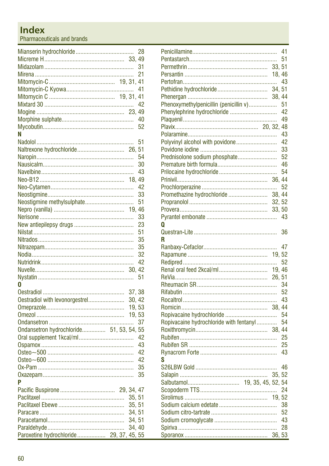## **Index**

Pharmaceuticals and brands

|                                          |  |        | 28 |
|------------------------------------------|--|--------|----|
|                                          |  |        |    |
|                                          |  |        | 31 |
|                                          |  |        | 21 |
|                                          |  |        |    |
|                                          |  |        | 41 |
|                                          |  |        |    |
|                                          |  |        | 42 |
|                                          |  |        |    |
|                                          |  |        | 40 |
|                                          |  |        | 52 |
|                                          |  |        |    |
| Ν                                        |  |        |    |
|                                          |  |        | 51 |
| Naltrexone hydrochloride 26,             |  |        | 51 |
|                                          |  |        | 54 |
|                                          |  |        | 30 |
|                                          |  |        | 43 |
|                                          |  | 18.    | 49 |
|                                          |  |        | 42 |
|                                          |  |        | 33 |
| Neostigmine methylsulphate               |  |        | 51 |
|                                          |  |        |    |
|                                          |  |        | 33 |
|                                          |  |        | 23 |
|                                          |  |        | 51 |
|                                          |  |        | 35 |
|                                          |  |        | 35 |
|                                          |  |        | 32 |
|                                          |  |        |    |
|                                          |  |        | 42 |
|                                          |  |        |    |
|                                          |  |        | 51 |
| n                                        |  |        |    |
|                                          |  | 37, 38 |    |
| Oestradiol with levonorgestrel           |  | 30, 42 |    |
|                                          |  | 19,53  |    |
|                                          |  | 19, 53 |    |
|                                          |  |        | 37 |
| Ondansetron hydrochloride 51, 53, 54, 55 |  |        |    |
|                                          |  |        | 42 |
|                                          |  |        | 43 |
|                                          |  |        | 42 |
|                                          |  |        | 42 |
|                                          |  |        | 35 |
|                                          |  |        | 35 |
| P                                        |  |        |    |
|                                          |  |        |    |
|                                          |  |        |    |
|                                          |  | 35, 51 |    |
|                                          |  | 35, 51 |    |
|                                          |  | 34, 51 |    |
|                                          |  | 34, 51 |    |
|                                          |  | 34, 40 |    |
| Paroxetine hydrochloride 29, 37,         |  | 45, 55 |    |

|                                         |        | 41       |
|-----------------------------------------|--------|----------|
|                                         |        | 51       |
|                                         | 33, 51 |          |
|                                         | 18,46  |          |
|                                         |        | 43       |
| Pethidine hydrochloride                 | 34, 51 |          |
|                                         | 38, 44 |          |
| Phenoxymethylpenicillin (penicillin v)  |        | 51       |
| Phenylephrine hydrochloride             |        | 42       |
|                                         |        | 49       |
|                                         |        |          |
|                                         |        | 43       |
| Polyvinyl alcohol with povidone         |        | 42       |
|                                         |        | 33       |
| Prednisolone sodium phosphate           |        | 52<br>46 |
|                                         |        | 54       |
|                                         |        |          |
|                                         |        | 52       |
| Promethazine hydrochloride              | 38.44  |          |
|                                         | 32, 52 |          |
|                                         |        |          |
|                                         |        | 43       |
| 0                                       |        |          |
|                                         |        | 36       |
| R                                       |        |          |
|                                         |        | 47       |
|                                         |        |          |
|                                         |        | 52       |
|                                         | 19, 46 |          |
|                                         |        |          |
|                                         |        | 34       |
|                                         |        | 52       |
|                                         |        | 43       |
|                                         |        |          |
| Ropivacaine hydrochloride               |        | 54       |
| Ropivacaine hydrochloride with fentanyl |        | 54       |
|                                         |        |          |
|                                         |        | 25       |
|                                         |        | 25       |
|                                         |        | 43       |
| S                                       |        |          |
|                                         |        | 46       |
|                                         |        | 52       |
| Salbutamol 19, 35, 45, 52, 54           |        |          |
|                                         |        | 24       |
|                                         | 19.52  |          |
|                                         |        |          |
|                                         |        | 38       |
|                                         |        | 52       |
|                                         |        | 43       |
|                                         |        | 28       |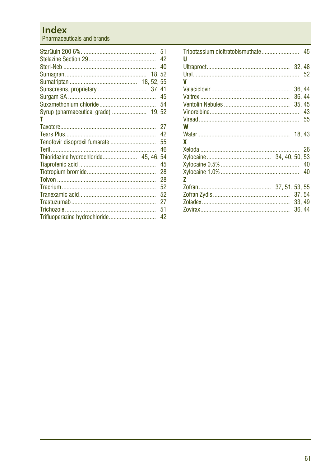### **Index**

Pharmaceuticals and brands

|                               |  | 51<br>42 |
|-------------------------------|--|----------|
|                               |  | 40       |
|                               |  |          |
|                               |  |          |
|                               |  |          |
|                               |  |          |
|                               |  | 54       |
|                               |  |          |
| т                             |  |          |
|                               |  | 27       |
|                               |  | 42       |
| Tenofovir disoproxil fumarate |  | 55       |
|                               |  | 46       |
|                               |  |          |
|                               |  | 45       |
|                               |  | 28       |
|                               |  | 28       |
|                               |  | 52       |
|                               |  | 52       |
|                               |  | 27       |
|                               |  | 51       |
| Trifluoperazine hydrochloride |  | 42       |

| U |        |    |
|---|--------|----|
|   |        |    |
| V |        |    |
|   | 36, 44 |    |
|   | 36.44  |    |
|   | 35, 45 |    |
|   |        | 43 |
|   |        | 55 |
| W |        |    |
|   |        |    |
| x |        |    |
|   |        | 26 |
|   |        |    |
|   |        | 40 |
|   |        | 40 |
| 7 |        |    |
|   |        |    |
|   | 37.54  |    |
|   | 33.49  |    |
|   | 36.44  |    |